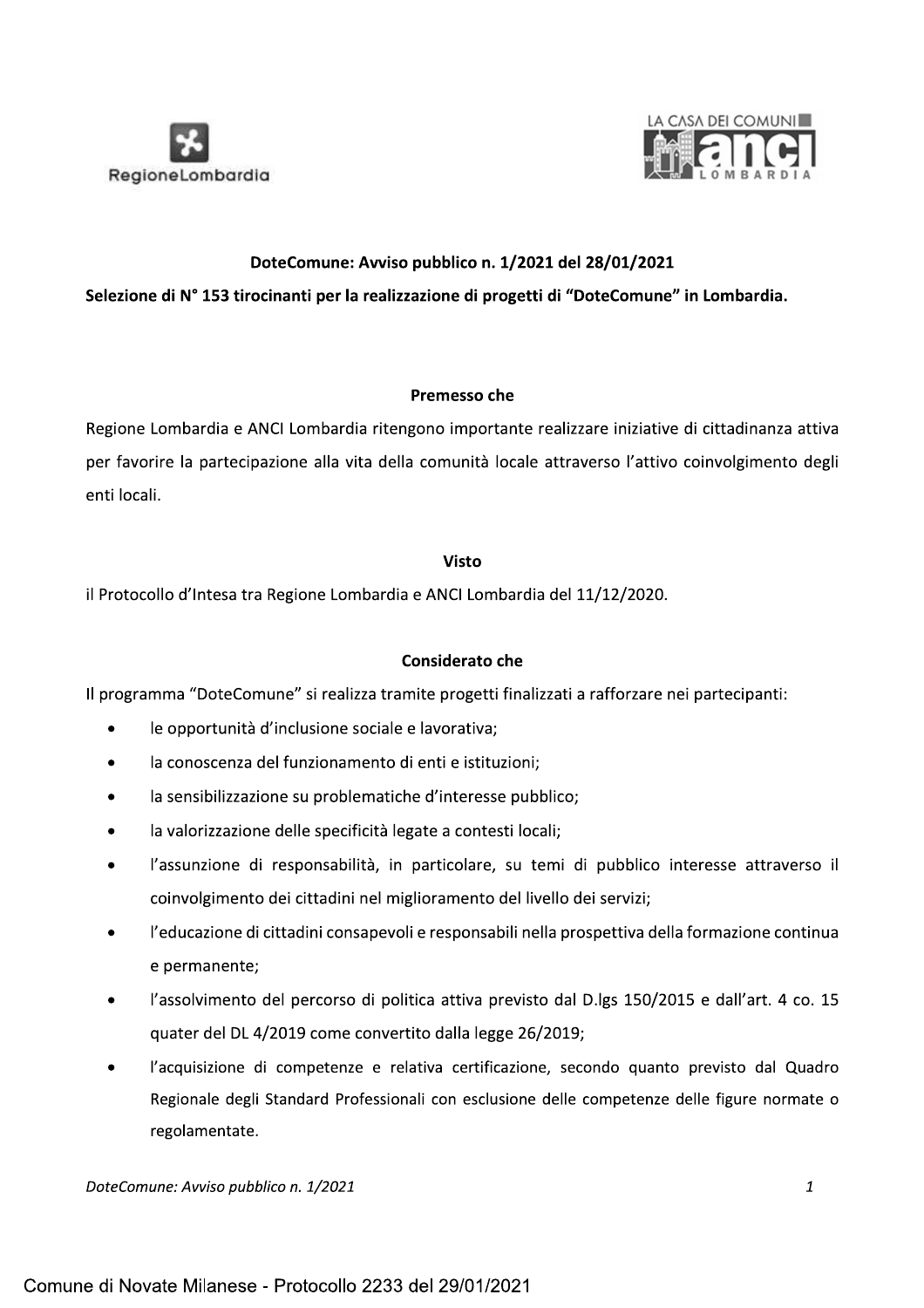



# DoteComune: Avviso pubblico n. 1/2021 del 28/01/2021

# Selezione di Nº 153 tirocinanti per la realizzazione di progetti di "DoteComune" in Lombardia.

### Premesso che

Regione Lombardia e ANCI Lombardia ritengono importante realizzare iniziative di cittadinanza attiva per favorire la partecipazione alla vita della comunità locale attraverso l'attivo coinvolgimento degli enti locali.

### **Visto**

il Protocollo d'Intesa tra Regione Lombardia e ANCI Lombardia del 11/12/2020.

# **Considerato che**

Il programma "DoteComune" si realizza tramite progetti finalizzati a rafforzare nei partecipanti:

- le opportunità d'inclusione sociale e lavorativa;
- la conoscenza del funzionamento di enti e istituzioni;
- la sensibilizzazione su problematiche d'interesse pubblico;
- la valorizzazione delle specificità legate a contesti locali;
- l'assunzione di responsabilità, in particolare, su temi di pubblico interesse attraverso il coinvolgimento dei cittadini nel miglioramento del livello dei servizi;
- l'educazione di cittadini consapevoli e responsabili nella prospettiva della formazione continua e permanente;
- l'assolvimento del percorso di politica attiva previsto dal D.lgs 150/2015 e dall'art. 4 co. 15 quater del DL 4/2019 come convertito dalla legge 26/2019;
- l'acquisizione di competenze e relativa certificazione, secondo quanto previsto dal Quadro Regionale degli Standard Professionali con esclusione delle competenze delle figure normate o regolamentate.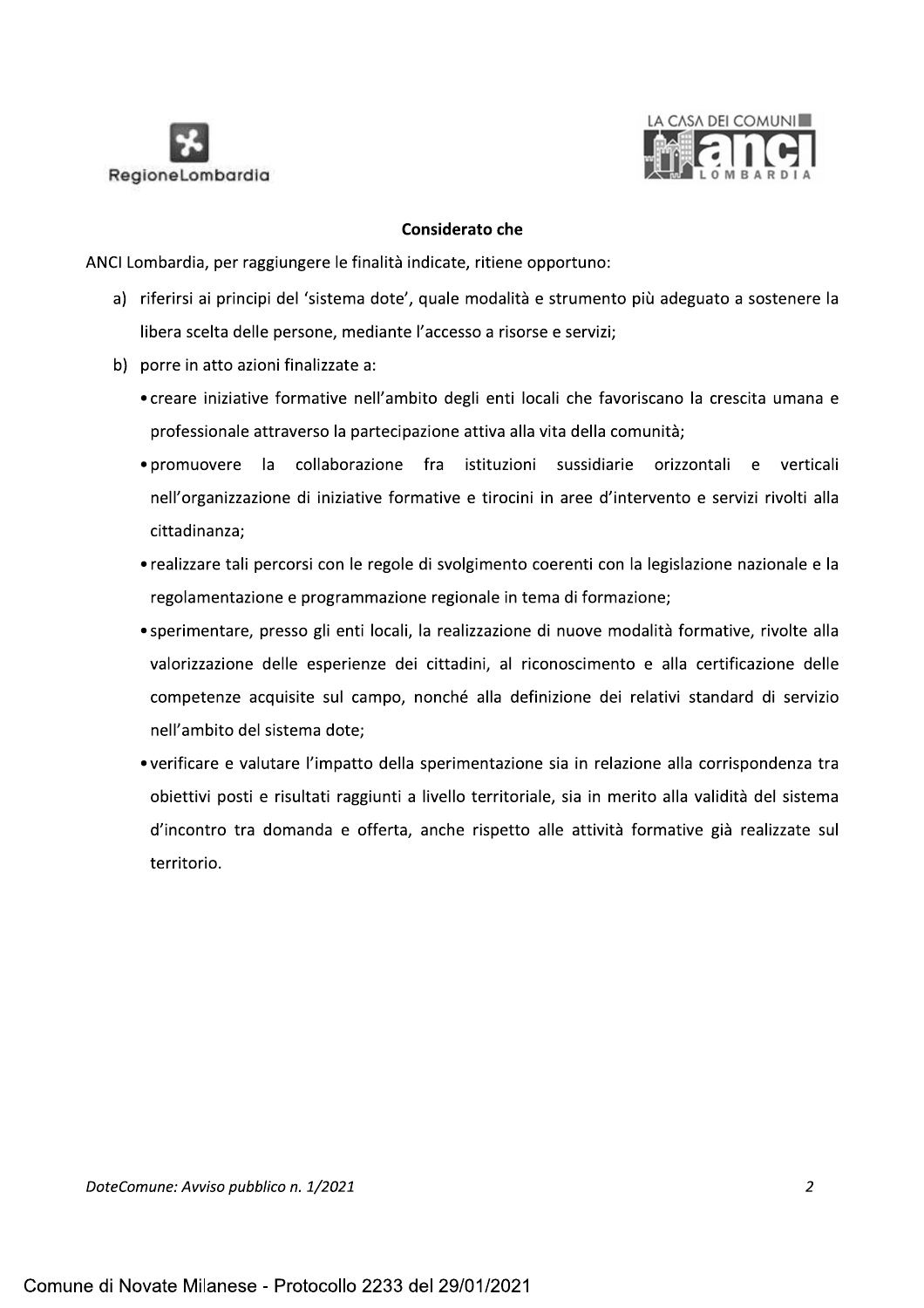



### **Considerato che**

ANCI Lombardia, per raggiungere le finalità indicate, ritiene opportuno:

- a) riferirsi ai principi del 'sistema dote', quale modalità e strumento più adeguato a sostenere la libera scelta delle persone, mediante l'accesso a risorse e servizi;
- b) porre in atto azioni finalizzate a:
	- creare iniziative formative nell'ambito degli enti locali che favoriscano la crescita umana e professionale attraverso la partecipazione attiva alla vita della comunità;
	- · promuovere la collaborazione fra istituzioni sussidiarie orizzontali e verticali nell'organizzazione di iniziative formative e tirocini in aree d'intervento e servizi rivolti alla cittadinanza;
	- realizzare tali percorsi con le regole di svolgimento coerenti con la legislazione nazionale e la regolamentazione e programmazione regionale in tema di formazione;
	- sperimentare, presso gli enti locali, la realizzazione di nuove modalità formative, rivolte alla valorizzazione delle esperienze dei cittadini, al riconoscimento e alla certificazione delle competenze acquisite sul campo, nonché alla definizione dei relativi standard di servizio nell'ambito del sistema dote:
	- verificare e valutare l'impatto della sperimentazione sia in relazione alla corrispondenza tra obiettivi posti e risultati raggiunti a livello territoriale, sia in merito alla validità del sistema d'incontro tra domanda e offerta, anche rispetto alle attività formative già realizzate sul territorio.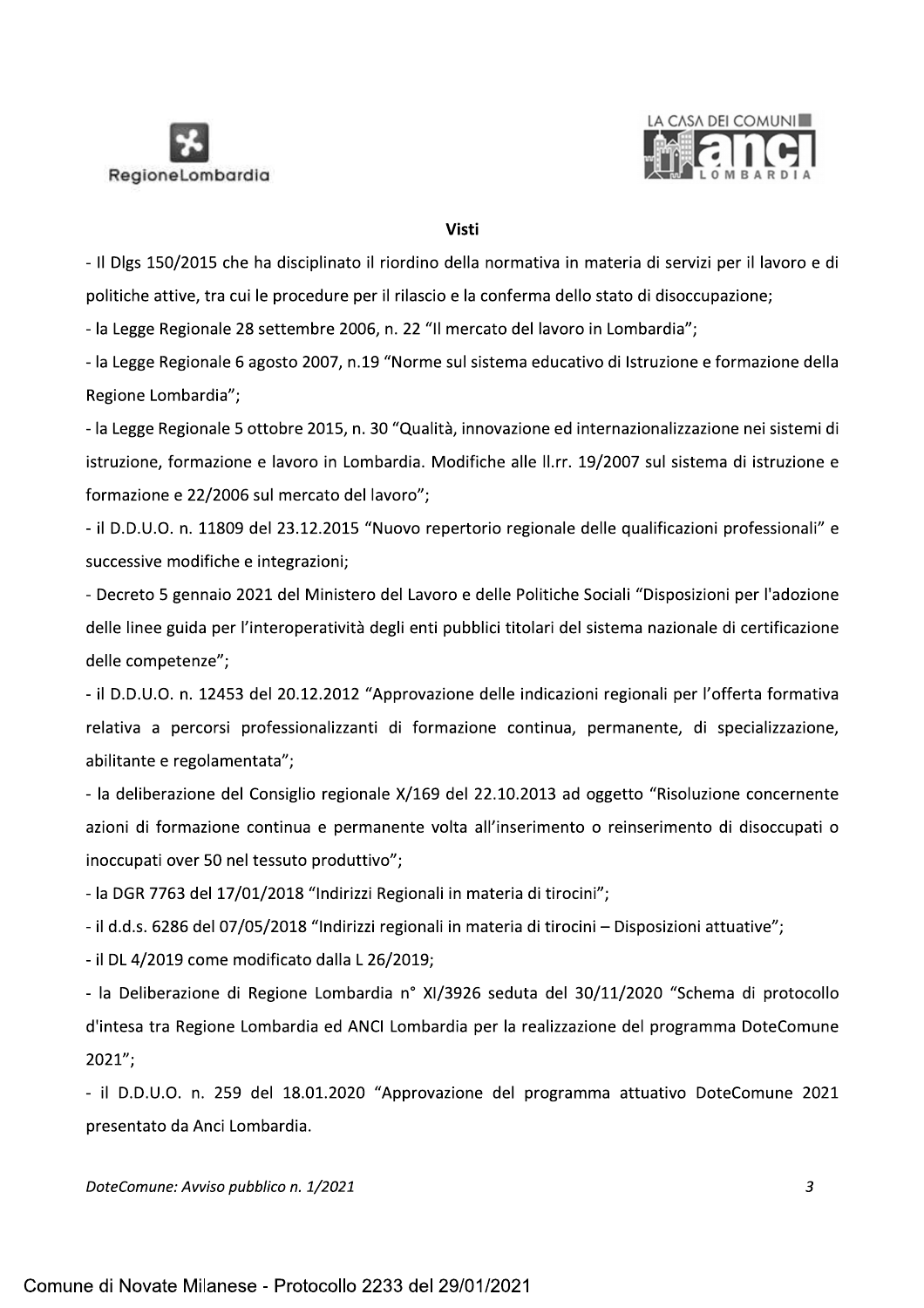



### **Visti**

- Il Dlgs 150/2015 che ha disciplinato il riordino della normativa in materia di servizi per il lavoro e di politiche attive, tra cui le procedure per il rilascio e la conferma dello stato di disoccupazione;

- la Legge Regionale 28 settembre 2006, n. 22 "Il mercato del lavoro in Lombardia";

- la Legge Regionale 6 agosto 2007, n.19 "Norme sul sistema educativo di Istruzione e formazione della Regione Lombardia";

- la Legge Regionale 5 ottobre 2015, n. 30 "Qualità, innovazione ed internazionalizzazione nei sistemi di istruzione, formazione e lavoro in Lombardia. Modifiche alle II.rr. 19/2007 sul sistema di istruzione e formazione e 22/2006 sul mercato del lavoro";

- il D.D.U.O. n. 11809 del 23.12.2015 "Nuovo repertorio regionale delle qualificazioni professionali" e successive modifiche e integrazioni;

- Decreto 5 gennaio 2021 del Ministero del Lavoro e delle Politiche Sociali "Disposizioni per l'adozione delle linee guida per l'interoperatività degli enti pubblici titolari del sistema nazionale di certificazione delle competenze";

- il D.D.U.O. n. 12453 del 20.12.2012 "Approvazione delle indicazioni regionali per l'offerta formativa relativa a percorsi professionalizzanti di formazione continua, permanente, di specializzazione, abilitante e regolamentata";

- la deliberazione del Consiglio regionale X/169 del 22.10.2013 ad oggetto "Risoluzione concernente azioni di formazione continua e permanente volta all'inserimento o reinserimento di disoccupati o inoccupati over 50 nel tessuto produttivo";

- la DGR 7763 del 17/01/2018 "Indirizzi Regionali in materia di tirocini";

- il d.d.s. 6286 del 07/05/2018 "Indirizzi regionali in materia di tirocini - Disposizioni attuative";

- il DL 4/2019 come modificato dalla L 26/2019;

- la Deliberazione di Regione Lombardia nº XI/3926 seduta del 30/11/2020 "Schema di protocollo d'intesa tra Regione Lombardia ed ANCI Lombardia per la realizzazione del programma DoteComune  $2021''$ ;

- il D.D.U.O. n. 259 del 18.01.2020 "Approvazione del programma attuativo DoteComune 2021 presentato da Anci Lombardia.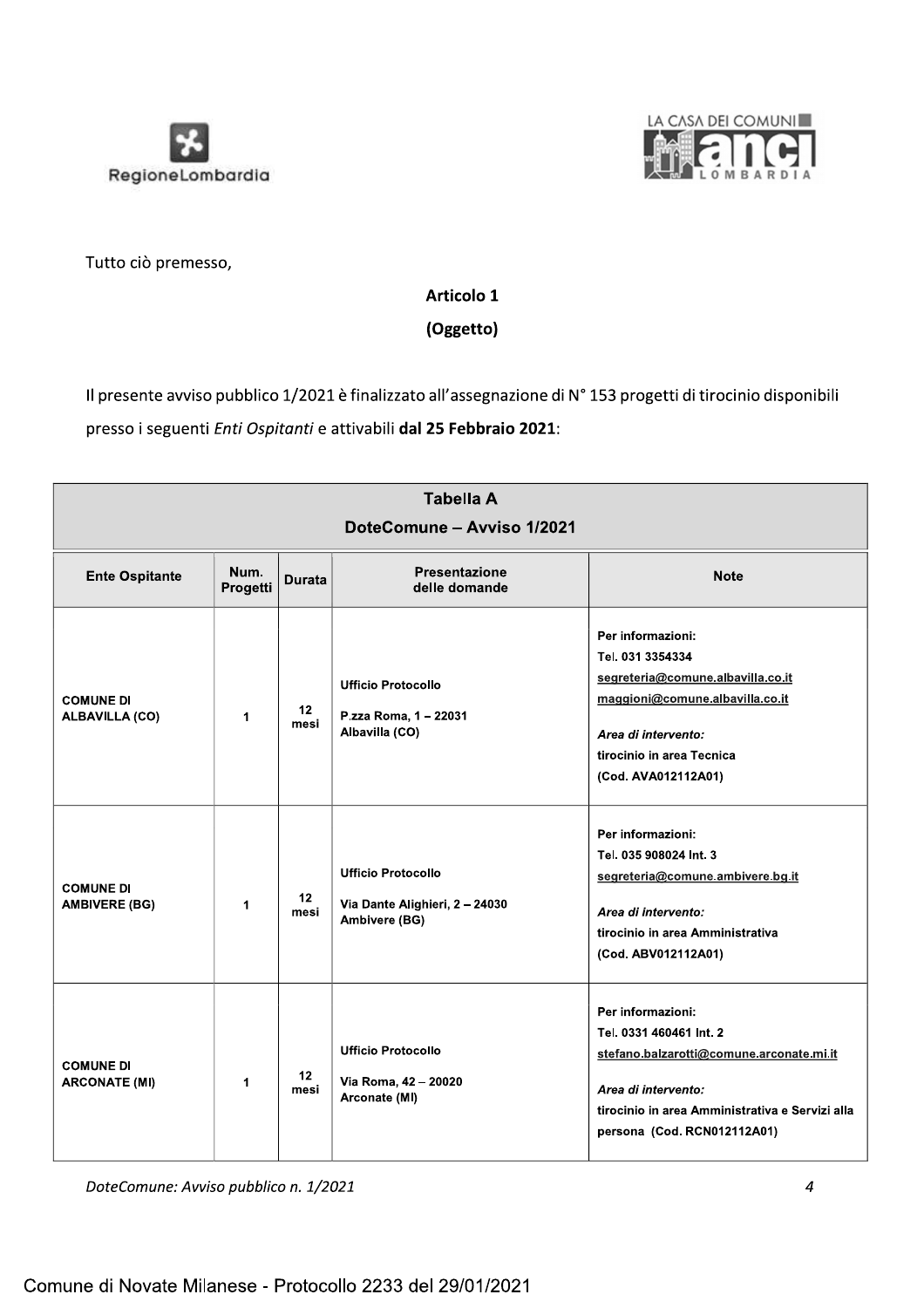



Tutto ciò premesso,

# Articolo 1

(Oggetto)

Il presente avviso pubblico 1/2021 è finalizzato all'assegnazione di N° 153 progetti di tirocinio disponibili presso i seguenti Enti Ospitanti e attivabili dal 25 Febbraio 2021:

| <b>Tabella A</b><br>DoteComune - Avviso 1/2021 |                  |                 |                                                                              |                                                                                                                                                                                                   |  |
|------------------------------------------------|------------------|-----------------|------------------------------------------------------------------------------|---------------------------------------------------------------------------------------------------------------------------------------------------------------------------------------------------|--|
| <b>Ente Ospitante</b>                          | Num.<br>Progetti | <b>Durata</b>   | <b>Presentazione</b><br>delle domande                                        | <b>Note</b>                                                                                                                                                                                       |  |
| <b>COMUNE DI</b><br><b>ALBAVILLA (CO)</b>      | 1                | $12 \,$<br>mesi | <b>Ufficio Protocollo</b><br>P.zza Roma, 1 - 22031<br>Albavilla (CO)         | Per informazioni:<br>Tel. 031 3354334<br>segreteria@comune.albavilla.co.it<br>maggioni@comune.albavilla.co.it<br>Area di intervento:<br>tirocinio in area Tecnica<br>(Cod. AVA012112A01)          |  |
| <b>COMUNE DI</b><br><b>AMBIVERE (BG)</b>       | 1                | 12<br>mesi      | <b>Ufficio Protocollo</b><br>Via Dante Alighieri, 2 - 24030<br>Ambivere (BG) | Per informazioni:<br>Tel. 035 908024 Int. 3<br>segreteria@comune.ambivere.bg.it<br>Area di intervento:<br>tirocinio in area Amministrativa<br>(Cod. ABV012112A01)                                 |  |
| <b>COMUNE DI</b><br><b>ARCONATE (MI)</b>       | 1                | 12<br>mesi      | <b>Ufficio Protocollo</b><br>Via Roma, 42 - 20020<br>Arconate (MI)           | Per informazioni:<br>Tel. 0331 460461 Int. 2<br>stefano.balzarotti@comune.arconate.mi.it<br>Area di intervento:<br>tirocinio in area Amministrativa e Servizi alla<br>persona (Cod. RCN012112A01) |  |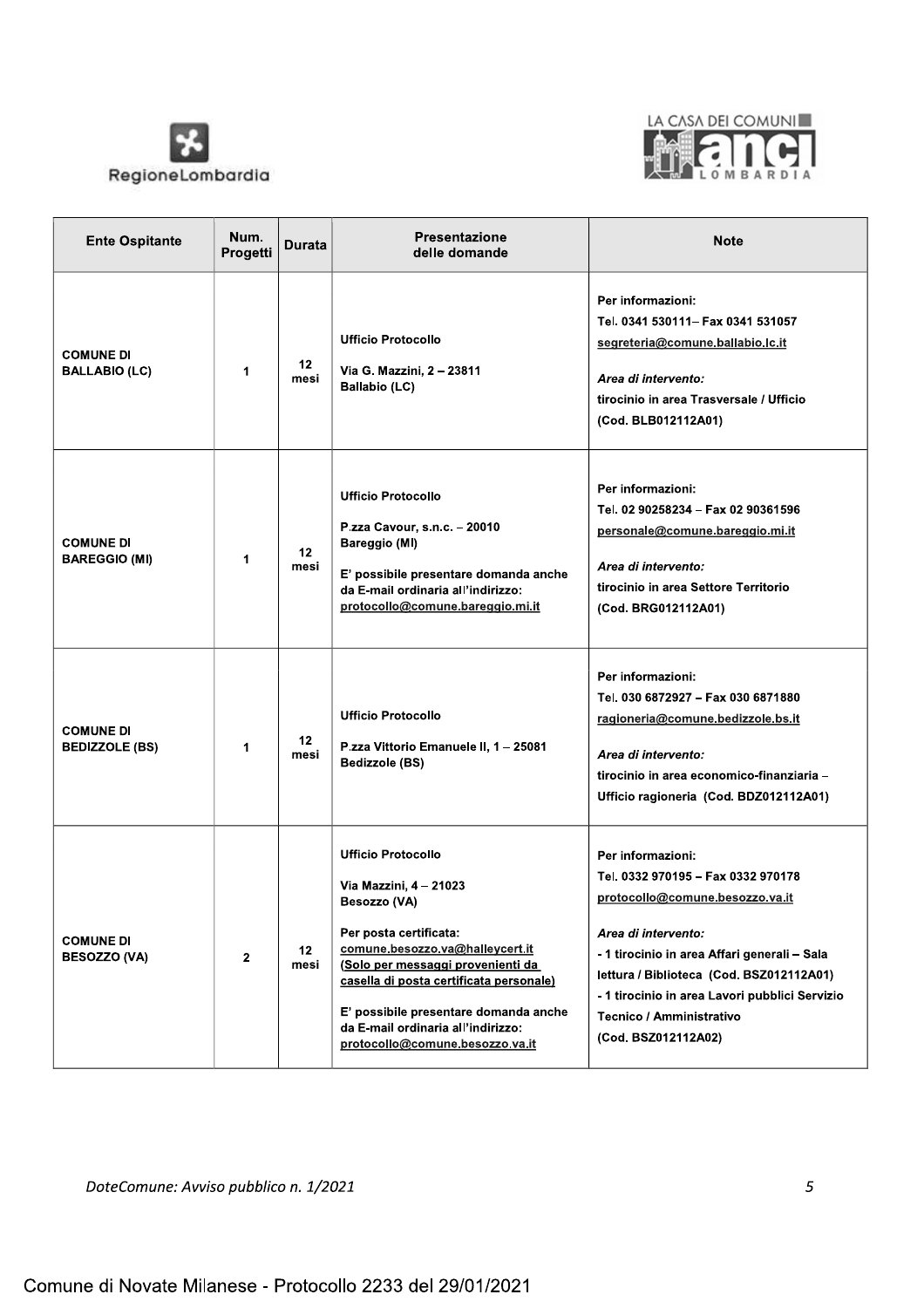



| <b>Ente Ospitante</b>                     | Num.<br>Progetti | Durata                  | <b>Presentazione</b><br>delle domande                                                                                                                                                                                                                                                                                              | <b>Note</b>                                                                                                                                                                                                                                                                                                        |
|-------------------------------------------|------------------|-------------------------|------------------------------------------------------------------------------------------------------------------------------------------------------------------------------------------------------------------------------------------------------------------------------------------------------------------------------------|--------------------------------------------------------------------------------------------------------------------------------------------------------------------------------------------------------------------------------------------------------------------------------------------------------------------|
| <b>COMUNE DI</b><br><b>BALLABIO (LC)</b>  | 1                | 12<br>mesi              | <b>Ufficio Protocollo</b><br>Via G. Mazzini, 2 - 23811<br><b>Ballabio (LC)</b>                                                                                                                                                                                                                                                     | Per informazioni:<br>Tel. 0341 530111- Fax 0341 531057<br>segreteria@comune.ballabio.lc.it<br>Area di intervento:<br>tirocinio in area Trasversale / Ufficio<br>(Cod. BLB012112A01)                                                                                                                                |
| <b>COMUNE DI</b><br><b>BAREGGIO (MI)</b>  | 1                | 12 <sub>2</sub><br>mesi | <b>Ufficio Protocollo</b><br>P.zza Cavour, s.n.c. - 20010<br><b>Bareggio (MI)</b><br>E' possibile presentare domanda anche<br>da E-mail ordinaria all'indirizzo:<br>protocollo@comune.bareggio.mi.it                                                                                                                               | Per informazioni:<br>Tel. 02 90258234 - Fax 02 90361596<br>personale@comune.bareggio.mi.it<br>Area di intervento:<br>tirocinio in area Settore Territorio<br>(Cod. BRG012112A01)                                                                                                                                   |
| <b>COMUNE DI</b><br><b>BEDIZZOLE (BS)</b> | $\mathbf 1$      | 12<br>mesi              | <b>Ufficio Protocollo</b><br>P.zza Vittorio Emanuele II, 1 - 25081<br>Bedizzole (BS)                                                                                                                                                                                                                                               | Per informazioni:<br>Tel. 030 6872927 - Fax 030 6871880<br>ragioneria@comune.bedizzole.bs.it<br>Area di intervento:<br>tirocinio in area economico-finanziaria -<br>Ufficio ragioneria (Cod. BDZ012112A01)                                                                                                         |
| <b>COMUNE DI</b><br><b>BESOZZO (VA)</b>   | $\mathbf{2}$     | 12 <sup>2</sup><br>mesi | <b>Ufficio Protocollo</b><br>Via Mazzini, 4 - 21023<br>Besozzo (VA)<br>Per posta certificata:<br>comune.besozzo.va@halleycert.it<br>(Solo per messaggi provenienti da<br>casella di posta certificata personale)<br>E' possibile presentare domanda anche<br>da E-mail ordinaria all'indirizzo:<br>protocollo@comune.besozzo.va.it | Per informazioni:<br>Tel. 0332 970195 - Fax 0332 970178<br>protocollo@comune.besozzo.va.it<br>Area di intervento:<br>- 1 tirocinio in area Affari generali - Sala<br>lettura / Biblioteca (Cod. BSZ012112A01)<br>- 1 tirocinio in area Lavori pubblici Servizio<br>Tecnico / Amministrativo<br>(Cod. BSZ012112A02) |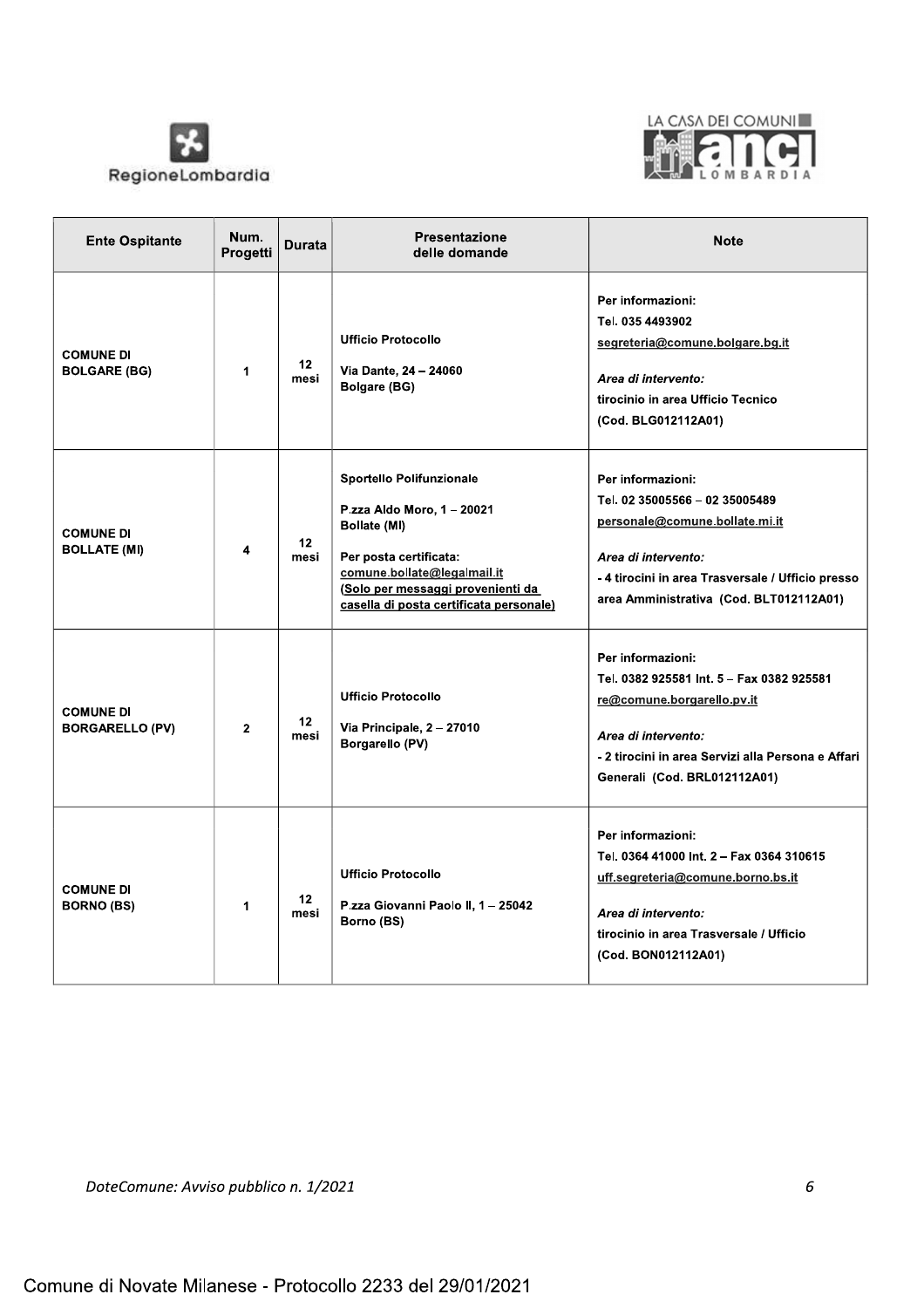



| <b>Ente Ospitante</b>                      | Num.<br>Progetti | <b>Durata</b>           | <b>Presentazione</b><br>delle domande                                                                                                                                                                           | <b>Note</b>                                                                                                                                                                                                 |
|--------------------------------------------|------------------|-------------------------|-----------------------------------------------------------------------------------------------------------------------------------------------------------------------------------------------------------------|-------------------------------------------------------------------------------------------------------------------------------------------------------------------------------------------------------------|
| <b>COMUNE DI</b><br><b>BOLGARE (BG)</b>    | $\mathbf 1$      | 12 <sup>2</sup><br>mesi | <b>Ufficio Protocollo</b><br>Via Dante, 24 - 24060<br><b>Bolgare (BG)</b>                                                                                                                                       | Per informazioni:<br>Tel. 035 4493902<br>segreteria@comune.bolgare.bg.it<br>Area di intervento:<br>tirocinio in area Ufficio Tecnico<br>(Cod. BLG012112A01)                                                 |
| <b>COMUNE DI</b><br><b>BOLLATE (MI)</b>    | 4                | 12 <sub>2</sub><br>mesi | Sportello Polifunzionale<br>P.zza Aldo Moro, 1 - 20021<br>Bollate (MI)<br>Per posta certificata:<br>comune.bollate@legalmail.it<br>(Solo per messaggi provenienti da<br>casella di posta certificata personale) | Per informazioni:<br>Tel. 02 35005566 - 02 35005489<br>personale@comune.bollate.mi.it<br>Area di intervento:<br>-4 tirocini in area Trasversale / Ufficio presso<br>area Amministrativa (Cod. BLT012112A01) |
| <b>COMUNE DI</b><br><b>BORGARELLO (PV)</b> | $\overline{2}$   | 12 <sup>2</sup><br>mesi | <b>Ufficio Protocollo</b><br>Via Principale, 2 - 27010<br>Borgarello (PV)                                                                                                                                       | Per informazioni:<br>Tel. 0382 925581 Int. 5 - Fax 0382 925581<br>re@comune.borgarello.pv.it<br>Area di intervento:<br>- 2 tirocini in area Servizi alla Persona e Affari<br>Generali (Cod. BRL012112A01)   |
| <b>COMUNE DI</b><br><b>BORNO (BS)</b>      | 1                | 12 <sup>2</sup><br>mesi | <b>Ufficio Protocollo</b><br>P.zza Giovanni Paolo II, 1 - 25042<br>Borno (BS)                                                                                                                                   | Per informazioni:<br>Tel. 0364 41000 Int. 2 - Fax 0364 310615<br>uff.segreteria@comune.borno.bs.it<br>Area di intervento:<br>tirocinio in area Trasversale / Ufficio<br>(Cod. BON012112A01)                 |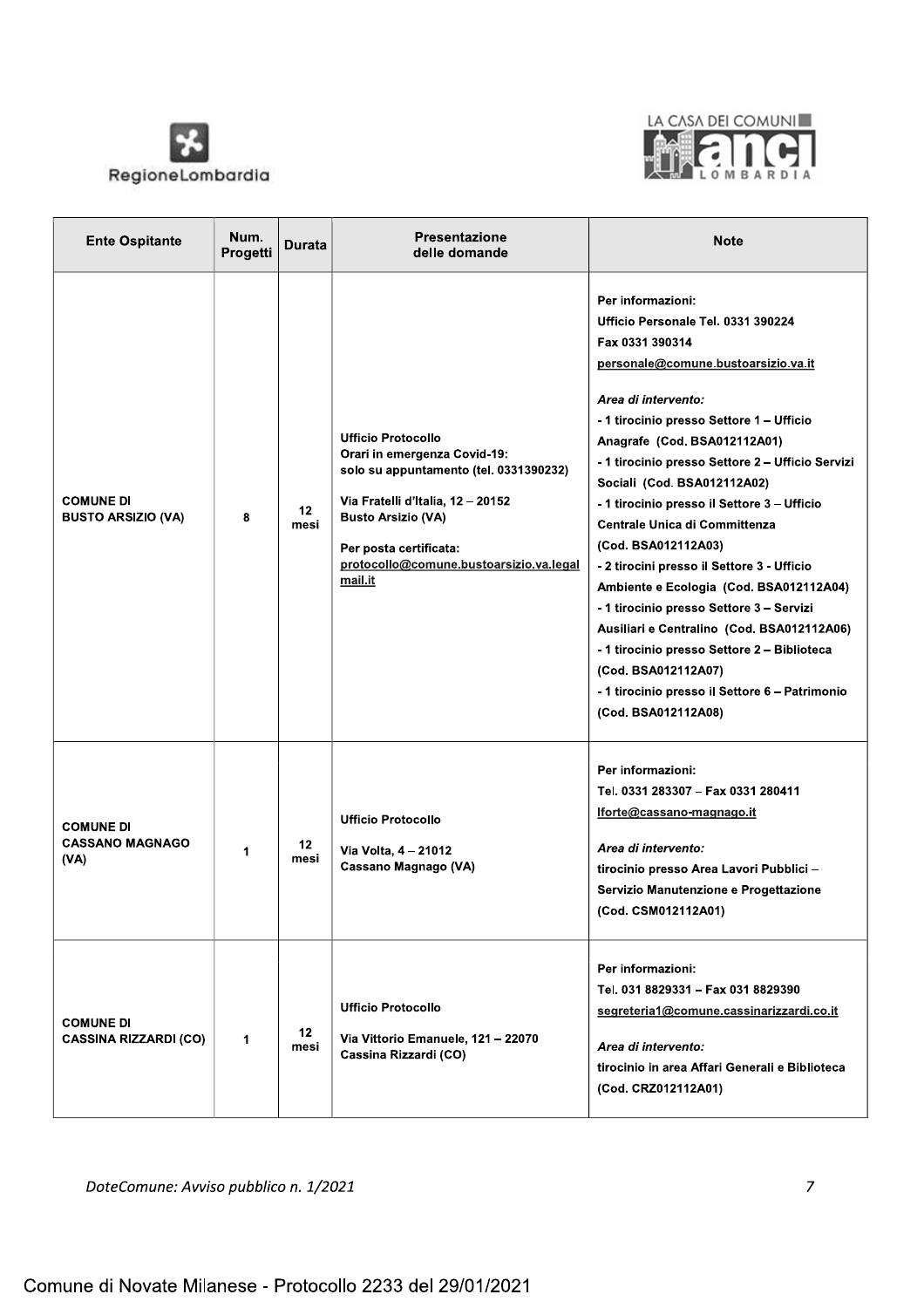



| <b>Ente Ospitante</b>                              | Num.<br>Progetti     | Durata                  | Presentazione<br>delle domande                                                                                                                                                                                                                        | <b>Note</b>                                                                                                                                                                                                                                                                                                                                                                                                                                                                                                                                                                                                                                                                                                                                            |
|----------------------------------------------------|----------------------|-------------------------|-------------------------------------------------------------------------------------------------------------------------------------------------------------------------------------------------------------------------------------------------------|--------------------------------------------------------------------------------------------------------------------------------------------------------------------------------------------------------------------------------------------------------------------------------------------------------------------------------------------------------------------------------------------------------------------------------------------------------------------------------------------------------------------------------------------------------------------------------------------------------------------------------------------------------------------------------------------------------------------------------------------------------|
| <b>COMUNE DI</b><br><b>BUSTO ARSIZIO (VA)</b>      | 8                    | 12 <sup>2</sup><br>mesi | <b>Ufficio Protocollo</b><br>Orari in emergenza Covid-19:<br>solo su appuntamento (tel. 0331390232)<br>Via Fratelli d'Italia, 12 - 20152<br><b>Busto Arsizio (VA)</b><br>Per posta certificata:<br>protocollo@comune.bustoarsizio.va.legal<br>mail.it | Per informazioni:<br>Ufficio Personale Tel. 0331 390224<br>Fax 0331 390314<br>personale@comune.bustoarsizio.va.it<br>Area di intervento:<br>- 1 tirocinio presso Settore 1 - Ufficio<br>Anagrafe (Cod. BSA012112A01)<br>- 1 tirocinio presso Settore 2 - Ufficio Servizi<br>Sociali (Cod. BSA012112A02)<br>- 1 tirocinio presso il Settore 3 - Ufficio<br><b>Centrale Unica di Committenza</b><br>(Cod. BSA012112A03)<br>- 2 tirocini presso il Settore 3 - Ufficio<br>Ambiente e Ecologia (Cod. BSA012112A04)<br>- 1 tirocinio presso Settore 3 - Servizi<br>Ausiliari e Centralino (Cod. BSA012112A06)<br>-1 tirocinio presso Settore 2 - Biblioteca<br>(Cod. BSA012112A07)<br>- 1 tirocinio presso il Settore 6 - Patrimonio<br>(Cod. BSA012112A08) |
| <b>COMUNE DI</b><br><b>CASSANO MAGNAGO</b><br>(VA) | 1                    | 12<br>mesi              | <b>Ufficio Protocollo</b><br>Via Volta, 4 - 21012<br>Cassano Magnago (VA)                                                                                                                                                                             | Per informazioni:<br>Tel. 0331 283307 - Fax 0331 280411<br>lforte@cassano-magnago.it<br>Area di intervento:<br>tirocinio presso Area Lavori Pubblici -<br>Servizio Manutenzione e Progettazione<br>(Cod. CSM012112A01)                                                                                                                                                                                                                                                                                                                                                                                                                                                                                                                                 |
| <b>COMUNE DI</b><br><b>CASSINA RIZZARDI (CO)</b>   | $\blacktriangleleft$ | 12<br>mesi              | <b>Ufficio Protocollo</b><br>Via Vittorio Emanuele, 121 - 22070<br>Cassina Rizzardi (CO)                                                                                                                                                              | Per informazioni:<br>Tel. 031 8829331 - Fax 031 8829390<br>segreteria1@comune.cassinarizzardi.co.it<br>Area di intervento:<br>tirocinio in area Affari Generali e Biblioteca<br>(Cod. CRZ012112A01)                                                                                                                                                                                                                                                                                                                                                                                                                                                                                                                                                    |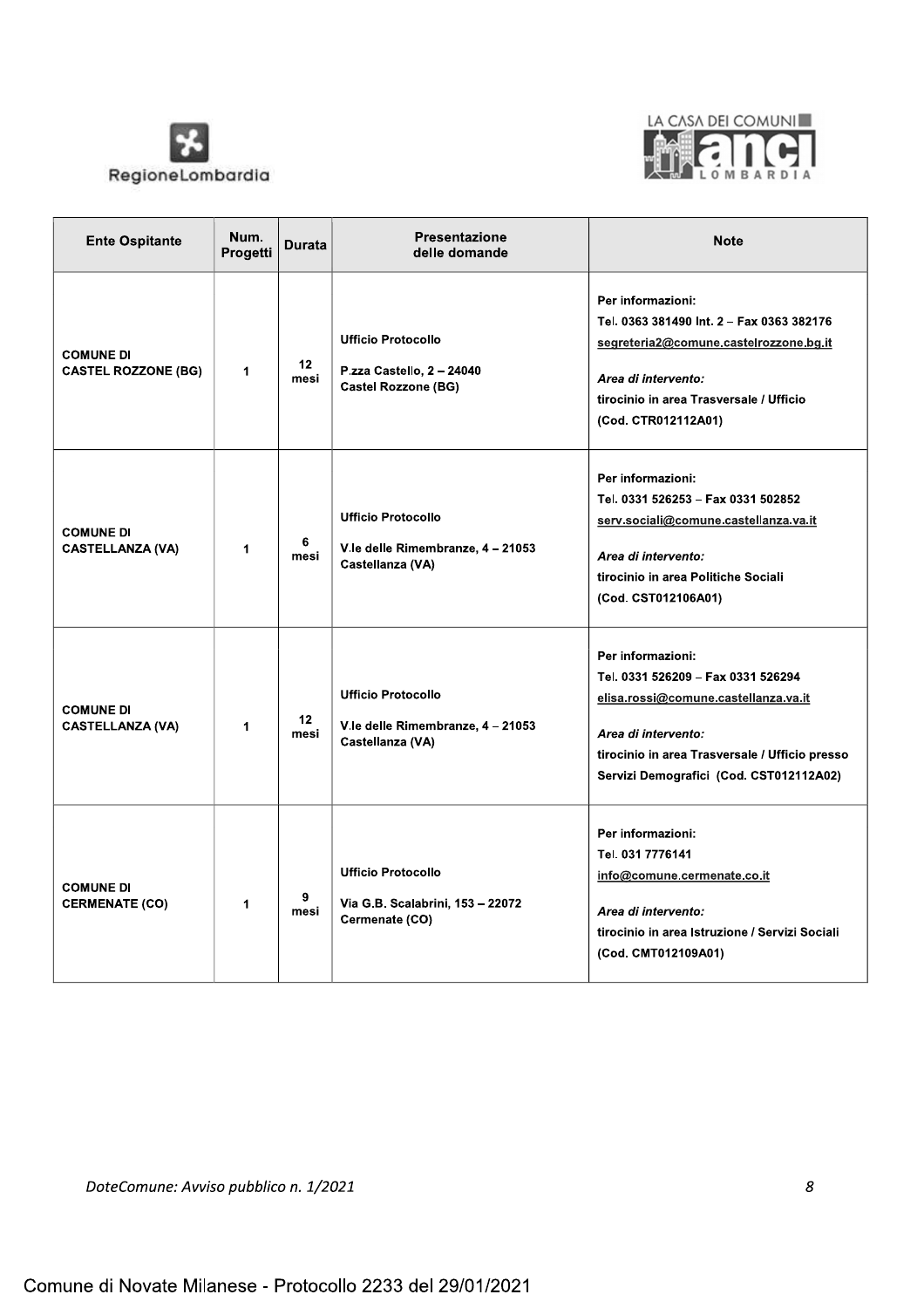



| <b>Ente Ospitante</b>                          | Num.<br>Progetti | <b>Durata</b> | Presentazione<br>delle domande                                                       | <b>Note</b>                                                                                                                                                                                                         |
|------------------------------------------------|------------------|---------------|--------------------------------------------------------------------------------------|---------------------------------------------------------------------------------------------------------------------------------------------------------------------------------------------------------------------|
| <b>COMUNE DI</b><br><b>CASTEL ROZZONE (BG)</b> | 1                | 12<br>mesi    | <b>Ufficio Protocollo</b><br>P.zza Castello, 2 - 24040<br><b>Castel Rozzone (BG)</b> | Per informazioni:<br>Tel. 0363 381490 Int. 2 - Fax 0363 382176<br>segreteria2@comune.castelrozzone.bg.it<br>Area di intervento:<br>tirocinio in area Trasversale / Ufficio<br>(Cod. CTR012112A01)                   |
| <b>COMUNE DI</b><br><b>CASTELLANZA (VA)</b>    | 1                | 6<br>mesi     | <b>Ufficio Protocollo</b><br>V.le delle Rimembranze, 4-21053<br>Castellanza (VA)     | Per informazioni:<br>Tel. 0331 526253 - Fax 0331 502852<br>serv.sociali@comune.castellanza.va.it<br>Area di intervento:<br>tirocinio in area Politiche Sociali<br>(Cod. CST012106A01)                               |
| <b>COMUNE DI</b><br><b>CASTELLANZA (VA)</b>    | $\mathbf{1}$     | 12<br>mesi    | <b>Ufficio Protocollo</b><br>V.le delle Rimembranze, 4 - 21053<br>Castellanza (VA)   | Per informazioni:<br>Tel. 0331 526209 - Fax 0331 526294<br>elisa.rossi@comune.castellanza.va.it<br>Area di intervento:<br>tirocinio in area Trasversale / Ufficio presso<br>Servizi Demografici (Cod. CST012112A02) |
| <b>COMUNE DI</b><br><b>CERMENATE (CO)</b>      | 1                | 9<br>mesi     | <b>Ufficio Protocollo</b><br>Via G.B. Scalabrini, 153 - 22072<br>Cermenate (CO)      | Per informazioni:<br>Tel. 031 7776141<br>info@comune.cermenate.co.it<br>Area di intervento:<br>tirocinio in area Istruzione / Servizi Sociali<br>(Cod. CMT012109A01)                                                |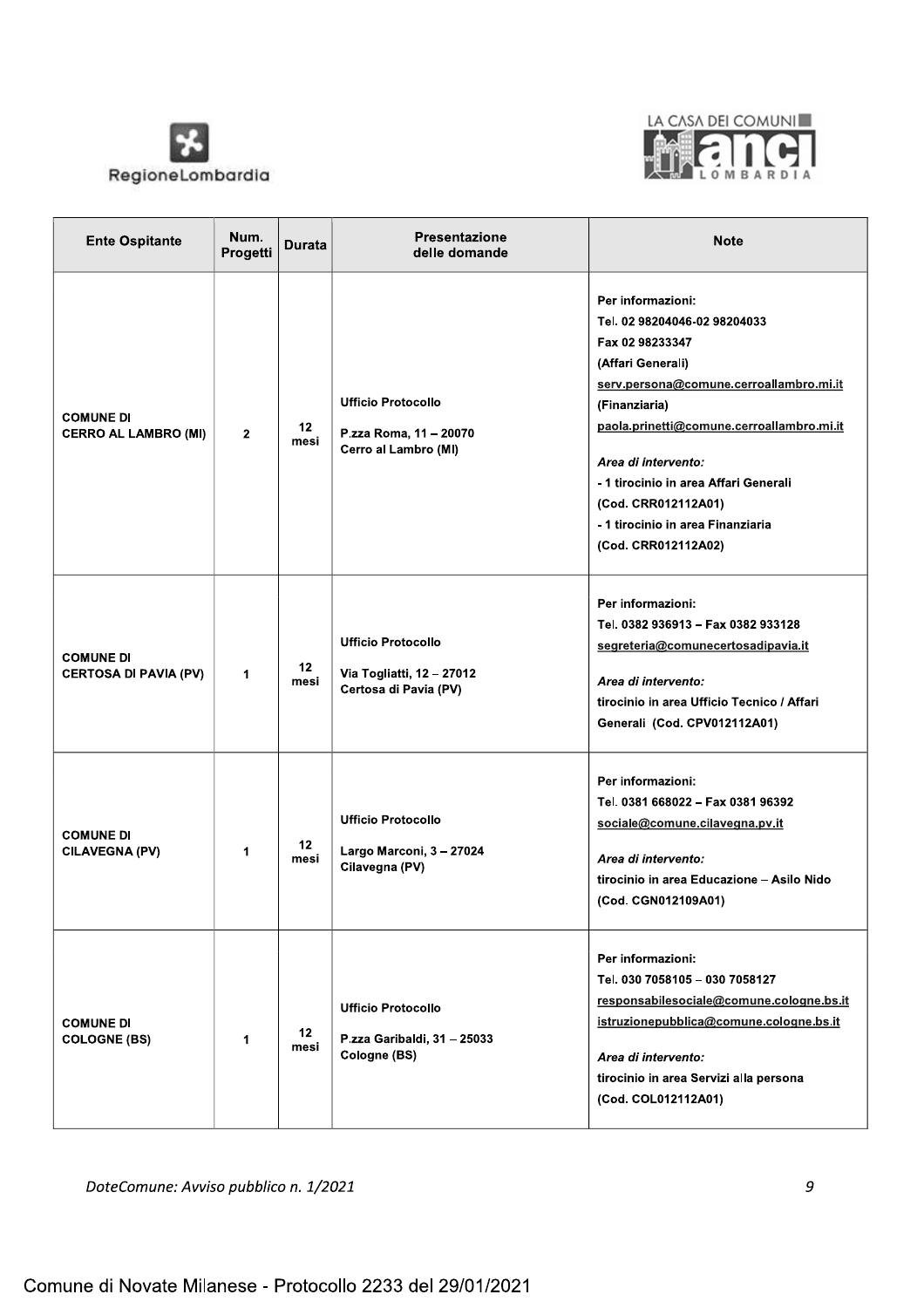



| <b>Ente Ospitante</b>                            | Num.<br>Progetti | Durata                  | <b>Presentazione</b><br>delle domande                                           | <b>Note</b>                                                                                                                                                                                                                                                                                                                                           |
|--------------------------------------------------|------------------|-------------------------|---------------------------------------------------------------------------------|-------------------------------------------------------------------------------------------------------------------------------------------------------------------------------------------------------------------------------------------------------------------------------------------------------------------------------------------------------|
| <b>COMUNE DI</b><br><b>CERRO AL LAMBRO (MI)</b>  | $\mathbf{2}$     | 12<br>mesi              | <b>Ufficio Protocollo</b><br>P.zza Roma, 11 - 20070<br>Cerro al Lambro (MI)     | Per informazioni:<br>Tel. 02 98204046-02 98204033<br>Fax 02 98233347<br>(Affari Generali)<br>serv.persona@comune.cerroallambro.mi.it<br>(Finanziaria)<br>paola.prinetti@comune.cerroallambro.mi.it<br>Area di intervento:<br>- 1 tirocinio in area Affari Generali<br>(Cod. CRR012112A01)<br>- 1 tirocinio in area Finanziaria<br>(Cod. CRR012112A02) |
| <b>COMUNE DI</b><br><b>CERTOSA DI PAVIA (PV)</b> | 1                | 12<br>mesi              | <b>Ufficio Protocollo</b><br>Via Togliatti, 12 - 27012<br>Certosa di Pavia (PV) | Per informazioni:<br>Tel. 0382 936913 - Fax 0382 933128<br>segreteria@comunecertosadipavia.it<br>Area di intervento:<br>tirocinio in area Ufficio Tecnico / Affari<br>Generali (Cod. CPV012112A01)                                                                                                                                                    |
| <b>COMUNE DI</b><br><b>CILAVEGNA (PV)</b>        | 1                | 12 <sup>2</sup><br>mesi | <b>Ufficio Protocollo</b><br>Largo Marconi, 3 - 27024<br>Cilavegna (PV)         | Per informazioni:<br>Tel. 0381 668022 - Fax 0381 96392<br>sociale@comune.cilavegna.pv.it<br>Area di intervento:<br>tirocinio in area Educazione - Asilo Nido<br>(Cod. CGN012109A01)                                                                                                                                                                   |
| <b>COMUNE DI</b><br><b>COLOGNE (BS)</b>          | 1                | 12<br>mesi              | <b>Ufficio Protocollo</b><br>P.zza Garibaldi, 31 - 25033<br>Cologne (BS)        | Per informazioni:<br>Tel. 030 7058105 - 030 7058127<br>responsabilesociale@comune.cologne.bs.it<br>istruzionepubblica@comune.cologne.bs.it<br>Area di intervento:<br>tirocinio in area Servizi alla persona<br>(Cod. COL012112A01)                                                                                                                    |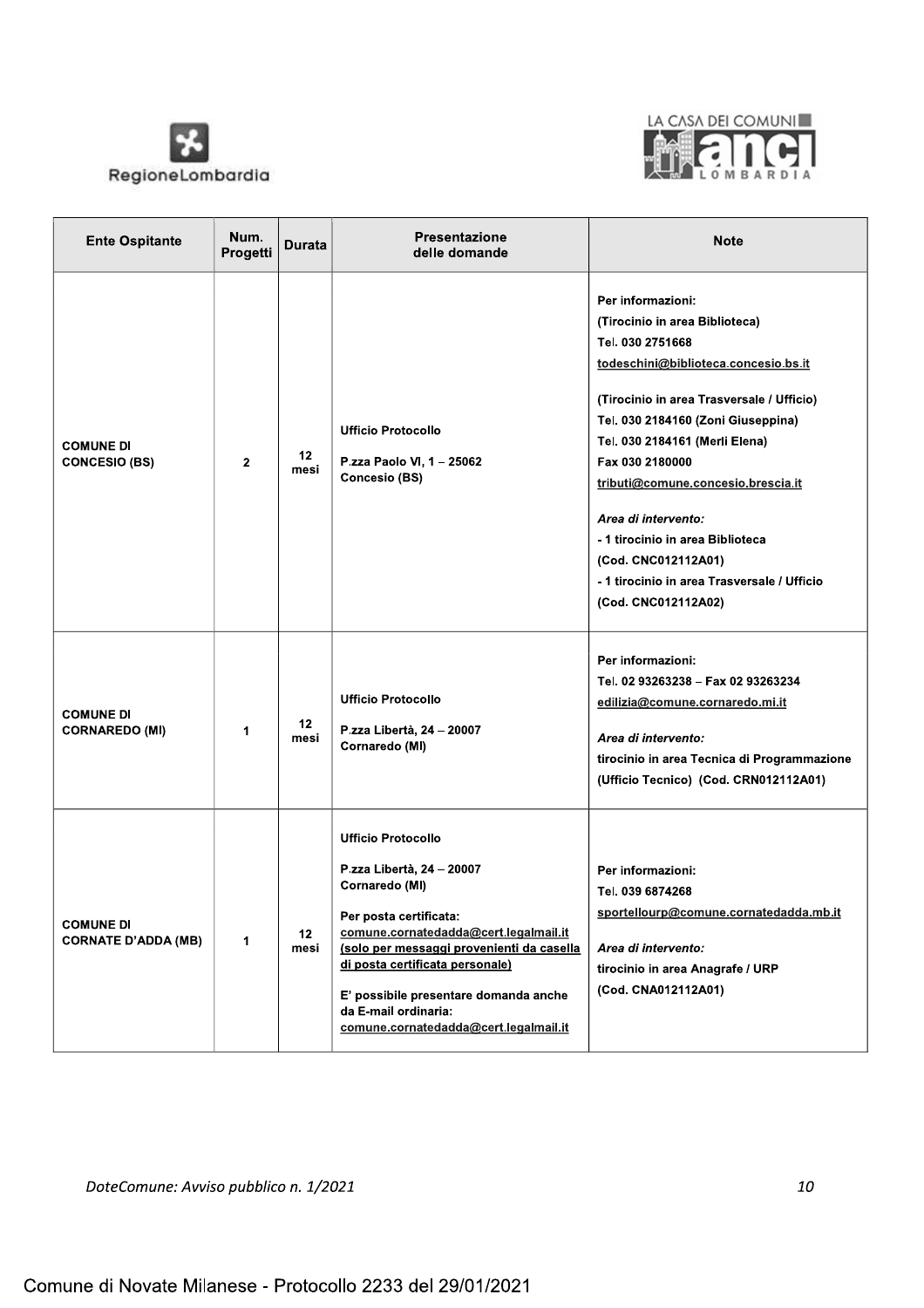



| <b>Ente Ospitante</b>                          | Num.<br>Progetti | Durata                  | <b>Presentazione</b><br>delle domande                                                                                                                                                                                                                                                                                                 | <b>Note</b>                                                                                                                                                                                                                                                                                                                                                                                                                                           |
|------------------------------------------------|------------------|-------------------------|---------------------------------------------------------------------------------------------------------------------------------------------------------------------------------------------------------------------------------------------------------------------------------------------------------------------------------------|-------------------------------------------------------------------------------------------------------------------------------------------------------------------------------------------------------------------------------------------------------------------------------------------------------------------------------------------------------------------------------------------------------------------------------------------------------|
| <b>COMUNE DI</b><br><b>CONCESIO (BS)</b>       | $\overline{2}$   | 12<br>mesi              | <b>Ufficio Protocollo</b><br>P.zza Paolo VI, 1 - 25062<br><b>Concesio (BS)</b>                                                                                                                                                                                                                                                        | Per informazioni:<br>(Tirocinio in area Biblioteca)<br>Tel. 030 2751668<br>todeschini@biblioteca.concesio.bs.it<br>(Tirocinio in area Trasversale / Ufficio)<br>Tel. 030 2184160 (Zoni Giuseppina)<br>Tel. 030 2184161 (Merli Elena)<br>Fax 030 2180000<br>tributi@comune.concesio.brescia.it<br>Area di intervento:<br>- 1 tirocinio in area Biblioteca<br>(Cod. CNC012112A01)<br>- 1 tirocinio in area Trasversale / Ufficio<br>(Cod. CNC012112A02) |
| <b>COMUNE DI</b><br><b>CORNAREDO (MI)</b>      | 1                | 12 <sup>°</sup><br>mesi | <b>Ufficio Protocollo</b><br>P.zza Libertà, 24 - 20007<br>Cornaredo (MI)                                                                                                                                                                                                                                                              | Per informazioni:<br>Tel. 02 93263238 - Fax 02 93263234<br>edilizia@comune.cornaredo.mi.it<br>Area di intervento:<br>tirocinio in area Tecnica di Programmazione<br>(Ufficio Tecnico) (Cod. CRN012112A01)                                                                                                                                                                                                                                             |
| <b>COMUNE DI</b><br><b>CORNATE D'ADDA (MB)</b> | 1                | 12<br>mesi              | <b>Ufficio Protocollo</b><br>P.zza Libertà, 24 - 20007<br>Cornaredo (MI)<br>Per posta certificata:<br>comune.cornatedadda@cert.legalmail.it<br>(solo per messaggi provenienti da casella<br>di posta certificata personale)<br>E' possibile presentare domanda anche<br>da E-mail ordinaria:<br>comune.cornatedadda@cert.legalmail.it | Per informazioni:<br>Tel. 039 6874268<br>sportellourp@comune.cornatedadda.mb.it<br>Area di intervento:<br>tirocinio in area Anagrafe / URP<br>(Cod. CNA012112A01)                                                                                                                                                                                                                                                                                     |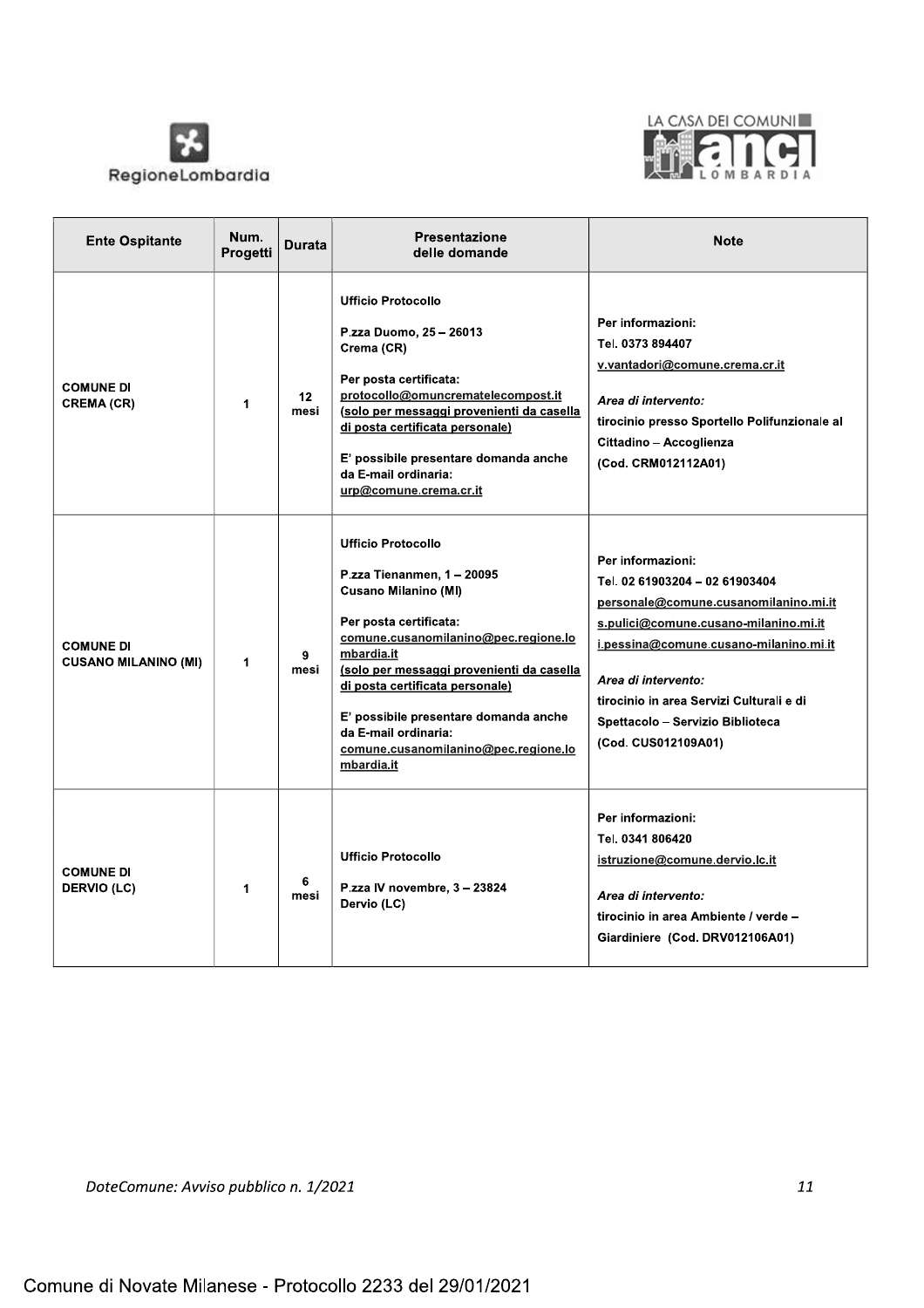



| <b>Ente Ospitante</b>                           | Num.<br>Progetti | Durata                  | <b>Presentazione</b><br>delle domande                                                                                                                                                                                                                                                                                                                                         | <b>Note</b>                                                                                                                                                                                                                                                                                                   |
|-------------------------------------------------|------------------|-------------------------|-------------------------------------------------------------------------------------------------------------------------------------------------------------------------------------------------------------------------------------------------------------------------------------------------------------------------------------------------------------------------------|---------------------------------------------------------------------------------------------------------------------------------------------------------------------------------------------------------------------------------------------------------------------------------------------------------------|
| <b>COMUNE DI</b><br><b>CREMA (CR)</b>           | 1                | 12 <sub>2</sub><br>mesi | <b>Ufficio Protocollo</b><br>P.zza Duomo, 25 - 26013<br>Crema (CR)<br>Per posta certificata:<br>protocollo@omuncrematelecompost.it<br>(solo per messaggi provenienti da casella<br>di posta certificata personale)<br>E' possibile presentare domanda anche<br>da E-mail ordinaria:<br>urp@comune.crema.cr.it                                                                 | Per informazioni:<br>Tel. 0373 894407<br>v.vantadori@comune.crema.cr.it<br>Area di intervento:<br>tirocinio presso Sportello Polifunzionale al<br>Cittadino - Accoglienza<br>(Cod. CRM012112A01)                                                                                                              |
| <b>COMUNE DI</b><br><b>CUSANO MILANINO (MI)</b> | 1                | 9<br>mesi               | <b>Ufficio Protocollo</b><br>P.zza Tienanmen, 1 - 20095<br><b>Cusano Milanino (MI)</b><br>Per posta certificata:<br>comune.cusanomilanino@pec.regione.lo<br>mbardia.it<br>(solo per messaggi provenienti da casella<br>di posta certificata personale)<br>E' possibile presentare domanda anche<br>da E-mail ordinaria:<br>comune.cusanomilanino@pec.regione.lo<br>mbardia.it | Per informazioni:<br>Tel. 02 61903204 - 02 61903404<br>personale@comune.cusanomilanino.mi.it<br>s.pulici@comune.cusano-milanino.mi.it<br>i.pessina@comune.cusano-milanino.mi.it<br>Area di intervento:<br>tirocinio in area Servizi Culturali e di<br>Spettacolo - Servizio Biblioteca<br>(Cod. CUS012109A01) |
| <b>COMUNE DI</b><br><b>DERVIO (LC)</b>          | 1                | 6<br>mesi               | <b>Ufficio Protocollo</b><br>P.zza IV novembre, 3 - 23824<br>Dervio (LC)                                                                                                                                                                                                                                                                                                      | Per informazioni:<br>Tel. 0341 806420<br>istruzione@comune.dervio.lc.it<br>Area di intervento:<br>tirocinio in area Ambiente / verde -<br>Giardiniere (Cod. DRV012106A01)                                                                                                                                     |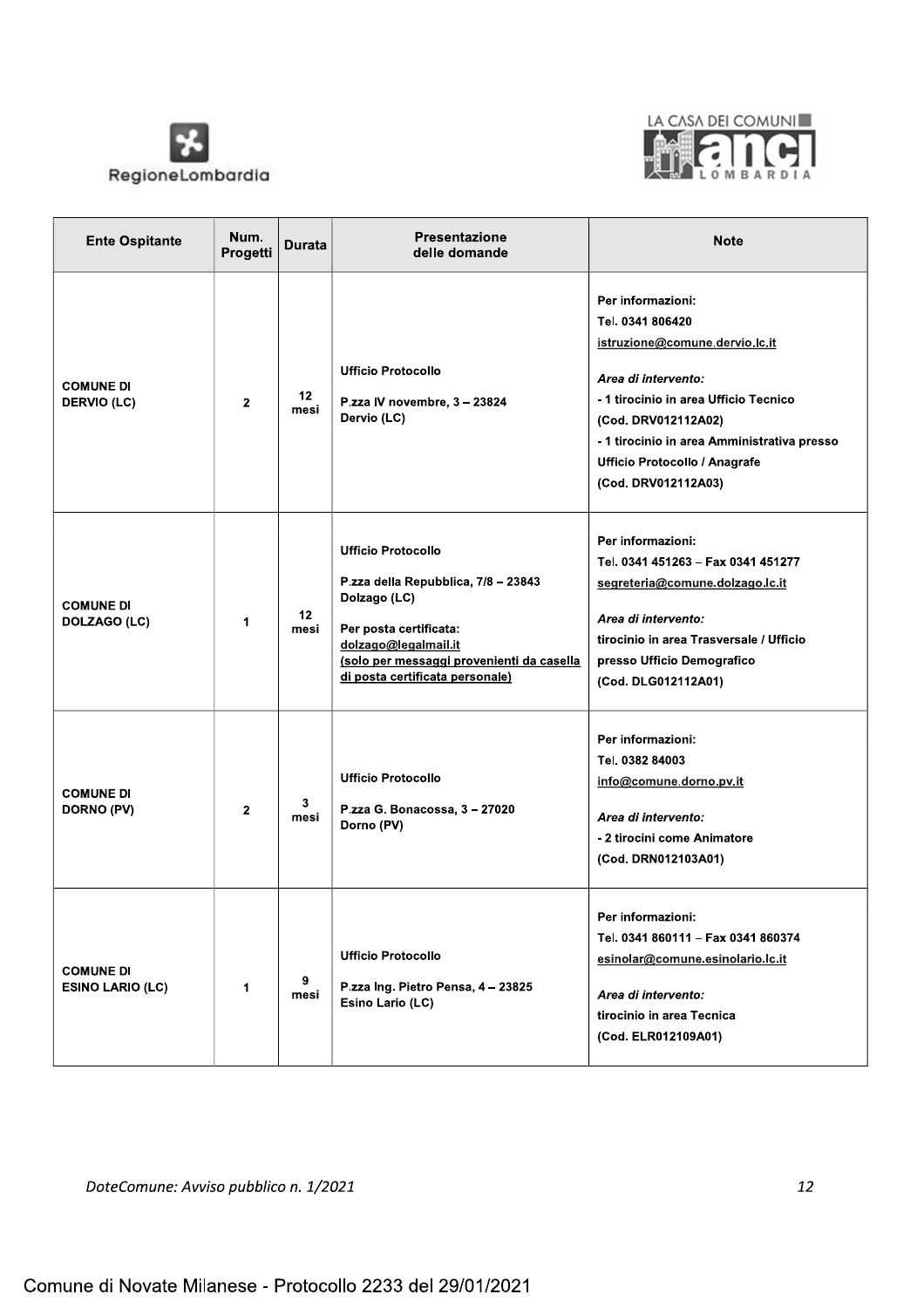



| <b>Ente Ospitante</b>                       | Num.<br>Progetti | <b>Durata</b> | <b>Presentazione</b><br>delle domande                                                                                                                                                                              | <b>Note</b>                                                                                                                                                                                                                                                           |
|---------------------------------------------|------------------|---------------|--------------------------------------------------------------------------------------------------------------------------------------------------------------------------------------------------------------------|-----------------------------------------------------------------------------------------------------------------------------------------------------------------------------------------------------------------------------------------------------------------------|
| <b>COMUNE DI</b><br><b>DERVIO (LC)</b>      | $\mathbf{2}$     | 12<br>mesi    | <b>Ufficio Protocollo</b><br>P.zza IV novembre, 3 - 23824<br>Dervio (LC)                                                                                                                                           | Per informazioni:<br>Tel. 0341 806420<br>istruzione@comune.dervio.lc.it<br>Area di intervento:<br>- 1 tirocinio in area Ufficio Tecnico<br>(Cod. DRV012112A02)<br>- 1 tirocinio in area Amministrativa presso<br>Ufficio Protocollo / Anagrafe<br>(Cod. DRV012112A03) |
| <b>COMUNE DI</b><br>DOLZAGO (LC)            | 1                | 12<br>mesi    | <b>Ufficio Protocollo</b><br>P.zza della Repubblica, 7/8 - 23843<br>Dolzago (LC)<br>Per posta certificata:<br>dolzago@legalmail.it<br>(solo per messaggi provenienti da casella<br>di posta certificata personale) | Per informazioni:<br>Tel. 0341 451263 - Fax 0341 451277<br>segreteria@comune.dolzago.lc.it<br>Area di intervento:<br>tirocinio in area Trasversale / Ufficio<br>presso Ufficio Demografico<br>(Cod. DLG012112A01)                                                     |
| <b>COMUNE DI</b><br>DORNO (PV)              | $\mathbf{2}$     | 3<br>mesi     | <b>Ufficio Protocollo</b><br>P.zza G. Bonacossa, 3 - 27020<br>Dorno (PV)                                                                                                                                           | Per informazioni:<br>Tel. 0382 84003<br>info@comune.dorno.pv.it<br>Area di intervento:<br>- 2 tirocini come Animatore<br>(Cod. DRN012103A01)                                                                                                                          |
| <b>COMUNE DI</b><br><b>ESINO LARIO (LC)</b> | 1                | 9<br>mesi     | <b>Ufficio Protocollo</b><br>P.zza Ing. Pietro Pensa, 4 - 23825<br>Esino Lario (LC)                                                                                                                                | Per informazioni:<br>Tel. 0341 860111 - Fax 0341 860374<br>esinolar@comune.esinolario.lc.it<br>Area di intervento:<br>tirocinio in area Tecnica<br>(Cod. ELR012109A01)                                                                                                |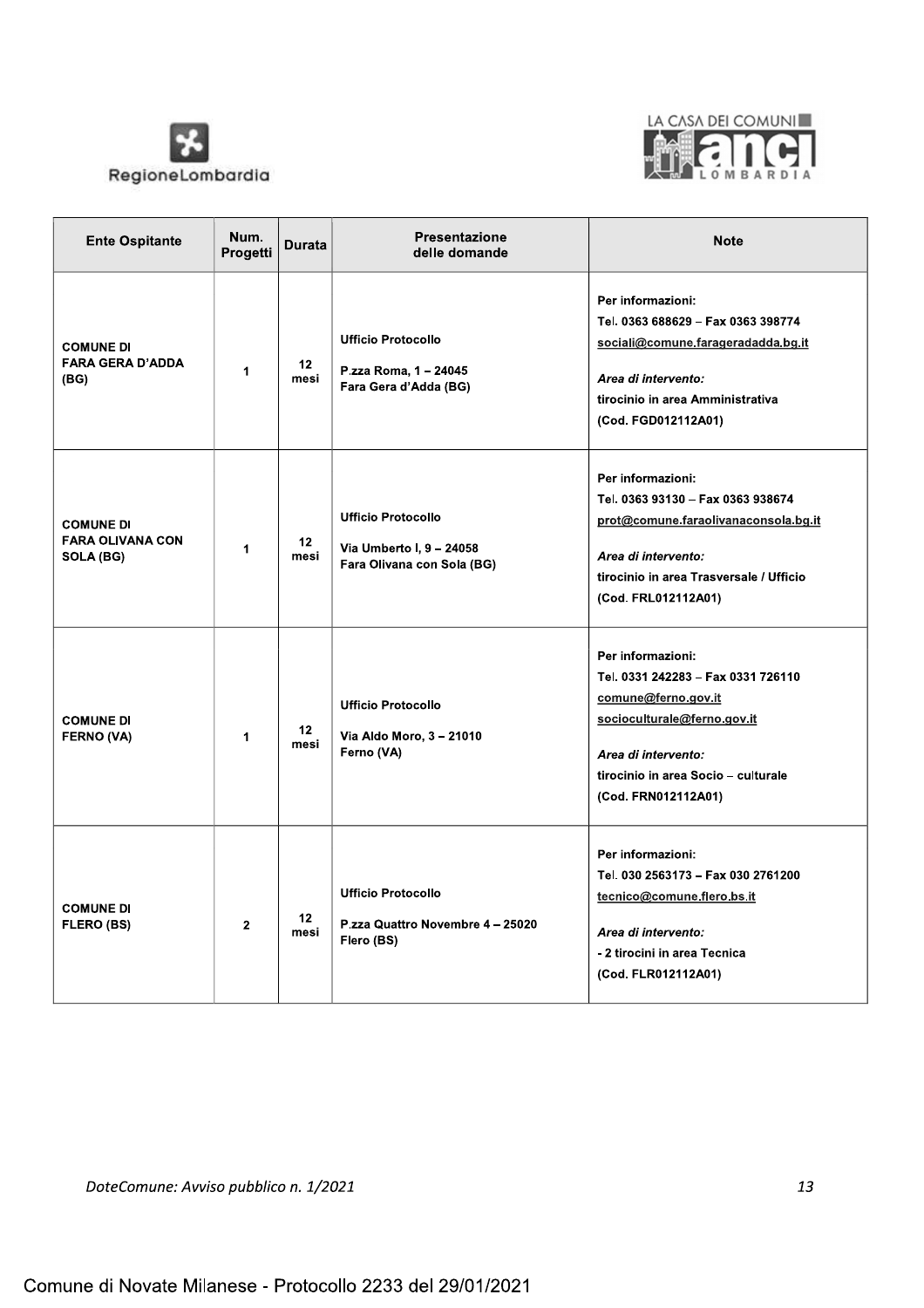



| <b>Ente Ospitante</b>                                    | Num.<br>Progetti | <b>Durata</b>           | Presentazione<br>delle domande                                                      | <b>Note</b>                                                                                                                                                                                        |
|----------------------------------------------------------|------------------|-------------------------|-------------------------------------------------------------------------------------|----------------------------------------------------------------------------------------------------------------------------------------------------------------------------------------------------|
| <b>COMUNE DI</b><br><b>FARA GERA D'ADDA</b><br>(BG)      | 1                | 12 <sub>2</sub><br>mesi | <b>Ufficio Protocollo</b><br>P.zza Roma, 1 - 24045<br>Fara Gera d'Adda (BG)         | Per informazioni:<br>Tel. 0363 688629 - Fax 0363 398774<br>sociali@comune.farageradadda.bg.it<br>Area di intervento:<br>tirocinio in area Amministrativa<br>(Cod. FGD012112A01)                    |
| <b>COMUNE DI</b><br><b>FARA OLIVANA CON</b><br>SOLA (BG) | $\mathbf{1}$     | 12<br>mesi              | <b>Ufficio Protocollo</b><br>Via Umberto I, 9 - 24058<br>Fara Olivana con Sola (BG) | Per informazioni:<br>Tel. 0363 93130 - Fax 0363 938674<br>prot@comune.faraolivanaconsola.bg.it<br>Area di intervento:<br>tirocinio in area Trasversale / Ufficio<br>(Cod. FRL012112A01)            |
| <b>COMUNE DI</b><br><b>FERNO (VA)</b>                    | 1                | 12 <sup>2</sup><br>mesi | <b>Ufficio Protocollo</b><br>Via Aldo Moro, 3 - 21010<br>Ferno (VA)                 | Per informazioni:<br>Tel. 0331 242283 - Fax 0331 726110<br>comune@ferno.gov.it<br>socioculturale@ferno.gov.it<br>Area di intervento:<br>tirocinio in area Socio - culturale<br>(Cod. FRN012112A01) |
| <b>COMUNE DI</b><br><b>FLERO (BS)</b>                    | $\mathbf{2}$     | 12<br>mesi              | <b>Ufficio Protocollo</b><br>P.zza Quattro Novembre 4-25020<br>Flero (BS)           | Per informazioni:<br>Tel. 030 2563173 - Fax 030 2761200<br>tecnico@comune.flero.bs.it<br>Area di intervento:<br>- 2 tirocini in area Tecnica<br>(Cod. FLR012112A01)                                |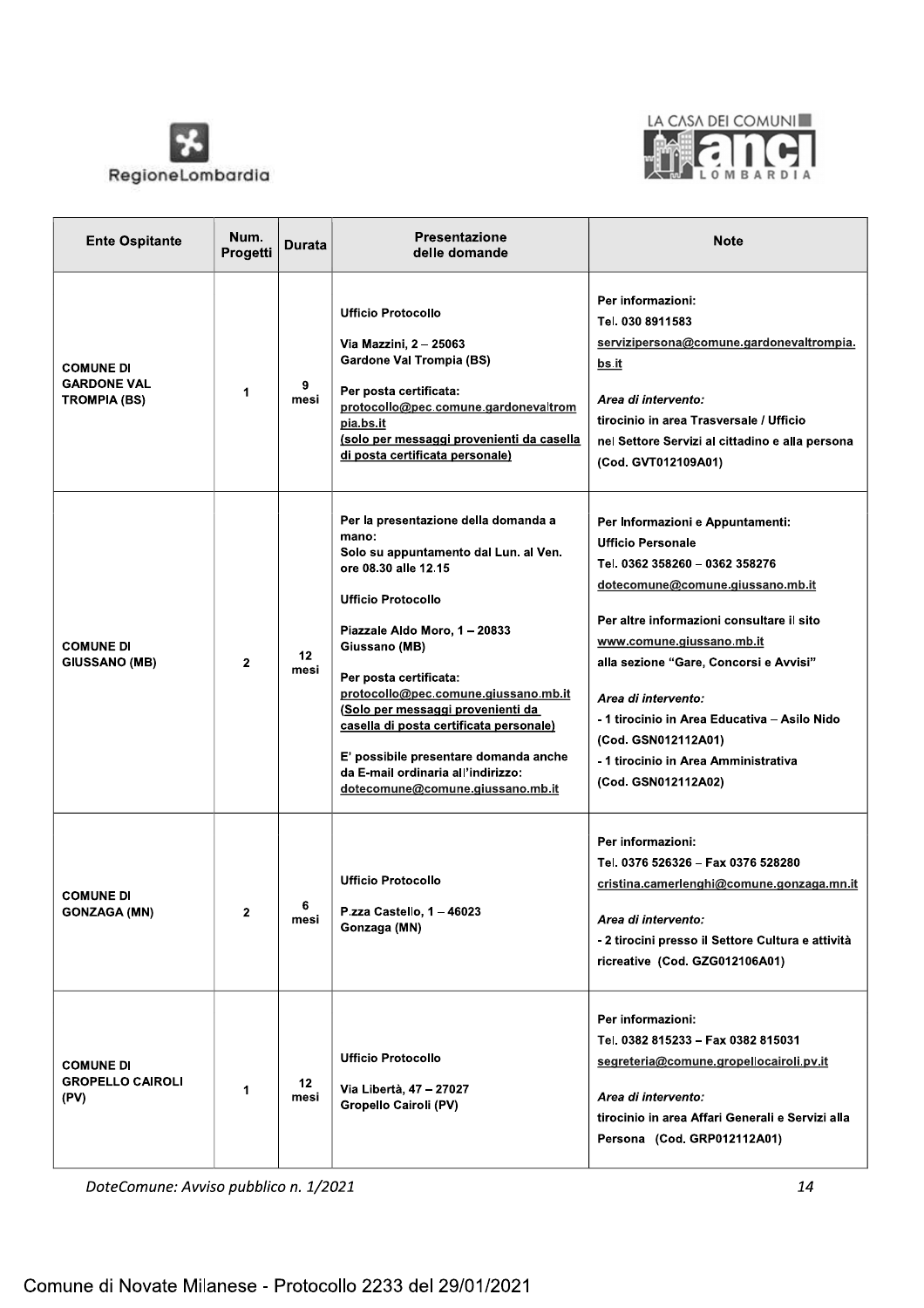



| <b>Ente Ospitante</b>                                         | Num.<br>Progetti | Durata                  | <b>Presentazione</b><br>delle domande                                                                                                                                                                                                                                                                                                                                                                                                                              | <b>Note</b>                                                                                                                                                                                                                                                                                                                                                                                                         |
|---------------------------------------------------------------|------------------|-------------------------|--------------------------------------------------------------------------------------------------------------------------------------------------------------------------------------------------------------------------------------------------------------------------------------------------------------------------------------------------------------------------------------------------------------------------------------------------------------------|---------------------------------------------------------------------------------------------------------------------------------------------------------------------------------------------------------------------------------------------------------------------------------------------------------------------------------------------------------------------------------------------------------------------|
| <b>COMUNE DI</b><br><b>GARDONE VAL</b><br><b>TROMPIA (BS)</b> | 1                | 9<br>mesi               | <b>Ufficio Protocollo</b><br>Via Mazzini, 2 - 25063<br><b>Gardone Val Trompia (BS)</b><br>Per posta certificata:<br>protocollo@pec.comune.gardonevaltrom<br>pia.bs.it<br>(solo per messaggi provenienti da casella<br>di posta certificata personale)                                                                                                                                                                                                              | Per informazioni:<br>Tel. 030 8911583<br>servizipersona@comune.gardonevaltrompia.<br>bs.it<br>Area di intervento:<br>tirocinio in area Trasversale / Ufficio<br>nel Settore Servizi al cittadino e alla persona<br>(Cod. GVT012109A01)                                                                                                                                                                              |
| <b>COMUNE DI</b><br><b>GIUSSANO (MB)</b>                      | $\mathbf{2}$     | 12 <sub>2</sub><br>mesi | Per la presentazione della domanda a<br>mano:<br>Solo su appuntamento dal Lun. al Ven.<br>ore 08.30 alle 12.15<br><b>Ufficio Protocollo</b><br>Piazzale Aldo Moro, 1 - 20833<br>Giussano (MB)<br>Per posta certificata:<br>protocollo@pec.comune.giussano.mb.it<br>(Solo per messaggi provenienti da<br>casella di posta certificata personale)<br>E' possibile presentare domanda anche<br>da E-mail ordinaria all'indirizzo:<br>dotecomune@comune.giussano.mb.it | Per Informazioni e Appuntamenti:<br><b>Ufficio Personale</b><br>Tel. 0362 358260 - 0362 358276<br>dotecomune@comune.giussano.mb.it<br>Per altre informazioni consultare il sito<br>www.comune.giussano.mb.it<br>alla sezione "Gare, Concorsi e Avvisi"<br>Area di intervento:<br>- 1 tirocinio in Area Educativa - Asilo Nido<br>(Cod. GSN012112A01)<br>- 1 tirocinio in Area Amministrativa<br>(Cod. GSN012112A02) |
| <b>COMUNE DI</b><br><b>GONZAGA (MN)</b>                       | 2                | 6<br>mesi               | <b>Ufficio Protocollo</b><br>P.zza Castello, 1 - 46023<br>Gonzaga (MN)                                                                                                                                                                                                                                                                                                                                                                                             | Per informazioni:<br>Tel. 0376 526326 - Fax 0376 528280<br>cristina.camerlenghi@comune.gonzaga.mn.it<br>Area di intervento:<br>- 2 tirocini presso il Settore Cultura e attività<br>ricreative (Cod. GZG012106A01)                                                                                                                                                                                                  |
| <b>COMUNE DI</b><br><b>GROPELLO CAIROLI</b><br>(PV)           | 1                | 12<br>mesi              | <b>Ufficio Protocollo</b><br>Via Libertà, 47 - 27027<br><b>Gropello Cairoli (PV)</b>                                                                                                                                                                                                                                                                                                                                                                               | Per informazioni:<br>Tel. 0382 815233 - Fax 0382 815031<br>segreteria@comune.gropellocairoli.pv.it<br>Area di intervento:<br>tirocinio in area Affari Generali e Servizi alla<br>Persona (Cod. GRP012112A01)                                                                                                                                                                                                        |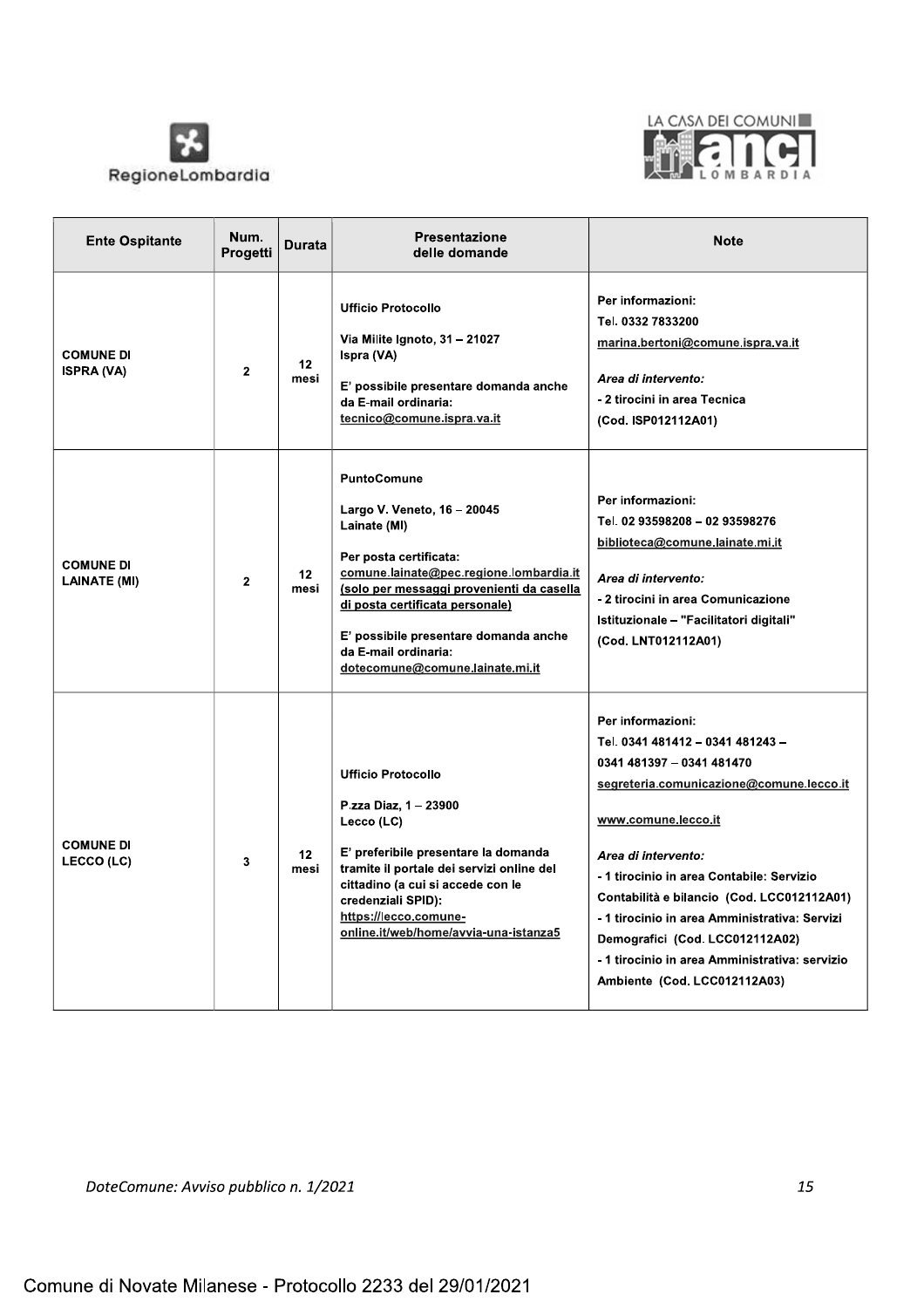



| <b>Ente Ospitante</b>                   | Num.<br>Progetti | Durata                  | <b>Presentazione</b><br>delle domande                                                                                                                                                                                                                                                                                      | <b>Note</b>                                                                                                                                                                                                                                                                                                                                                                                                                                   |
|-----------------------------------------|------------------|-------------------------|----------------------------------------------------------------------------------------------------------------------------------------------------------------------------------------------------------------------------------------------------------------------------------------------------------------------------|-----------------------------------------------------------------------------------------------------------------------------------------------------------------------------------------------------------------------------------------------------------------------------------------------------------------------------------------------------------------------------------------------------------------------------------------------|
| <b>COMUNE DI</b><br><b>ISPRA (VA)</b>   | $\mathbf{2}$     | 12 <sub>2</sub><br>mesi | <b>Ufficio Protocollo</b><br>Via Milite Ignoto, 31 - 21027<br>Ispra (VA)<br>E' possibile presentare domanda anche<br>da E-mail ordinaria:<br>tecnico@comune.ispra.va.it                                                                                                                                                    | Per informazioni:<br>Tel. 0332 7833200<br>marina.bertoni@comune.ispra.va.it<br>Area di intervento:<br>- 2 tirocini in area Tecnica<br>(Cod. ISP012112A01)                                                                                                                                                                                                                                                                                     |
| <b>COMUNE DI</b><br><b>LAINATE (MI)</b> | $\mathbf{2}$     | 12 <sub>2</sub><br>mesi | <b>PuntoComune</b><br>Largo V. Veneto, 16 - 20045<br>Lainate (MI)<br>Per posta certificata:<br>comune.lainate@pec.regione.lombardia.it<br>(solo per messaggi provenienti da casella<br>di posta certificata personale)<br>E' possibile presentare domanda anche<br>da E-mail ordinaria:<br>dotecomune@comune.lainate.mi.it | Per informazioni:<br>Tel. 02 93598208 - 02 93598276<br>biblioteca@comune.lainate.mi.it<br>Area di intervento:<br>- 2 tirocini in area Comunicazione<br>Istituzionale - "Facilitatori digitali"<br>(Cod. LNT012112A01)                                                                                                                                                                                                                         |
| <b>COMUNE DI</b><br>LECCO (LC)          | 3                | 12 <sup>2</sup><br>mesi | <b>Ufficio Protocollo</b><br>P.zza Diaz, 1 - 23900<br>Lecco (LC)<br>E' preferibile presentare la domanda<br>tramite il portale dei servizi online del<br>cittadino (a cui si accede con le<br>credenziali SPID):<br>https://lecco.comune-<br>online.it/web/home/avvia-una-istanza5                                         | Per informazioni:<br>Tel. 0341 481412 - 0341 481243 -<br>0341 481397 - 0341 481470<br>segreteria.comunicazione@comune.lecco.it<br>www.comune.lecco.it<br>Area di intervento:<br>- 1 tirocinio in area Contabile: Servizio<br>Contabilità e bilancio (Cod. LCC012112A01)<br>- 1 tirocinio in area Amministrativa: Servizi<br>Demografici (Cod. LCC012112A02)<br>- 1 tirocinio in area Amministrativa: servizio<br>Ambiente (Cod. LCC012112A03) |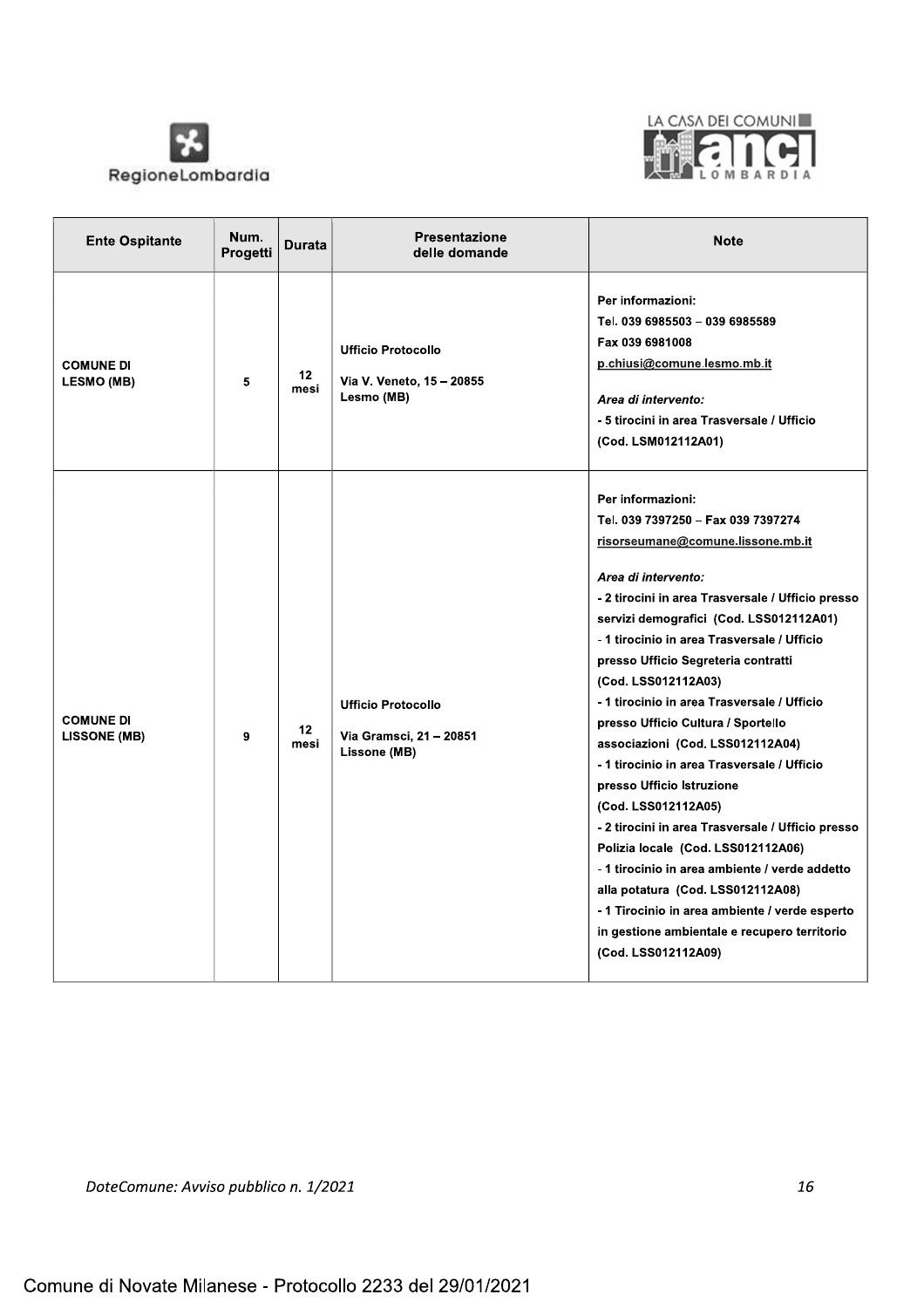



| <b>Ente Ospitante</b>                   | Num.<br>Progetti | <b>Durata</b>           | <b>Presentazione</b><br>delle domande                                | <b>Note</b>                                                                                                                                                                                                                                                                                                                                                                                                                                                                                                                                                                                                                                                                                                                                                                                                                                                            |
|-----------------------------------------|------------------|-------------------------|----------------------------------------------------------------------|------------------------------------------------------------------------------------------------------------------------------------------------------------------------------------------------------------------------------------------------------------------------------------------------------------------------------------------------------------------------------------------------------------------------------------------------------------------------------------------------------------------------------------------------------------------------------------------------------------------------------------------------------------------------------------------------------------------------------------------------------------------------------------------------------------------------------------------------------------------------|
| <b>COMUNE DI</b><br>LESMO (MB)          | 5                | 12 <sup>2</sup><br>mesi | <b>Ufficio Protocollo</b><br>Via V. Veneto, 15 - 20855<br>Lesmo (MB) | Per informazioni:<br>Tel. 039 6985503 - 039 6985589<br>Fax 039 6981008<br>p.chiusi@comune.lesmo.mb.it<br>Area di intervento:<br>- 5 tirocini in area Trasversale / Ufficio<br>(Cod. LSM012112A01)                                                                                                                                                                                                                                                                                                                                                                                                                                                                                                                                                                                                                                                                      |
| <b>COMUNE DI</b><br><b>LISSONE (MB)</b> | 9                | 12 <sup>2</sup><br>mesi | <b>Ufficio Protocollo</b><br>Via Gramsci, 21 - 20851<br>Lissone (MB) | Per informazioni:<br>Tel. 039 7397250 - Fax 039 7397274<br>risorseumane@comune.lissone.mb.it<br>Area di intervento:<br>- 2 tirocini in area Trasversale / Ufficio presso<br>servizi demografici (Cod. LSS012112A01)<br>- 1 tirocinio in area Trasversale / Ufficio<br>presso Ufficio Segreteria contratti<br>(Cod. LSS012112A03)<br>- 1 tirocinio in area Trasversale / Ufficio<br>presso Ufficio Cultura / Sportello<br>associazioni (Cod. LSS012112A04)<br>- 1 tirocinio in area Trasversale / Ufficio<br>presso Ufficio Istruzione<br>(Cod. LSS012112A05)<br>- 2 tirocini in area Trasversale / Ufficio presso<br>Polizia locale (Cod. LSS012112A06)<br>- 1 tirocinio in area ambiente / verde addetto<br>alla potatura (Cod. LSS012112A08)<br>-1 Tirocinio in area ambiente / verde esperto<br>in gestione ambientale e recupero territorio<br>(Cod. LSS012112A09) |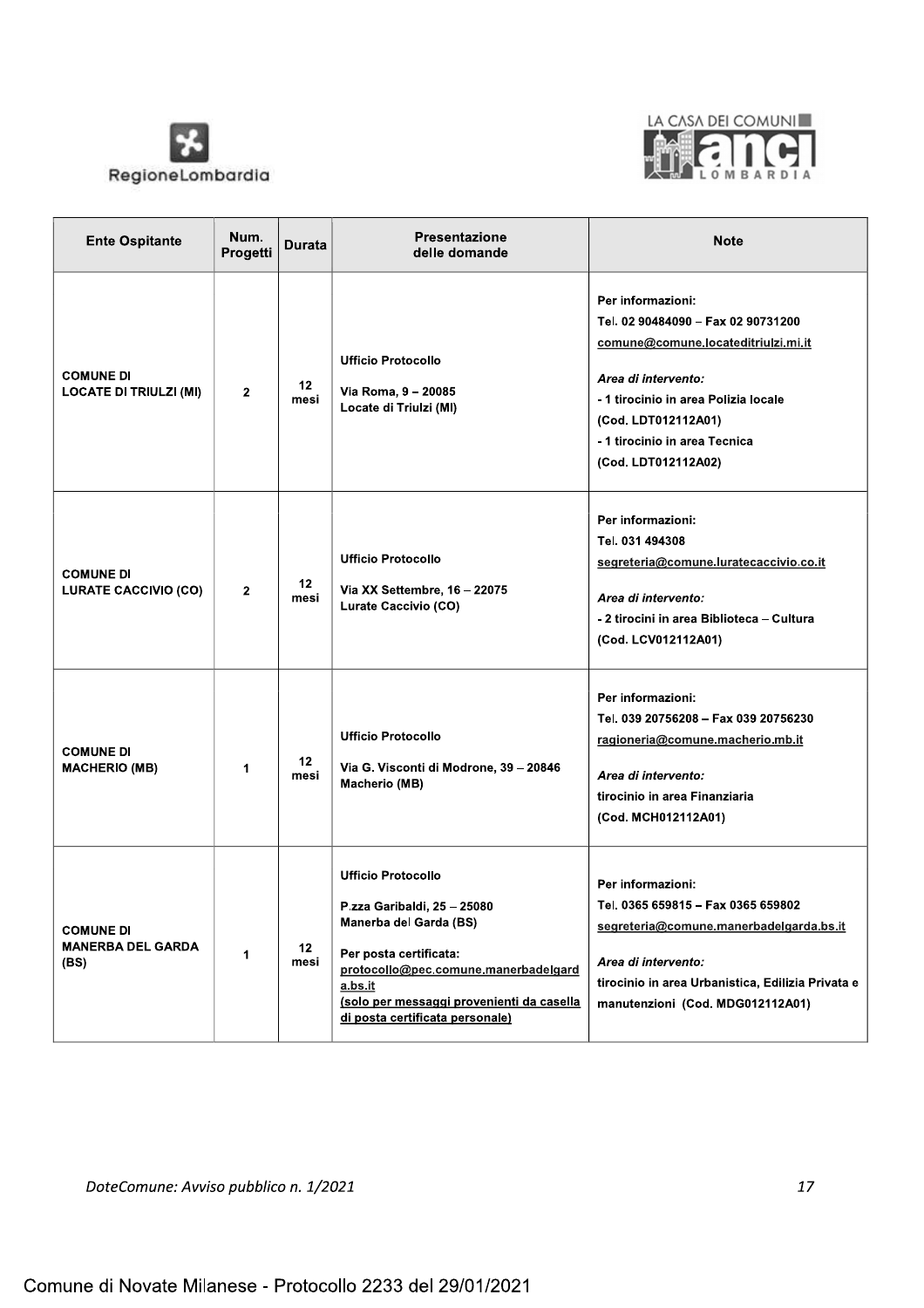



| <b>Ente Ospitante</b>                                | Num.<br>Progetti | Durata     | <b>Presentazione</b><br>delle domande                                                                                                                                                                                                           | <b>Note</b>                                                                                                                                                                                                                                  |
|------------------------------------------------------|------------------|------------|-------------------------------------------------------------------------------------------------------------------------------------------------------------------------------------------------------------------------------------------------|----------------------------------------------------------------------------------------------------------------------------------------------------------------------------------------------------------------------------------------------|
| <b>COMUNE DI</b><br><b>LOCATE DI TRIULZI (MI)</b>    | $\mathbf{2}$     | 12<br>mesi | <b>Ufficio Protocollo</b><br>Via Roma, 9 - 20085<br>Locate di Triulzi (MI)                                                                                                                                                                      | Per informazioni:<br>Tel. 02 90484090 - Fax 02 90731200<br>comune@comune.locateditriulzi.mi.it<br>Area di intervento:<br>- 1 tirocinio in area Polizia locale<br>(Cod. LDT012112A01)<br>- 1 tirocinio in area Tecnica<br>(Cod. LDT012112A02) |
| <b>COMUNE DI</b><br><b>LURATE CACCIVIO (CO)</b>      | $\mathbf{2}$     | 12<br>mesi | <b>Ufficio Protocollo</b><br>Via XX Settembre, 16 - 22075<br>Lurate Caccivio (CO)                                                                                                                                                               | Per informazioni:<br>Tel. 031 494308<br>segreteria@comune.luratecaccivio.co.it<br>Area di intervento:<br>- 2 tirocini in area Biblioteca – Cultura<br>(Cod. LCV012112A01)                                                                    |
| <b>COMUNE DI</b><br><b>MACHERIO (MB)</b>             | $\mathbf 1$      | 12<br>mesi | <b>Ufficio Protocollo</b><br>Via G. Visconti di Modrone, 39 - 20846<br>Macherio (MB)                                                                                                                                                            | Per informazioni:<br>Tel. 039 20756208 - Fax 039 20756230<br>ragioneria@comune.macherio.mb.it<br>Area di intervento:<br>tirocinio in area Finanziaria<br>(Cod. MCH012112A01)                                                                 |
| <b>COMUNE DI</b><br><b>MANERBA DEL GARDA</b><br>(BS) | 1                | 12<br>mesi | <b>Ufficio Protocollo</b><br>P.zza Garibaldi, 25 - 25080<br>Manerba del Garda (BS)<br>Per posta certificata:<br>protocollo@pec.comune.manerbadelgard<br>a.bs.it<br>(solo per messaggi provenienti da casella<br>di posta certificata personale) | Per informazioni:<br>Tel. 0365 659815 - Fax 0365 659802<br>segreteria@comune.manerbadelgarda.bs.it<br>Area di intervento:<br>tirocinio in area Urbanistica, Edilizia Privata e<br>manutenzioni (Cod. MDG012112A01)                           |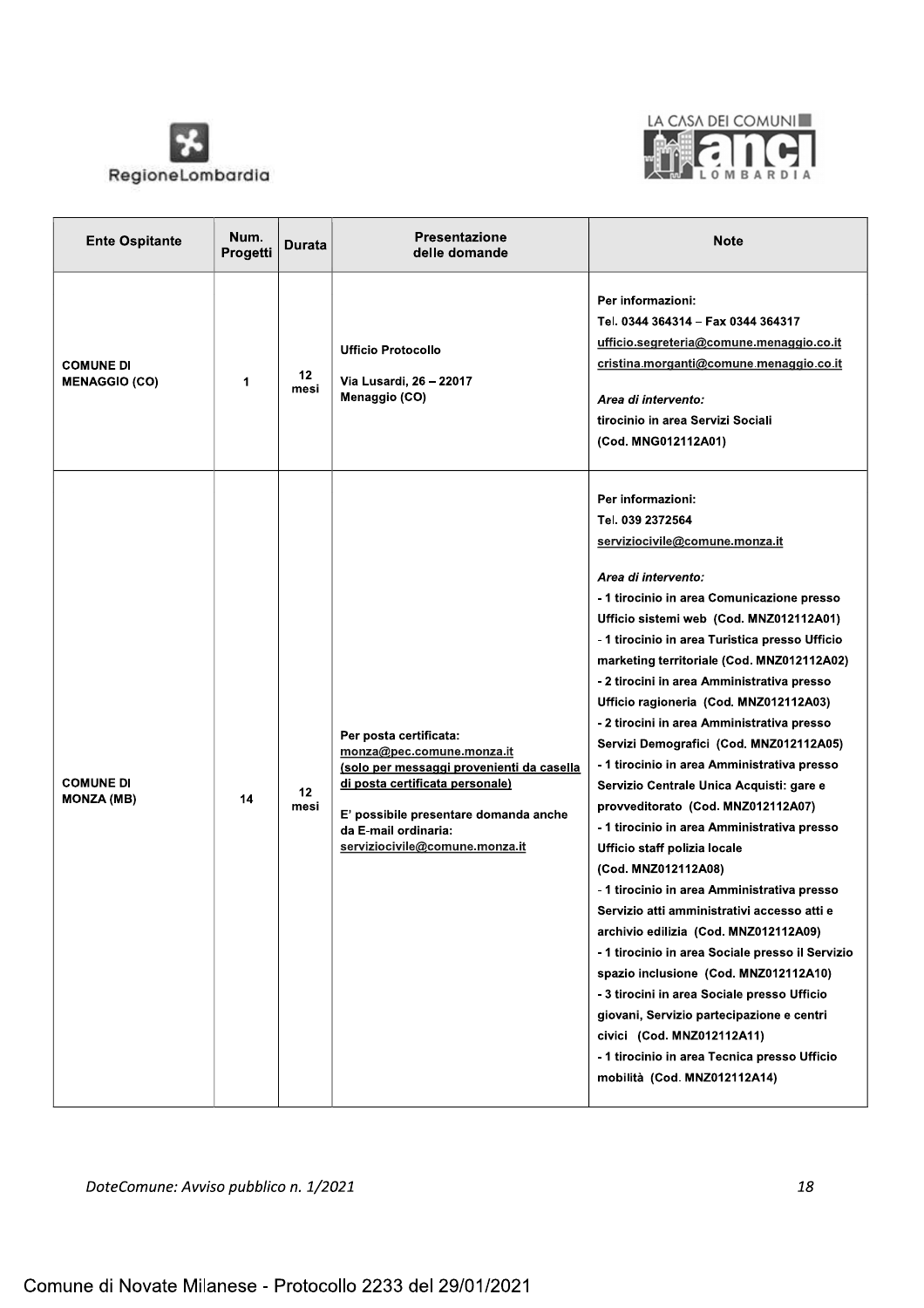



| <b>Ente Ospitante</b>                    | Num.<br>Progetti | Durata     | Presentazione<br>delle domande                                                                                                                                                                                                         | <b>Note</b>                                                                                                                                                                                                                                                                                                                                                                                                                                                                                                                                                                                                                                                                                                                                                                                                                                                                                                                                                                                                                                                                                                                                                  |
|------------------------------------------|------------------|------------|----------------------------------------------------------------------------------------------------------------------------------------------------------------------------------------------------------------------------------------|--------------------------------------------------------------------------------------------------------------------------------------------------------------------------------------------------------------------------------------------------------------------------------------------------------------------------------------------------------------------------------------------------------------------------------------------------------------------------------------------------------------------------------------------------------------------------------------------------------------------------------------------------------------------------------------------------------------------------------------------------------------------------------------------------------------------------------------------------------------------------------------------------------------------------------------------------------------------------------------------------------------------------------------------------------------------------------------------------------------------------------------------------------------|
| <b>COMUNE DI</b><br><b>MENAGGIO (CO)</b> | 1                | 12<br>mesi | <b>Ufficio Protocollo</b><br>Via Lusardi, 26 – 22017<br>Menaggio (CO)                                                                                                                                                                  | Per informazioni:<br>Tel. 0344 364314 - Fax 0344 364317<br>ufficio.segreteria@comune.menaggio.co.it<br>cristina.morganti@comune.menaggio.co.it<br>Area di intervento:<br>tirocinio in area Servizi Sociali<br>(Cod. MNG012112A01)                                                                                                                                                                                                                                                                                                                                                                                                                                                                                                                                                                                                                                                                                                                                                                                                                                                                                                                            |
| <b>COMUNE DI</b><br><b>MONZA (MB)</b>    | 14               | 12<br>mesi | Per posta certificata:<br>monza@pec.comune.monza.it<br>(solo per messaggi provenienti da casella<br>di posta certificata personale)<br>E' possibile presentare domanda anche<br>da E-mail ordinaria:<br>serviziocivile@comune.monza.it | Per informazioni:<br>Tel. 039 2372564<br>serviziocivile@comune.monza.it<br>Area di intervento:<br>- 1 tirocinio in area Comunicazione presso<br>Ufficio sistemi web (Cod. MNZ012112A01)<br>- 1 tirocinio in area Turistica presso Ufficio<br>marketing territoriale (Cod. MNZ012112A02)<br>- 2 tirocini in area Amministrativa presso<br>Ufficio ragioneria (Cod. MNZ012112A03)<br>- 2 tirocini in area Amministrativa presso<br>Servizi Demografici (Cod. MNZ012112A05)<br>- 1 tirocinio in area Amministrativa presso<br>Servizio Centrale Unica Acquisti: gare e<br>provveditorato (Cod. MNZ012112A07)<br>- 1 tirocinio in area Amministrativa presso<br>Ufficio staff polizia locale<br>(Cod. MNZ012112A08)<br>- 1 tirocinio in area Amministrativa presso<br>Servizio atti amministrativi accesso atti e<br>archivio edilizia (Cod. MNZ012112A09)<br>-1 tirocinio in area Sociale presso il Servizio<br>spazio inclusione (Cod. MNZ012112A10)<br>- 3 tirocini in area Sociale presso Ufficio<br>giovani, Servizio partecipazione e centri<br>civici (Cod. MNZ012112A11)<br>- 1 tirocinio in area Tecnica presso Ufficio<br>mobilità (Cod. MNZ012112A14) |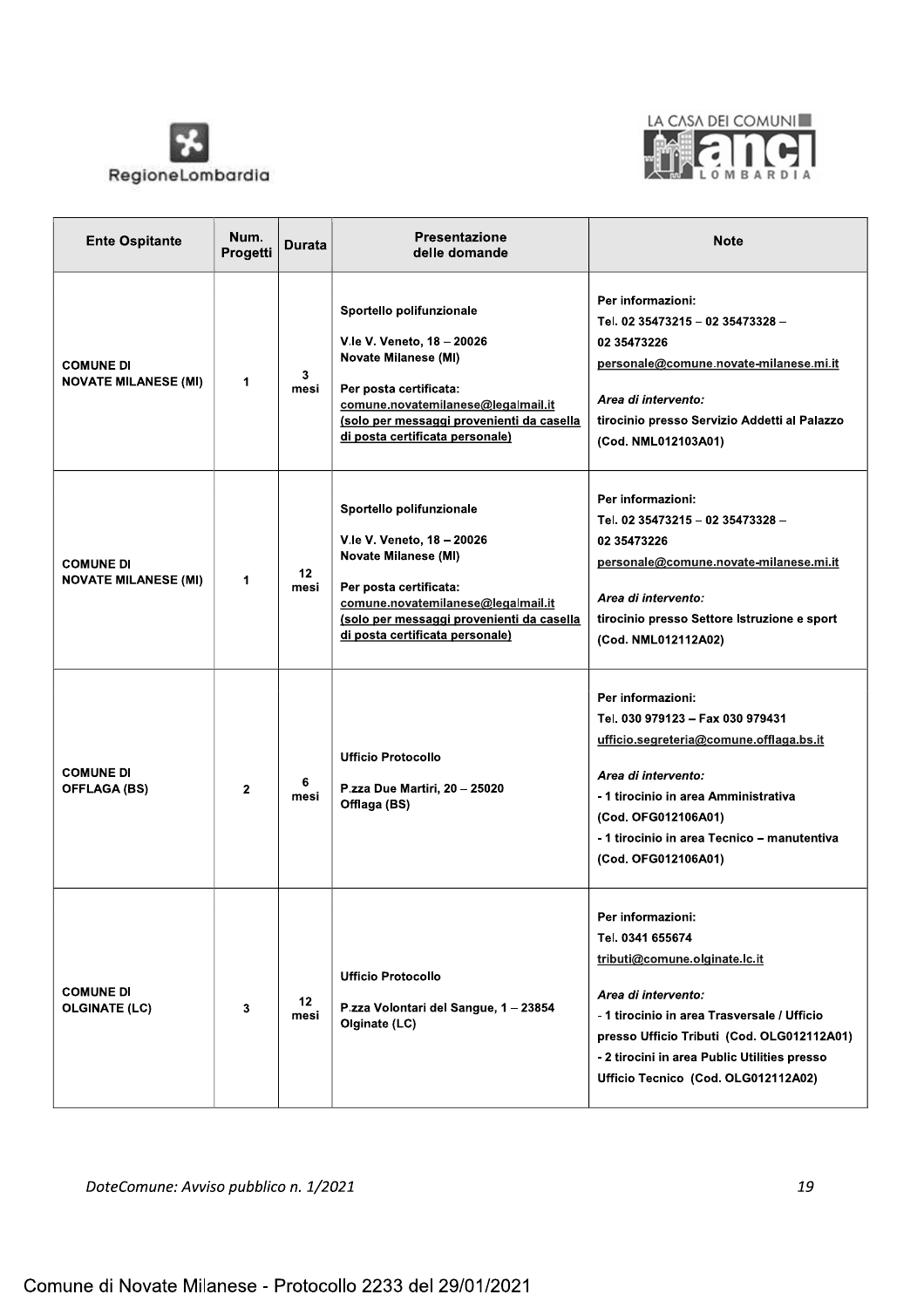



| <b>Ente Ospitante</b>                           | Num.<br>Progetti | Durata     | Presentazione<br>delle domande                                                                                                                                                                                                        | <b>Note</b>                                                                                                                                                                                                                                                                       |
|-------------------------------------------------|------------------|------------|---------------------------------------------------------------------------------------------------------------------------------------------------------------------------------------------------------------------------------------|-----------------------------------------------------------------------------------------------------------------------------------------------------------------------------------------------------------------------------------------------------------------------------------|
| <b>COMUNE DI</b><br><b>NOVATE MILANESE (MI)</b> | $\mathbf 1$      | 3<br>mesi  | Sportello polifunzionale<br>V.le V. Veneto, 18 - 20026<br><b>Novate Milanese (MI)</b><br>Per posta certificata:<br>comune.novatemilanese@legalmail.it<br>(solo per messaggi provenienti da casella<br>di posta certificata personale) | Per informazioni:<br>Tel. 02 35473215 - 02 35473328 -<br>02 35473226<br>personale@comune.novate-milanese.mi.it<br>Area di intervento:<br>tirocinio presso Servizio Addetti al Palazzo<br>(Cod. NML012103A01)                                                                      |
| <b>COMUNE DI</b><br><b>NOVATE MILANESE (MI)</b> | 1                | 12<br>mesi | Sportello polifunzionale<br>V.le V. Veneto, 18 - 20026<br><b>Novate Milanese (MI)</b><br>Per posta certificata:<br>comune.novatemilanese@legalmail.it<br>(solo per messaggi provenienti da casella<br>di posta certificata personale) | Per informazioni:<br>Tel. 02 35473215 - 02 35473328 -<br>02 35473226<br>personale@comune.novate-milanese.mi.it<br>Area di intervento:<br>tirocinio presso Settore Istruzione e sport<br>(Cod. NML012112A02)                                                                       |
| <b>COMUNE DI</b><br><b>OFFLAGA (BS)</b>         | $\mathbf{2}$     | 6<br>mesi  | <b>Ufficio Protocollo</b><br>P.zza Due Martiri, 20 - 25020<br>Offlaga (BS)                                                                                                                                                            | Per informazioni:<br>Tel. 030 979123 - Fax 030 979431<br>ufficio.segreteria@comune.offlaga.bs.it<br>Area di intervento:<br>- 1 tirocinio in area Amministrativa<br>(Cod. OFG012106A01)<br>- 1 tirocinio in area Tecnico - manutentiva<br>(Cod. OFG012106A01)                      |
| <b>COMUNE DI</b><br><b>OLGINATE (LC)</b>        | 3                | 12<br>mesi | <b>Ufficio Protocollo</b><br>P.zza Volontari del Sangue, 1-23854<br>Olginate (LC)                                                                                                                                                     | Per informazioni:<br>Tel. 0341 655674<br>tributi@comune.olginate.lc.it<br>Area di intervento:<br>- 1 tirocinio in area Trasversale / Ufficio<br>presso Ufficio Tributi (Cod. OLG012112A01)<br>- 2 tirocini in area Public Utilities presso<br>Ufficio Tecnico (Cod. OLG012112A02) |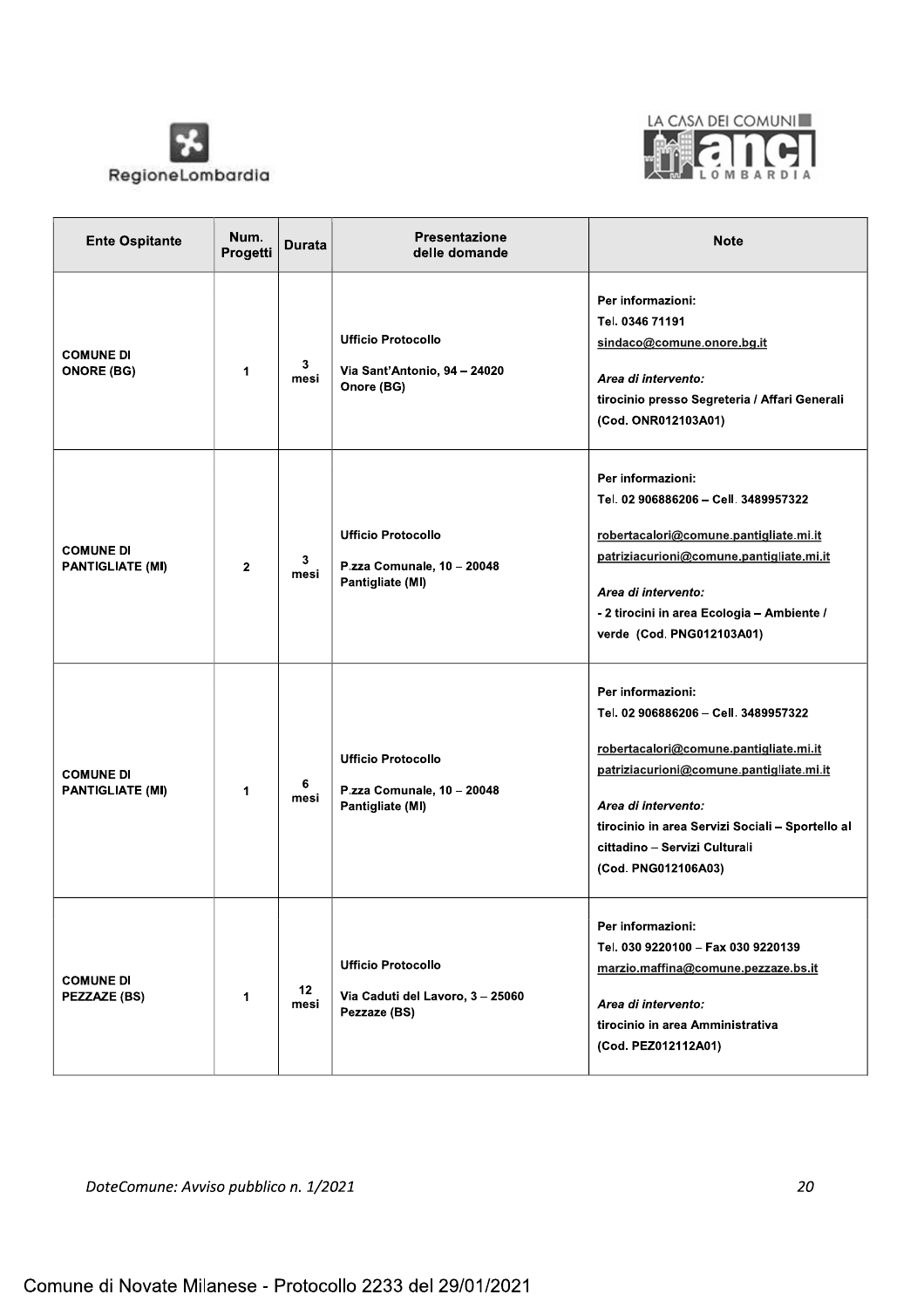



| <b>Ente Ospitante</b>                       | Num.<br>Progetti | <b>Durata</b> | <b>Presentazione</b><br>delle domande                                       | <b>Note</b>                                                                                                                                                                                                                                                                        |
|---------------------------------------------|------------------|---------------|-----------------------------------------------------------------------------|------------------------------------------------------------------------------------------------------------------------------------------------------------------------------------------------------------------------------------------------------------------------------------|
| <b>COMUNE DI</b><br><b>ONORE (BG)</b>       | 1                | 3<br>mesi     | <b>Ufficio Protocollo</b><br>Via Sant'Antonio, 94 - 24020<br>Onore (BG)     | Per informazioni:<br>Tel. 0346 71191<br>sindaco@comune.onore.bg.it<br>Area di intervento:<br>tirocinio presso Segreteria / Affari Generali<br>(Cod. ONR012103A01)                                                                                                                  |
| <b>COMUNE DI</b><br><b>PANTIGLIATE (MI)</b> | $\overline{2}$   | 3<br>mesi     | <b>Ufficio Protocollo</b><br>P.zza Comunale, 10 - 20048<br>Pantigliate (MI) | Per informazioni:<br>Tel. 02 906886206 - Cell. 3489957322<br>robertacalori@comune.pantigliate.mi.it<br>patriziacurioni@comune.pantigliate.mi.it<br>Area di intervento:<br>- 2 tirocini in area Ecologia - Ambiente /<br>verde (Cod. PNG012103A01)                                  |
| <b>COMUNE DI</b><br><b>PANTIGLIATE (MI)</b> | 1                | 6<br>mesi     | <b>Ufficio Protocollo</b><br>P.zza Comunale, 10 - 20048<br>Pantigliate (MI) | Per informazioni:<br>Tel. 02 906886206 - Cell. 3489957322<br>robertacalori@comune.pantigliate.mi.it<br>patriziacurioni@comune.pantigliate.mi.it<br>Area di intervento:<br>tirocinio in area Servizi Sociali - Sportello al<br>cittadino - Servizi Culturali<br>(Cod. PNG012106A03) |
| <b>COMUNE DI</b><br>PEZZAZE (BS)            | 1                | 12<br>mesi    | <b>Ufficio Protocollo</b><br>Via Caduti del Lavoro, 3-25060<br>Pezzaze (BS) | Per informazioni:<br>Tel. 030 9220100 - Fax 030 9220139<br>marzio.maffina@comune.pezzaze.bs.it<br>Area di intervento:<br>tirocinio in area Amministrativa<br>(Cod. PEZ012112A01)                                                                                                   |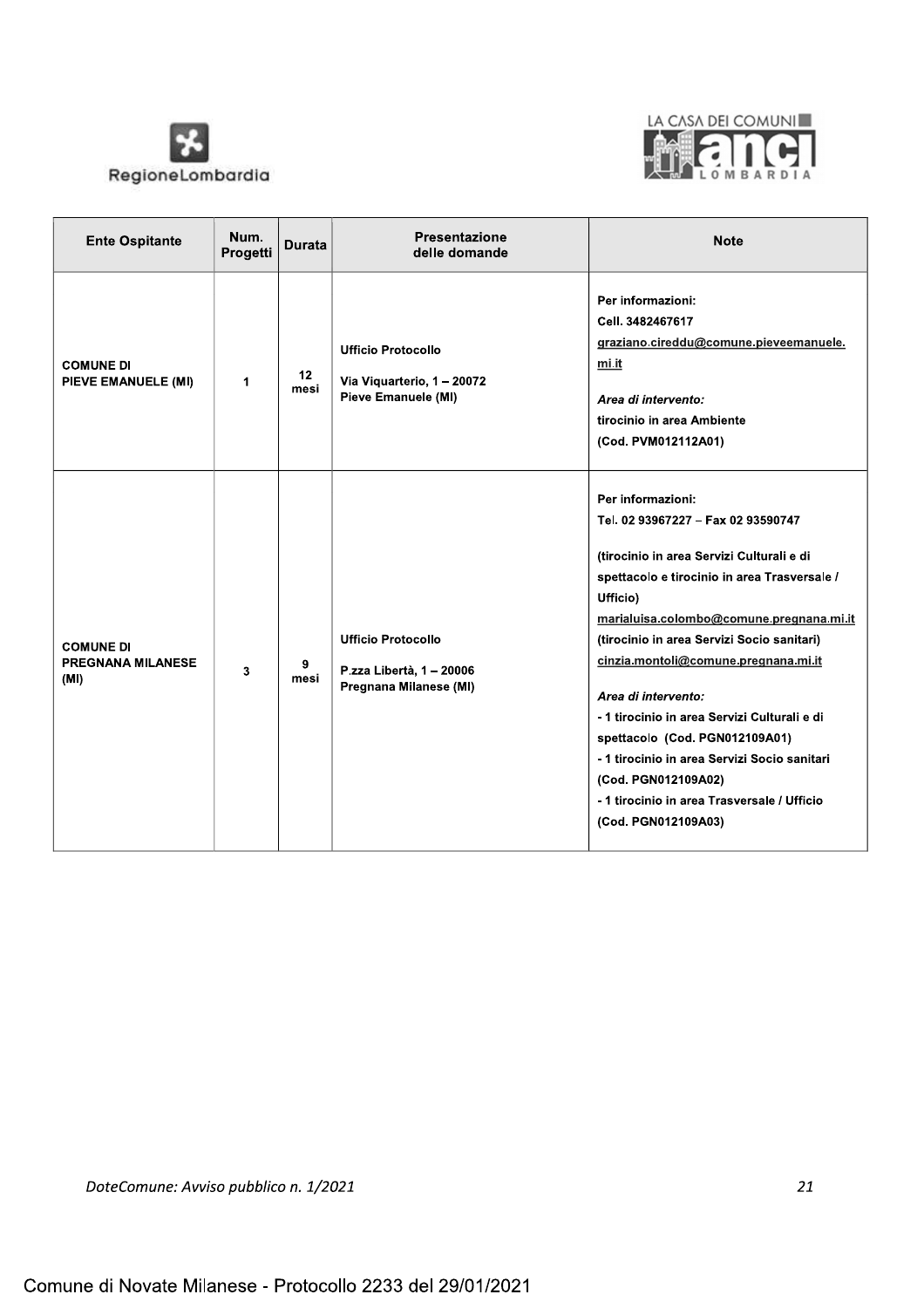



| <b>Ente Ospitante</b>                                | Num.<br>Progetti     | <b>Durata</b> | Presentazione<br>delle domande                                                  | <b>Note</b>                                                                                                                                                                                                                                                                                                                                                                                                                                                                                                                                              |
|------------------------------------------------------|----------------------|---------------|---------------------------------------------------------------------------------|----------------------------------------------------------------------------------------------------------------------------------------------------------------------------------------------------------------------------------------------------------------------------------------------------------------------------------------------------------------------------------------------------------------------------------------------------------------------------------------------------------------------------------------------------------|
| <b>COMUNE DI</b><br>PIEVE EMANUELE (MI)              | $\blacktriangleleft$ | 12<br>mesi    | <b>Ufficio Protocollo</b><br>Via Viquarterio, 1 - 20072<br>Pieve Emanuele (MI)  | Per informazioni:<br>Cell. 3482467617<br>graziano.cireddu@comune.pieveemanuele.<br>mi.it<br>Area di intervento:<br>tirocinio in area Ambiente<br>(Cod. PVM012112A01)                                                                                                                                                                                                                                                                                                                                                                                     |
| <b>COMUNE DI</b><br><b>PREGNANA MILANESE</b><br>(MI) | 3                    | 9<br>mesi     | <b>Ufficio Protocollo</b><br>P.zza Libertà, 1 - 20006<br>Pregnana Milanese (MI) | Per informazioni:<br>Tel. 02 93967227 - Fax 02 93590747<br>(tirocinio in area Servizi Culturali e di<br>spettacolo e tirocinio in area Trasversale /<br>Ufficio)<br>marialuisa.colombo@comune.pregnana.mi.it<br>(tirocinio in area Servizi Socio sanitari)<br>cinzia.montoli@comune.pregnana.mi.it<br>Area di intervento:<br>- 1 tirocinio in area Servizi Culturali e di<br>spettacolo (Cod. PGN012109A01)<br>- 1 tirocinio in area Servizi Socio sanitari<br>(Cod. PGN012109A02)<br>- 1 tirocinio in area Trasversale / Ufficio<br>(Cod. PGN012109A03) |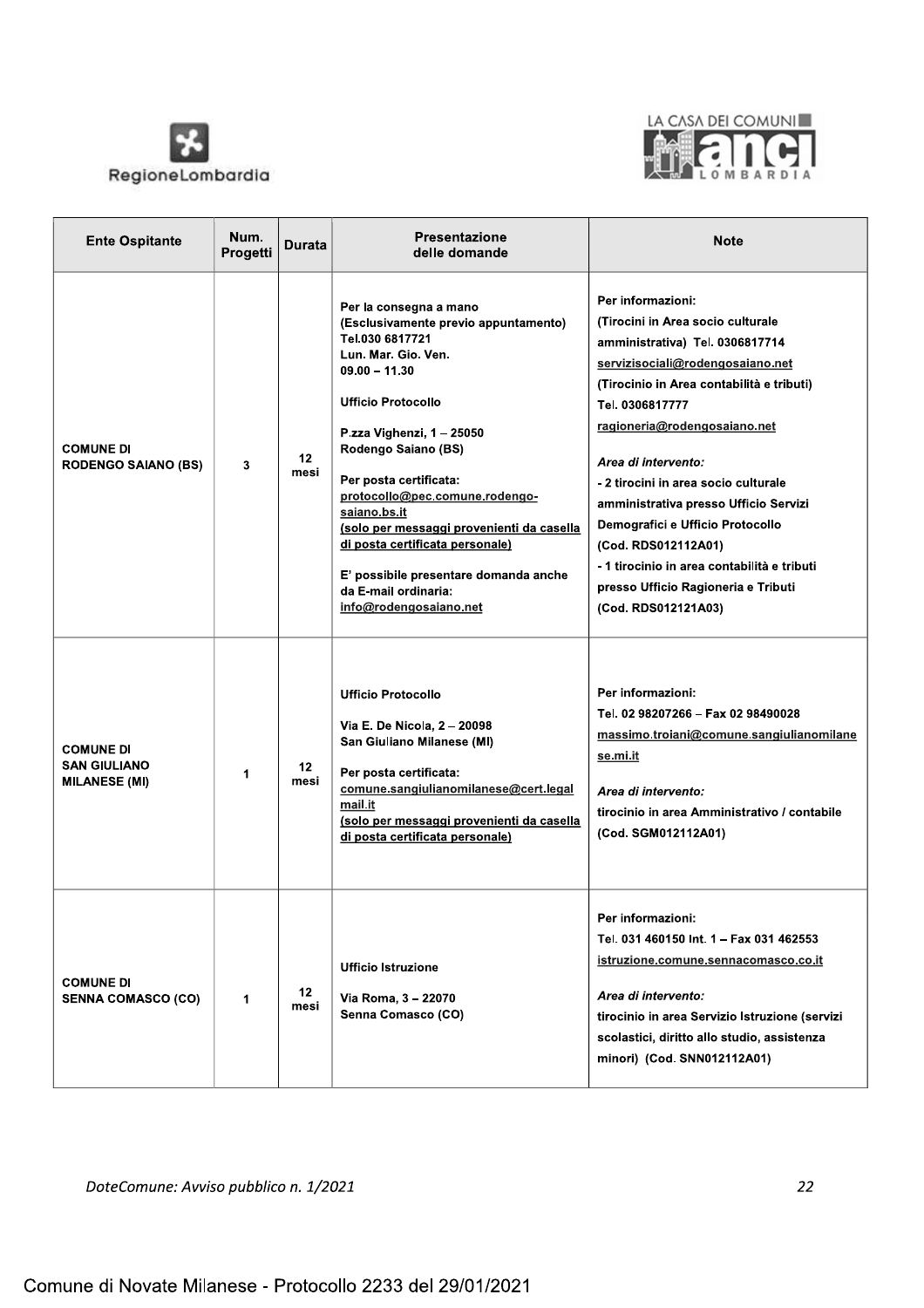



| <b>Ente Ospitante</b>                                           | Num.<br>Progetti | Durata                  | <b>Presentazione</b><br>delle domande                                                                                                                                                                                                                                                                                                                                                                                                                               | <b>Note</b>                                                                                                                                                                                                                                                                                                                                                                                                                                                                                                   |
|-----------------------------------------------------------------|------------------|-------------------------|---------------------------------------------------------------------------------------------------------------------------------------------------------------------------------------------------------------------------------------------------------------------------------------------------------------------------------------------------------------------------------------------------------------------------------------------------------------------|---------------------------------------------------------------------------------------------------------------------------------------------------------------------------------------------------------------------------------------------------------------------------------------------------------------------------------------------------------------------------------------------------------------------------------------------------------------------------------------------------------------|
| <b>COMUNE DI</b><br><b>RODENGO SAIANO (BS)</b>                  | 3                | 12 <sup>2</sup><br>mesi | Per la consegna a mano<br>(Esclusivamente previo appuntamento)<br>Tel.030 6817721<br>Lun. Mar. Gio. Ven.<br>$09.00 - 11.30$<br><b>Ufficio Protocollo</b><br>P.zza Vighenzi, 1 - 25050<br>Rodengo Saiano (BS)<br>Per posta certificata:<br>protocollo@pec.comune.rodengo-<br>saiano.bs.it<br>(solo per messaggi provenienti da casella<br>di posta certificata personale)<br>E' possibile presentare domanda anche<br>da E-mail ordinaria:<br>info@rodengosaiano.net | Per informazioni:<br>(Tirocini in Area socio culturale<br>amministrativa) Tel. 0306817714<br>servizisociali@rodengosaiano.net<br>(Tirocinio in Area contabilità e tributi)<br>Tel. 0306817777<br>ragioneria@rodengosaiano.net<br>Area di intervento:<br>- 2 tirocini in area socio culturale<br>amministrativa presso Ufficio Servizi<br>Demografici e Ufficio Protocollo<br>(Cod. RDS012112A01)<br>- 1 tirocinio in area contabilità e tributi<br>presso Ufficio Ragioneria e Tributi<br>(Cod. RDS012121A03) |
| <b>COMUNE DI</b><br><b>SAN GIULIANO</b><br><b>MILANESE (MI)</b> | 1                | 12<br>mesi              | <b>Ufficio Protocollo</b><br>Via E. De Nicola, 2 - 20098<br>San Giuliano Milanese (MI)<br>Per posta certificata:<br>comune.sangiulianomilanese@cert.legal<br>mail.it<br>(solo per messaggi provenienti da casella<br>di posta certificata personale)                                                                                                                                                                                                                | Per informazioni:<br>Tel. 02 98207266 - Fax 02 98490028<br>massimo.troiani@comune.sangiulianomilane<br><u>se.mi.it</u><br>Area di intervento:<br>tirocinio in area Amministrativo / contabile<br>(Cod. SGM012112A01)                                                                                                                                                                                                                                                                                          |
| <b>COMUNE DI</b><br><b>SENNA COMASCO (CO)</b>                   | 1                | 12<br>mesi              | <b>Ufficio Istruzione</b><br>Via Roma, 3 - 22070<br>Senna Comasco (CO)                                                                                                                                                                                                                                                                                                                                                                                              | Per informazioni:<br>Tel. 031 460150 Int. 1 - Fax 031 462553<br>istruzione.comune.sennacomasco.co.it<br>Area di intervento:<br>tirocinio in area Servizio Istruzione (servizi<br>scolastici, diritto allo studio, assistenza<br>minori) (Cod. SNN012112A01)                                                                                                                                                                                                                                                   |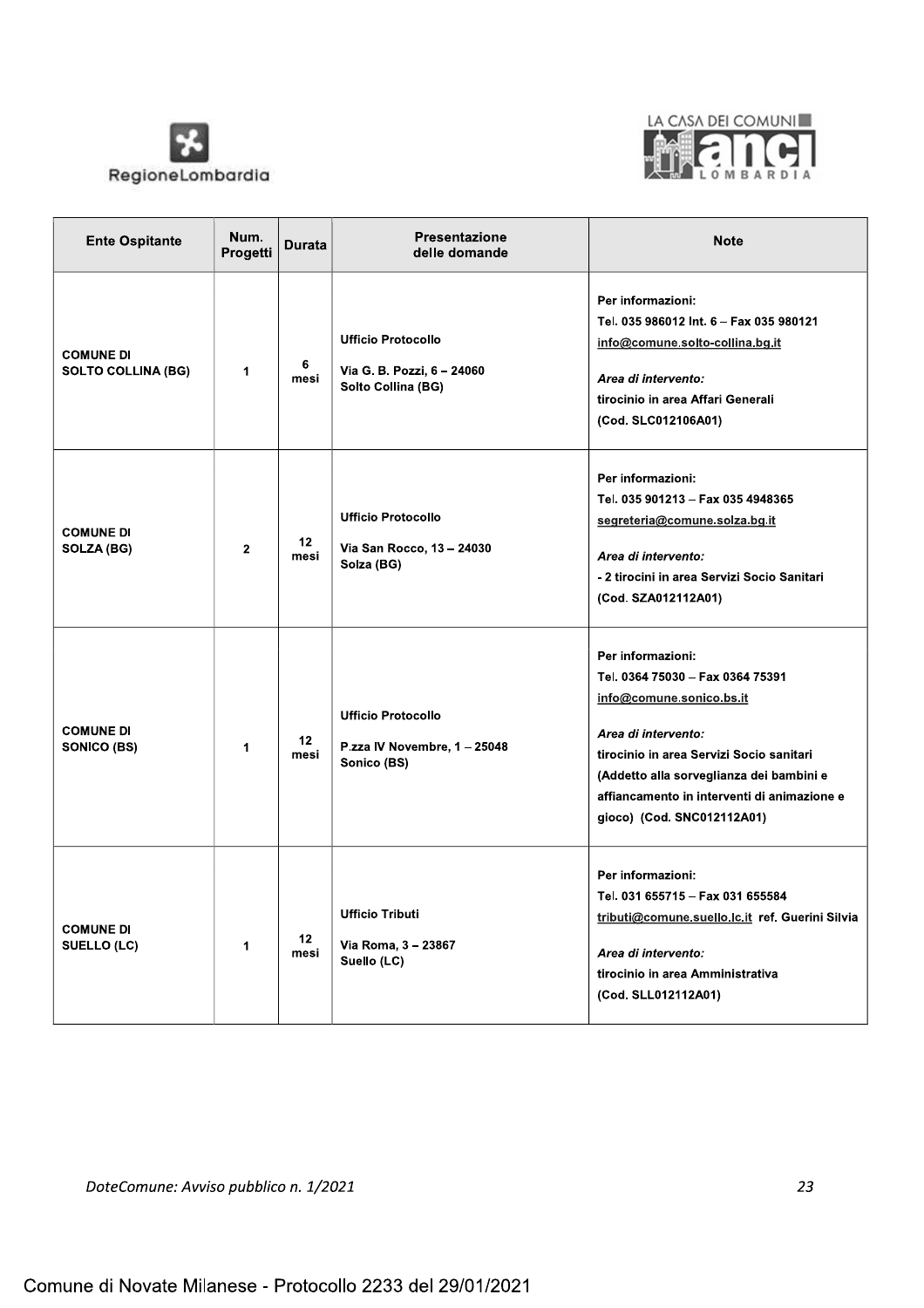



| <b>Ente Ospitante</b>                         | Num.<br>Progetti | Durata                  | <b>Presentazione</b><br>delle domande                                         | <b>Note</b>                                                                                                                                                                                                                                                                   |
|-----------------------------------------------|------------------|-------------------------|-------------------------------------------------------------------------------|-------------------------------------------------------------------------------------------------------------------------------------------------------------------------------------------------------------------------------------------------------------------------------|
| <b>COMUNE DI</b><br><b>SOLTO COLLINA (BG)</b> | 1                | 6<br>mesi               | <b>Ufficio Protocollo</b><br>Via G. B. Pozzi, 6 - 24060<br>Solto Collina (BG) | Per informazioni:<br>Tel. 035 986012 Int. 6 - Fax 035 980121<br>info@comune.solto-collina.bg.it<br>Area di intervento:<br>tirocinio in area Affari Generali<br>(Cod. SLC012106A01)                                                                                            |
| <b>COMUNE DI</b><br>SOLZA (BG)                | $\overline{2}$   | 12 <sub>2</sub><br>mesi | <b>Ufficio Protocollo</b><br>Via San Rocco, 13 - 24030<br>Solza (BG)          | Per informazioni:<br>Tel. 035 901213 - Fax 035 4948365<br>segreteria@comune.solza.bg.it<br>Area di intervento:<br>- 2 tirocini in area Servizi Socio Sanitari<br>(Cod. SZA012112A01)                                                                                          |
| <b>COMUNE DI</b><br>SONICO (BS)               | 1                | 12<br>mesi              | <b>Ufficio Protocollo</b><br>P.zza IV Novembre, 1 - 25048<br>Sonico (BS)      | Per informazioni:<br>Tel. 0364 75030 - Fax 0364 75391<br>info@comune.sonico.bs.it<br>Area di intervento:<br>tirocinio in area Servizi Socio sanitari<br>(Addetto alla sorveglianza dei bambini e<br>affiancamento in interventi di animazione e<br>gioco) (Cod. SNC012112A01) |
| <b>COMUNE DI</b><br>SUELLO (LC)               | 1                | 12<br>mesi              | <b>Ufficio Tributi</b><br>Via Roma, 3 - 23867<br>Suello (LC)                  | Per informazioni:<br>Tel. 031 655715 - Fax 031 655584<br>tributi@comune.suello.lc.it ref. Guerini Silvia<br>Area di intervento:<br>tirocinio in area Amministrativa<br>(Cod. SLL012112A01)                                                                                    |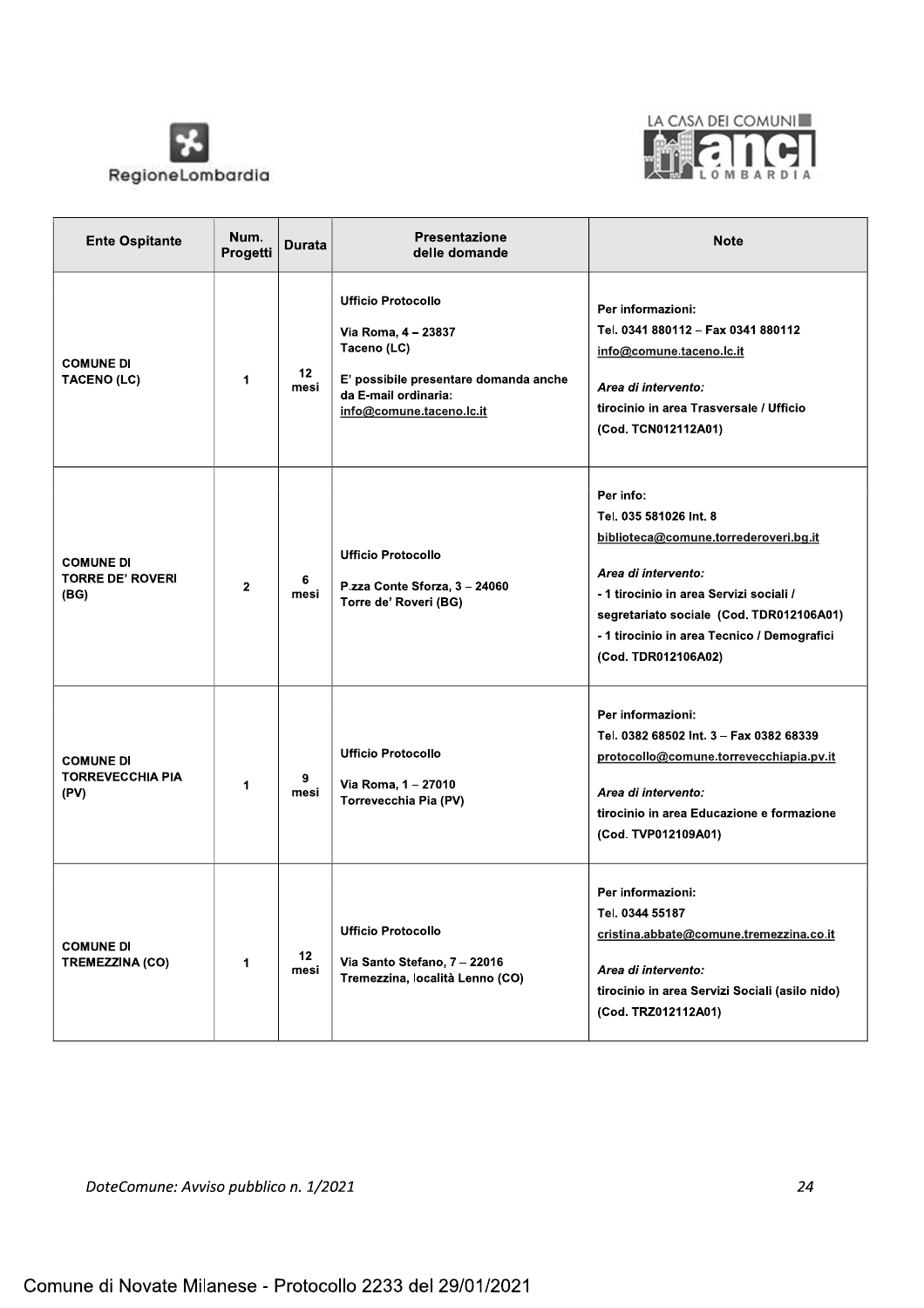



| <b>Ente Ospitante</b>                               | Num.<br>Progetti     | <b>Durata</b> | Presentazione<br>delle domande                                                                                                                               | <b>Note</b>                                                                                                                                                                                                                                                      |
|-----------------------------------------------------|----------------------|---------------|--------------------------------------------------------------------------------------------------------------------------------------------------------------|------------------------------------------------------------------------------------------------------------------------------------------------------------------------------------------------------------------------------------------------------------------|
| <b>COMUNE DI</b><br><b>TACENO (LC)</b>              | $\blacktriangleleft$ | 12<br>mesi    | <b>Ufficio Protocollo</b><br>Via Roma, 4 - 23837<br>Taceno (LC)<br>E' possibile presentare domanda anche<br>da E-mail ordinaria:<br>info@comune.taceno.lc.it | Per informazioni:<br>Tel. 0341 880112 - Fax 0341 880112<br>info@comune.taceno.lc.it<br>Area di intervento:<br>tirocinio in area Trasversale / Ufficio<br>(Cod. TCN012112A01)                                                                                     |
| <b>COMUNE DI</b><br><b>TORRE DE' ROVERI</b><br>(BG) | $\mathbf{2}$         | 6<br>mesi     | <b>Ufficio Protocollo</b><br>P.zza Conte Sforza, 3 - 24060<br>Torre de' Roveri (BG)                                                                          | Per info:<br>Tel. 035 581026 Int. 8<br>biblioteca@comune.torrederoveri.bg.it<br>Area di intervento:<br>- 1 tirocinio in area Servizi sociali /<br>segretariato sociale (Cod. TDR012106A01)<br>- 1 tirocinio in area Tecnico / Demografici<br>(Cod. TDR012106A02) |
| <b>COMUNE DI</b><br><b>TORREVECCHIA PIA</b><br>(PV) | 1                    | 9<br>mesi     | <b>Ufficio Protocollo</b><br>Via Roma, 1 - 27010<br>Torrevecchia Pia (PV)                                                                                    | Per informazioni:<br>Tel. 0382 68502 Int. 3 - Fax 0382 68339<br>protocollo@comune.torrevecchiapia.pv.it<br>Area di intervento:<br>tirocinio in area Educazione e formazione<br>(Cod. TVP012109A01)                                                               |
| <b>COMUNE DI</b><br><b>TREMEZZINA (CO)</b>          | 1                    | 12<br>mesi    | <b>Ufficio Protocollo</b><br>Via Santo Stefano, 7 - 22016<br>Tremezzina, località Lenno (CO)                                                                 | Per informazioni:<br>Tel. 0344 55187<br>cristina.abbate@comune.tremezzina.co.it<br>Area di intervento:<br>tirocinio in area Servizi Sociali (asilo nido)<br>(Cod. TRZ012112A01)                                                                                  |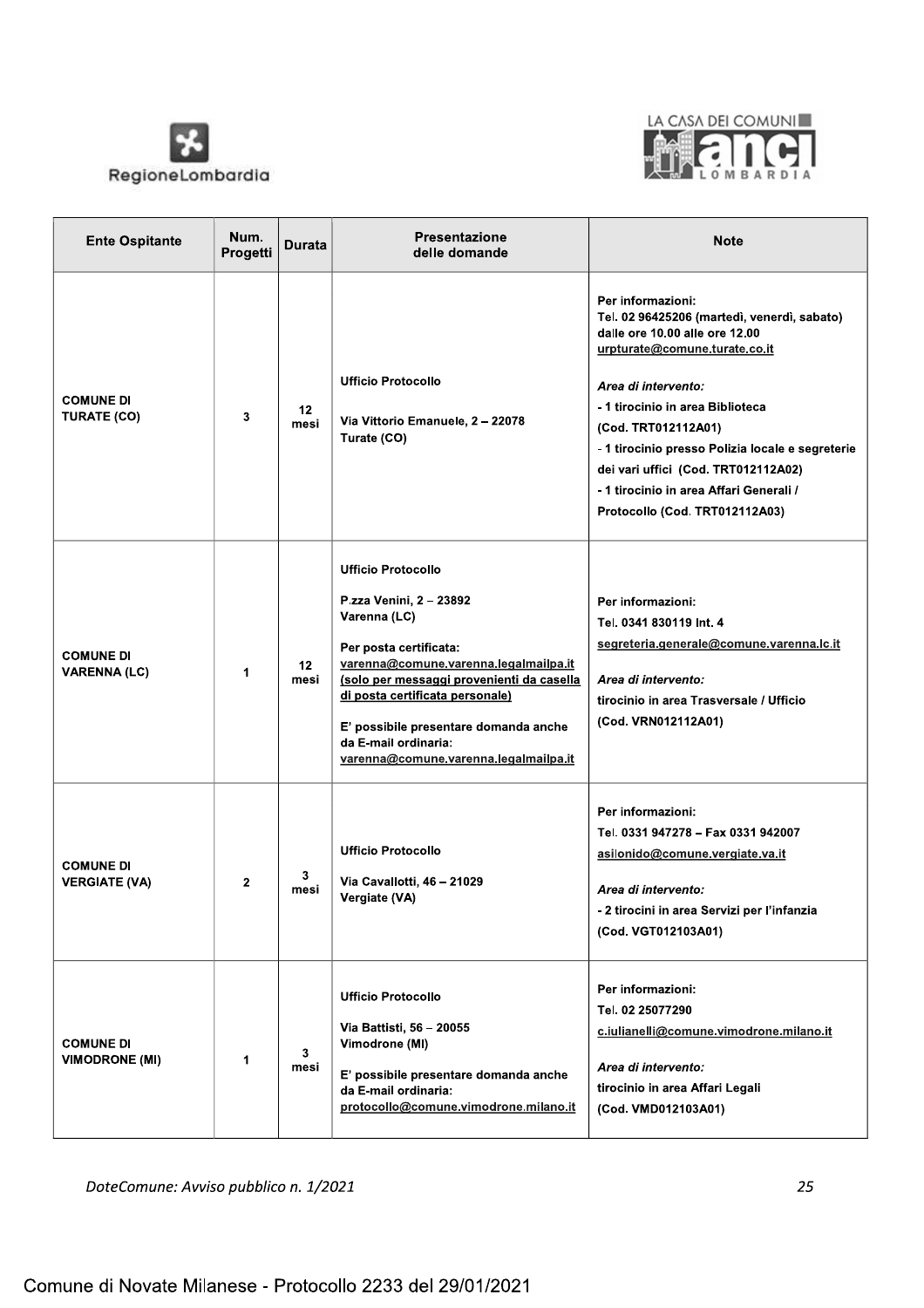



| <b>Ente Ospitante</b>                     | Num.<br>Progetti | Durata     | <b>Presentazione</b><br>delle domande                                                                                                                                                                                                                                                                                             | <b>Note</b>                                                                                                                                                                                                                                                                                                                                                                                   |
|-------------------------------------------|------------------|------------|-----------------------------------------------------------------------------------------------------------------------------------------------------------------------------------------------------------------------------------------------------------------------------------------------------------------------------------|-----------------------------------------------------------------------------------------------------------------------------------------------------------------------------------------------------------------------------------------------------------------------------------------------------------------------------------------------------------------------------------------------|
| <b>COMUNE DI</b><br><b>TURATE (CO)</b>    | 3                | 12<br>mesi | <b>Ufficio Protocollo</b><br>Via Vittorio Emanuele, 2 - 22078<br>Turate (CO)                                                                                                                                                                                                                                                      | Per informazioni:<br>Tel. 02 96425206 (martedì, venerdì, sabato)<br>dalle ore 10.00 alle ore 12.00<br>urpturate@comune.turate.co.it<br>Area di intervento:<br>- 1 tirocinio in area Biblioteca<br>(Cod. TRT012112A01)<br>- 1 tirocinio presso Polizia locale e segreterie<br>dei vari uffici (Cod. TRT012112A02)<br>- 1 tirocinio in area Affari Generali /<br>Protocollo (Cod. TRT012112A03) |
| <b>COMUNE DI</b><br><b>VARENNA (LC)</b>   | 1                | 12<br>mesi | <b>Ufficio Protocollo</b><br>P.zza Venini, 2 - 23892<br>Varenna (LC)<br>Per posta certificata:<br>varenna@comune.varenna.legalmailpa.it<br>(solo per messaggi provenienti da casella<br>di posta certificata personale)<br>E' possibile presentare domanda anche<br>da E-mail ordinaria:<br>varenna@comune.varenna.legalmailpa.it | Per informazioni:<br>Tel. 0341 830119 Int. 4<br>segreteria.generale@comune.varenna.lc.it<br>Area di intervento:<br>tirocinio in area Trasversale / Ufficio<br>(Cod. VRN012112A01)                                                                                                                                                                                                             |
| <b>COMUNE DI</b><br><b>VERGIATE (VA)</b>  | $\overline{2}$   | 3<br>mesi  | <b>Ufficio Protocollo</b><br>Via Cavallotti, 46 - 21029<br>Vergiate (VA)                                                                                                                                                                                                                                                          | Per informazioni:<br>Tel. 0331 947278 - Fax 0331 942007<br>asilonido@comune.vergiate.va.it<br>Area di intervento:<br>- 2 tirocini in area Servizi per l'infanzia<br>(Cod. VGT012103A01)                                                                                                                                                                                                       |
| <b>COMUNE DI</b><br><b>VIMODRONE (MI)</b> | 1                | 3<br>mesi  | <b>Ufficio Protocollo</b><br>Via Battisti, 56 - 20055<br>Vimodrone (MI)<br>E' possibile presentare domanda anche<br>da E-mail ordinaria:<br>protocollo@comune.vimodrone.milano.it                                                                                                                                                 | Per informazioni:<br>Tel. 02 25077290<br>c.iulianelli@comune.vimodrone.milano.it<br>Area di intervento:<br>tirocinio in area Affari Legali<br>(Cod. VMD012103A01)                                                                                                                                                                                                                             |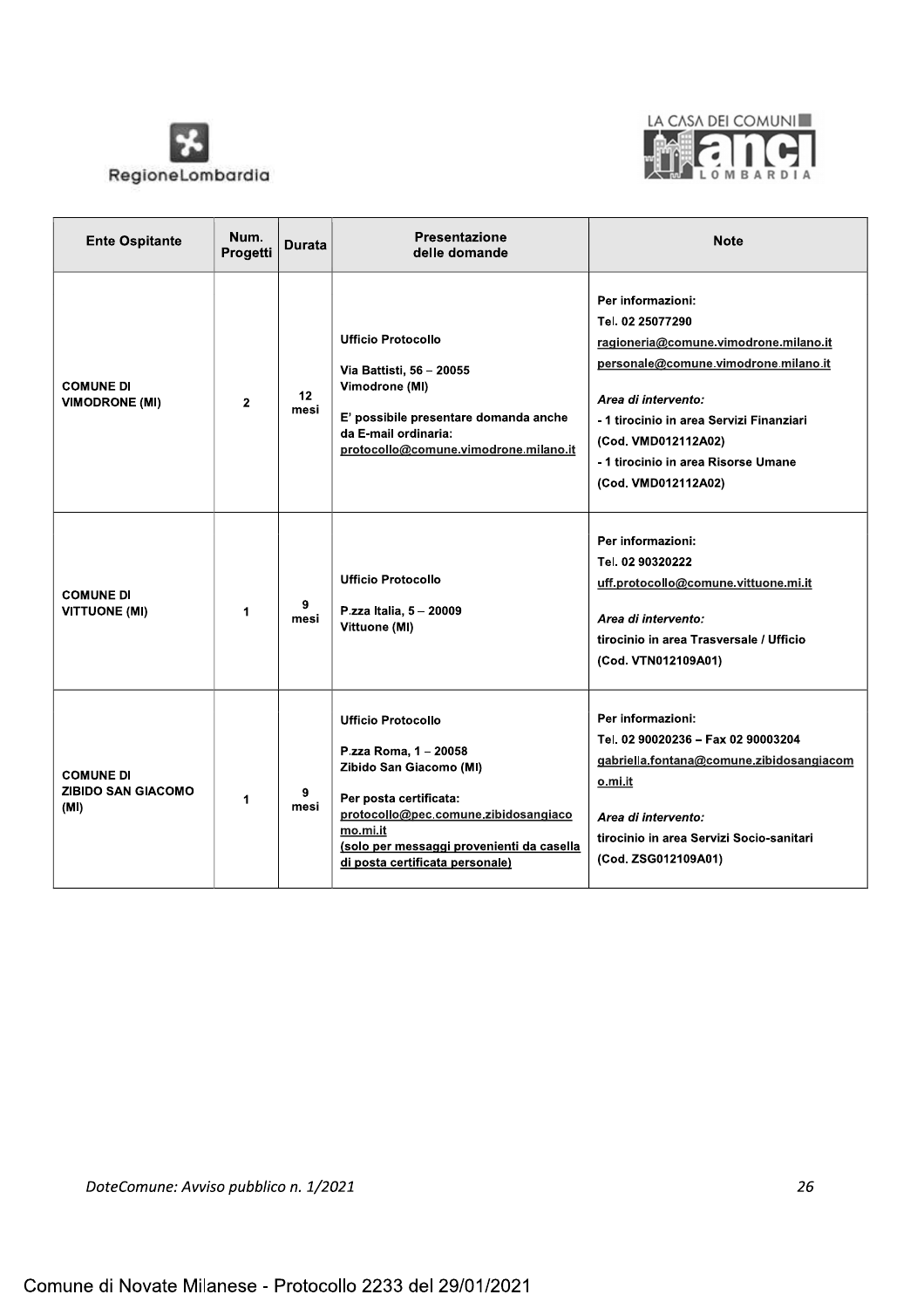



| <b>Ente Ospitante</b>                                 | Num.<br>Progetti | <b>Durata</b> | <b>Presentazione</b><br>delle domande                                                                                                                                                                                                       | <b>Note</b>                                                                                                                                                                                                                                                                    |
|-------------------------------------------------------|------------------|---------------|---------------------------------------------------------------------------------------------------------------------------------------------------------------------------------------------------------------------------------------------|--------------------------------------------------------------------------------------------------------------------------------------------------------------------------------------------------------------------------------------------------------------------------------|
| <b>COMUNE DI</b><br><b>VIMODRONE (MI)</b>             | $\mathbf{2}$     | 12<br>mesi    | <b>Ufficio Protocollo</b><br>Via Battisti, 56 - 20055<br>Vimodrone (MI)<br>E' possibile presentare domanda anche<br>da E-mail ordinaria:<br>protocollo@comune.vimodrone.milano.it                                                           | Per informazioni:<br>Tel. 02 25077290<br>ragioneria@comune.vimodrone.milano.it<br>personale@comune.vimodrone.milano.it<br>Area di intervento:<br>- 1 tirocinio in area Servizi Finanziari<br>(Cod. VMD012112A02)<br>- 1 tirocinio in area Risorse Umane<br>(Cod. VMD012112A02) |
| <b>COMUNE DI</b><br><b>VITTUONE (MI)</b>              | 1                | 9<br>mesi     | <b>Ufficio Protocollo</b><br>P.zza Italia, 5 - 20009<br>Vittuone (MI)                                                                                                                                                                       | Per informazioni:<br>Tel. 02 90320222<br>uff.protocollo@comune.vittuone.mi.it<br>Area di intervento:<br>tirocinio in area Trasversale / Ufficio<br>(Cod. VTN012109A01)                                                                                                         |
| <b>COMUNE DI</b><br><b>ZIBIDO SAN GIACOMO</b><br>(MI) | $\mathbf{1}$     | 9<br>mesi     | <b>Ufficio Protocollo</b><br>P.zza Roma, 1 - 20058<br>Zibido San Giacomo (MI)<br>Per posta certificata:<br>protocollo@pec.comune.zibidosangiaco<br>mo.mi.it<br>(solo per messaggi provenienti da casella<br>di posta certificata personale) | Per informazioni:<br>Tel. 02 90020236 - Fax 02 90003204<br>gabriella.fontana@comune.zibidosangiacom<br>o.mi.it<br>Area di intervento:<br>tirocinio in area Servizi Socio-sanitari<br>(Cod. ZSG012109A01)                                                                       |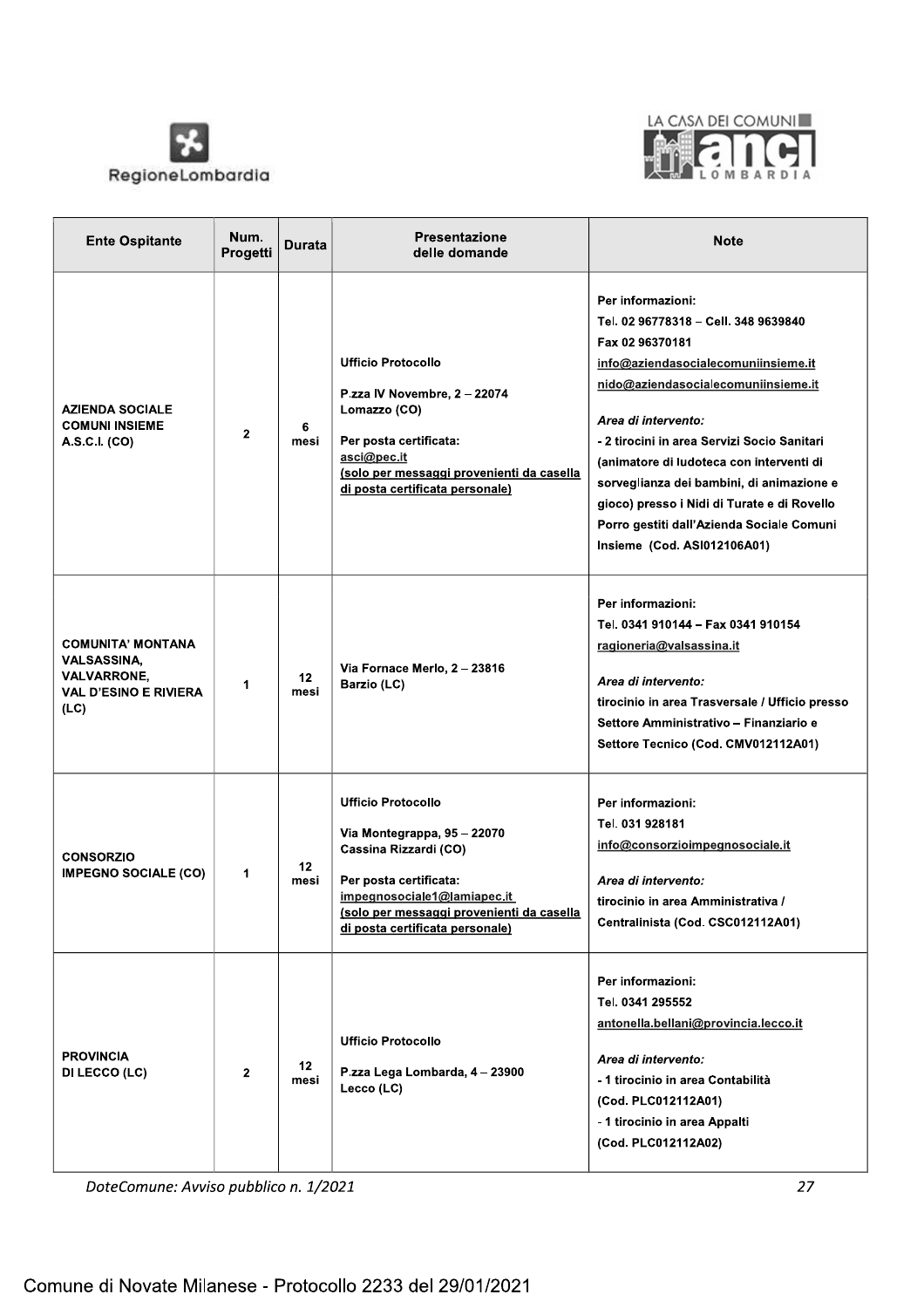



| <b>Ente Ospitante</b>                                                                                        | Num.<br>Progetti | Durata                  | Presentazione<br>delle domande                                                                                                                                                                                             | <b>Note</b>                                                                                                                                                                                                                                                                                                                                                                                                                                                 |
|--------------------------------------------------------------------------------------------------------------|------------------|-------------------------|----------------------------------------------------------------------------------------------------------------------------------------------------------------------------------------------------------------------------|-------------------------------------------------------------------------------------------------------------------------------------------------------------------------------------------------------------------------------------------------------------------------------------------------------------------------------------------------------------------------------------------------------------------------------------------------------------|
| <b>AZIENDA SOCIALE</b><br><b>COMUNI INSIEME</b><br>A.S.C.I. (CO)                                             | $\mathbf{2}$     | 6<br>mesi               | <b>Ufficio Protocollo</b><br>P.zza IV Novembre, 2 - 22074<br>Lomazzo (CO)<br>Per posta certificata:<br>asci@pec.it<br>(solo per messaggi provenienti da casella<br>di posta certificata personale)                         | Per informazioni:<br>Tel. 02 96778318 - Cell. 348 9639840<br>Fax 02 96370181<br>info@aziendasocialecomuniinsieme.it<br>nido@aziendasocialecomuniinsieme.it<br>Area di intervento:<br>- 2 tirocini in area Servizi Socio Sanitari<br>(animatore di ludoteca con interventi di<br>sorveglianza dei bambini, di animazione e<br>gioco) presso i Nidi di Turate e di Rovello<br>Porro gestiti dall'Azienda Sociale Comuni<br><b>Insieme (Cod. ASI012106A01)</b> |
| <b>COMUNITA' MONTANA</b><br><b>VALSASSINA.</b><br><b>VALVARRONE,</b><br><b>VAL D'ESINO E RIVIERA</b><br>(LC) | 1                | 12 <sup>2</sup><br>mesi | Via Fornace Merlo, 2 - 23816<br>Barzio (LC)                                                                                                                                                                                | Per informazioni:<br>Tel. 0341 910144 - Fax 0341 910154<br>ragioneria@valsassina.it<br>Area di intervento:<br>tirocinio in area Trasversale / Ufficio presso<br>Settore Amministrativo - Finanziario e<br>Settore Tecnico (Cod. CMV012112A01)                                                                                                                                                                                                               |
| <b>CONSORZIO</b><br><b>IMPEGNO SOCIALE (CO)</b>                                                              | 1                | 12<br>mesi              | <b>Ufficio Protocollo</b><br>Via Montegrappa, 95 - 22070<br>Cassina Rizzardi (CO)<br>Per posta certificata:<br>impegnosociale1@lamiapec.it<br>(solo per messaggi provenienti da casella<br>di posta certificata personale) | Per informazioni:<br>Tel. 031 928181<br>info@consorzioimpegnosociale.it<br>Area di intervento:<br>tirocinio in area Amministrativa /<br>Centralinista (Cod. CSC012112A01)                                                                                                                                                                                                                                                                                   |
| <b>PROVINCIA</b><br>DI LECCO (LC)                                                                            | $\mathbf{2}$     | 12<br>mesi              | <b>Ufficio Protocollo</b><br>P.zza Lega Lombarda, 4 - 23900<br>Lecco (LC)                                                                                                                                                  | Per informazioni:<br>Tel. 0341 295552<br>antonella.bellani@provincia.lecco.it<br>Area di intervento:<br>- 1 tirocinio in area Contabilità<br>(Cod. PLC012112A01)<br>- 1 tirocinio in area Appalti<br>(Cod. PLC012112A02)                                                                                                                                                                                                                                    |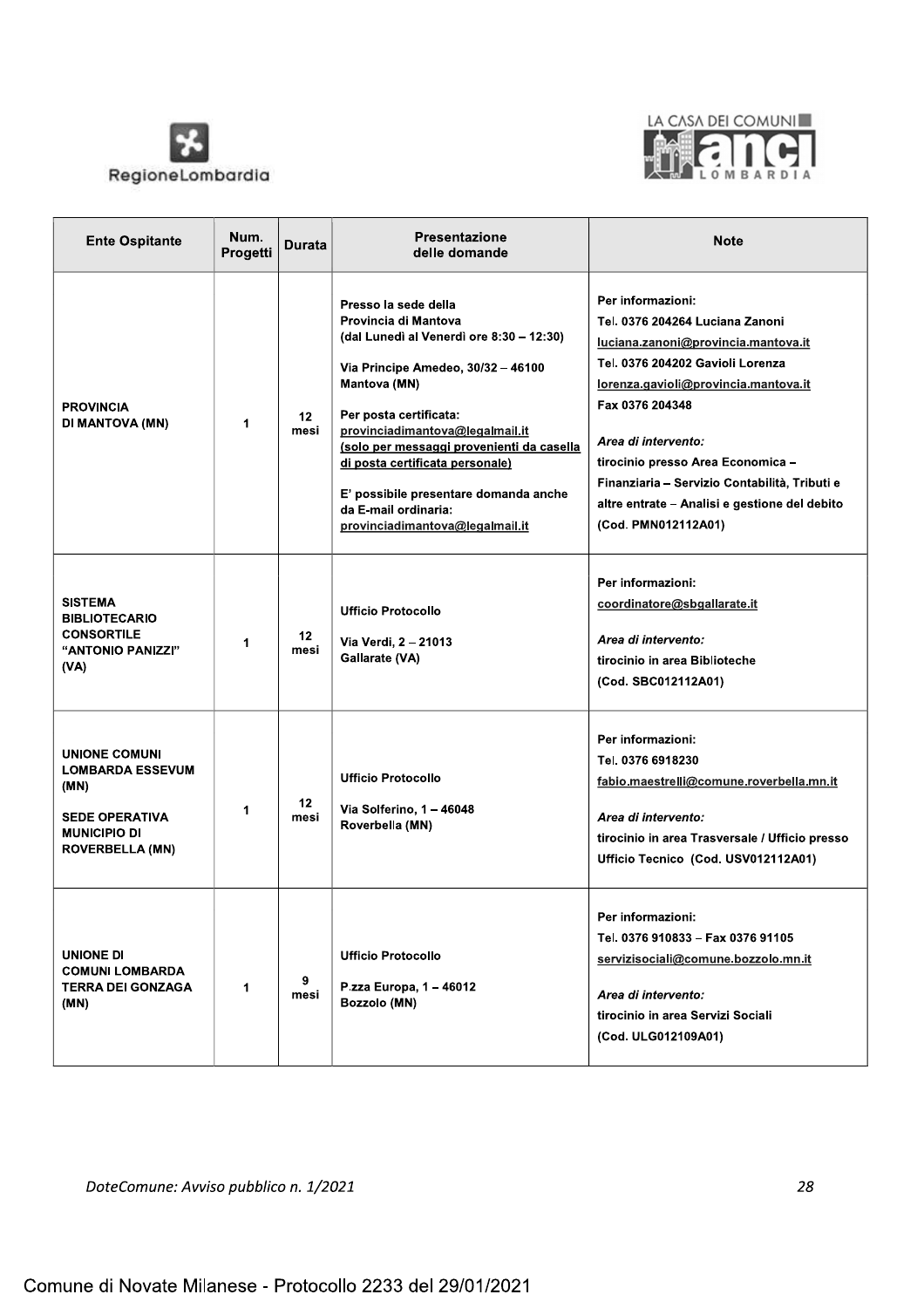



| <b>Ente Ospitante</b>                                                                                                      | Num.<br>Progetti | Durata     | Presentazione<br>delle domande                                                                                                                                                                                                                                                                                                                                                                  | <b>Note</b>                                                                                                                                                                                                                                                                                                                                                                            |
|----------------------------------------------------------------------------------------------------------------------------|------------------|------------|-------------------------------------------------------------------------------------------------------------------------------------------------------------------------------------------------------------------------------------------------------------------------------------------------------------------------------------------------------------------------------------------------|----------------------------------------------------------------------------------------------------------------------------------------------------------------------------------------------------------------------------------------------------------------------------------------------------------------------------------------------------------------------------------------|
| <b>PROVINCIA</b><br>DI MANTOVA (MN)                                                                                        | 1                | 12<br>mesi | Presso la sede della<br>Provincia di Mantova<br>(dal Lunedì al Venerdì ore 8:30 – 12:30)<br>Via Principe Amedeo, 30/32 - 46100<br>Mantova (MN)<br>Per posta certificata:<br>provinciadimantova@legalmail.it<br>(solo per messaggi provenienti da casella<br>di posta certificata personale)<br>E' possibile presentare domanda anche<br>da E-mail ordinaria:<br>provinciadimantova@legalmail.it | Per informazioni:<br>Tel. 0376 204264 Luciana Zanoni<br>luciana.zanoni@provincia.mantova.it<br>Tel. 0376 204202 Gavioli Lorenza<br><u>lorenza.gavioli@provincia.mantova.it</u><br>Fax 0376 204348<br>Area di intervento:<br>tirocinio presso Area Economica -<br>Finanziaria - Servizio Contabilità, Tributi e<br>altre entrate - Analisi e gestione del debito<br>(Cod. PMN012112A01) |
| <b>SISTEMA</b><br><b>BIBLIOTECARIO</b><br><b>CONSORTILE</b><br>"ANTONIO PANIZZI"<br>(VA)                                   | 1                | 12<br>mesi | <b>Ufficio Protocollo</b><br>Via Verdi, 2 - 21013<br>Gallarate (VA)                                                                                                                                                                                                                                                                                                                             | Per informazioni:<br>coordinatore@sbgallarate.it<br>Area di intervento:<br>tirocinio in area Biblioteche<br>(Cod. SBC012112A01)                                                                                                                                                                                                                                                        |
| UNIONE COMUNI<br><b>LOMBARDA ESSEVUM</b><br>(MN)<br><b>SEDE OPERATIVA</b><br><b>MUNICIPIO DI</b><br><b>ROVERBELLA (MN)</b> | 1                | 12<br>mesi | <b>Ufficio Protocollo</b><br>Via Solferino, 1 - 46048<br>Roverbella (MN)                                                                                                                                                                                                                                                                                                                        | Per informazioni:<br>Tel. 0376 6918230<br>fabio.maestrelli@comune.roverbella.mn.it<br>Area di intervento:<br>tirocinio in area Trasversale / Ufficio presso<br>Ufficio Tecnico (Cod. USV012112A01)                                                                                                                                                                                     |
| <b>UNIONE DI</b><br><b>COMUNI LOMBARDA</b><br>TERRA DEI GONZAGA<br>(MN)                                                    | 1                | 9<br>mesi  | <b>Ufficio Protocollo</b><br>P.zza Europa, 1 - 46012<br>Bozzolo (MN)                                                                                                                                                                                                                                                                                                                            | Per informazioni:<br>Tel. 0376 910833 - Fax 0376 91105<br>servizisociali@comune.bozzolo.mn.it<br>Area di intervento:<br>tirocinio in area Servizi Sociali<br>(Cod. ULG012109A01)                                                                                                                                                                                                       |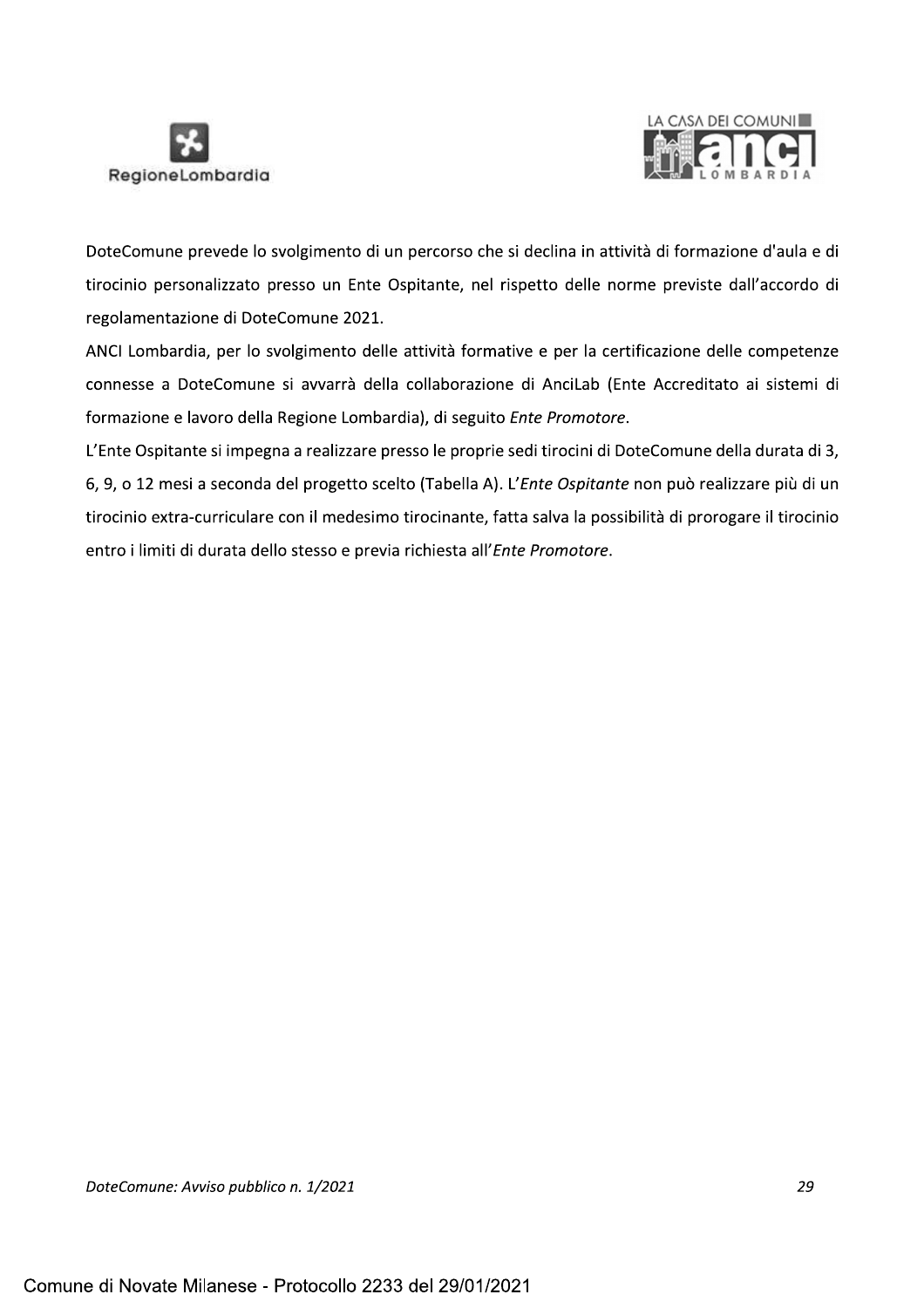



DoteComune prevede lo svolgimento di un percorso che si declina in attività di formazione d'aula e di tirocinio personalizzato presso un Ente Ospitante, nel rispetto delle norme previste dall'accordo di regolamentazione di DoteComune 2021.

ANCI Lombardia, per lo svolgimento delle attività formative e per la certificazione delle competenze connesse a DoteComune si avvarrà della collaborazione di AnciLab (Ente Accreditato ai sistemi di formazione e lavoro della Regione Lombardia), di seguito Ente Promotore.

L'Ente Ospitante si impegna a realizzare presso le proprie sedi tirocini di DoteComune della durata di 3, 6, 9, o 12 mesi a seconda del progetto scelto (Tabella A). L'Ente Ospitante non può realizzare più di un tirocinio extra-curriculare con il medesimo tirocinante, fatta salva la possibilità di prorogare il tirocinio entro i limiti di durata dello stesso e previa richiesta all'Ente Promotore.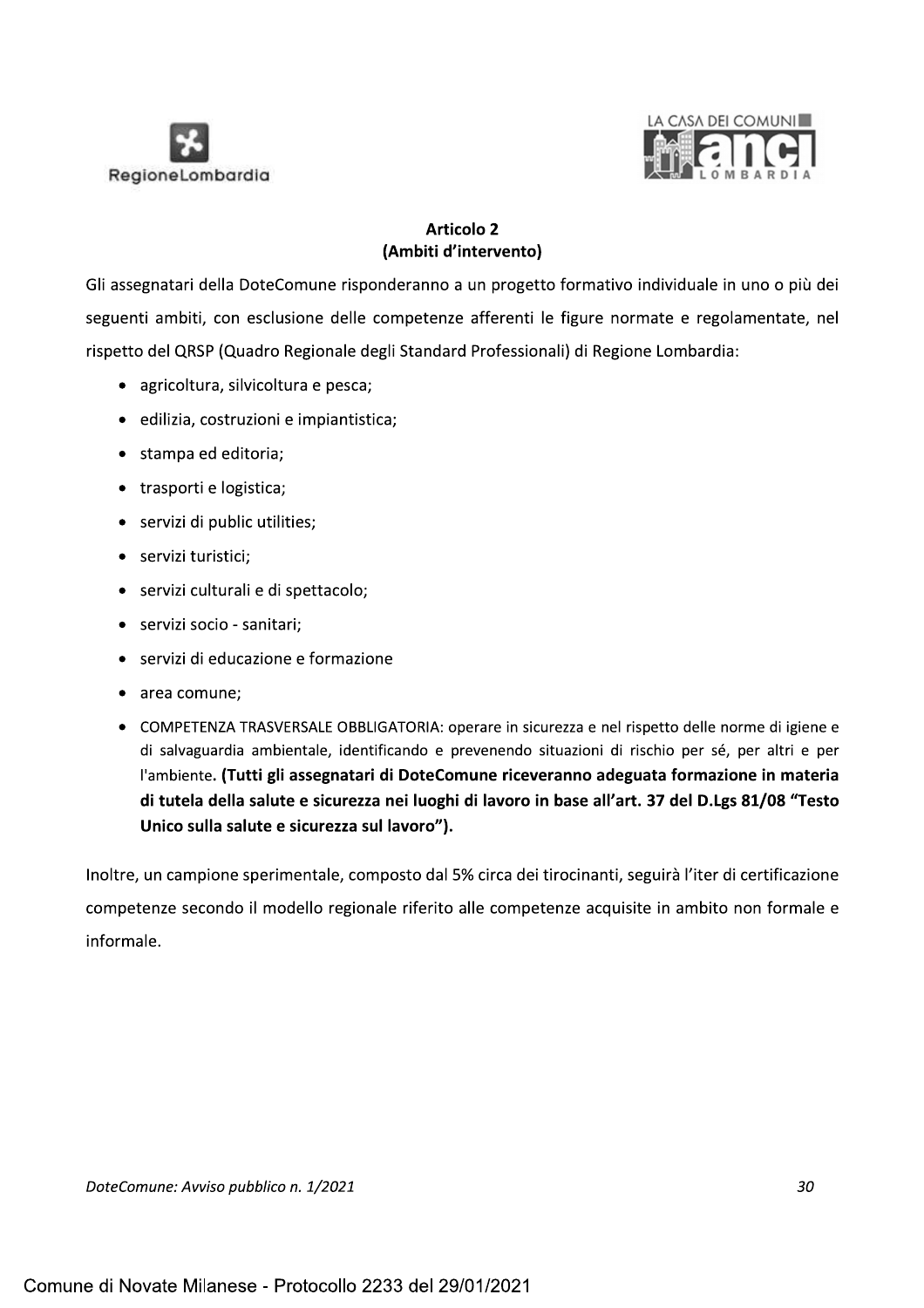



# **Articolo 2** (Ambiti d'intervento)

Gli assegnatari della DoteComune risponderanno a un progetto formativo individuale in uno o più dei seguenti ambiti, con esclusione delle competenze afferenti le figure normate e regolamentate, nel rispetto del QRSP (Quadro Regionale degli Standard Professionali) di Regione Lombardia:

- · agricoltura, silvicoltura e pesca;
- · edilizia, costruzioni e impiantistica;
- · stampa ed editoria:
- trasporti e logistica;
- servizi di public utilities;
- · servizi turistici:
- · servizi culturali e di spettacolo;
- · servizi socio sanitari;
- servizi di educazione e formazione
- area comune:
- COMPETENZA TRASVERSALE OBBLIGATORIA: operare in sicurezza e nel rispetto delle norme di igiene e di salvaguardia ambientale, identificando e prevenendo situazioni di rischio per sé, per altri e per l'ambiente. (Tutti gli assegnatari di DoteComune riceveranno adeguata formazione in materia di tutela della salute e sicurezza nei luoghi di lavoro in base all'art. 37 del D.Lgs 81/08 "Testo Unico sulla salute e sicurezza sul lavoro").

Inoltre, un campione sperimentale, composto dal 5% circa dei tirocinanti, seguirà l'iter di certificazione competenze secondo il modello regionale riferito alle competenze acquisite in ambito non formale e informale.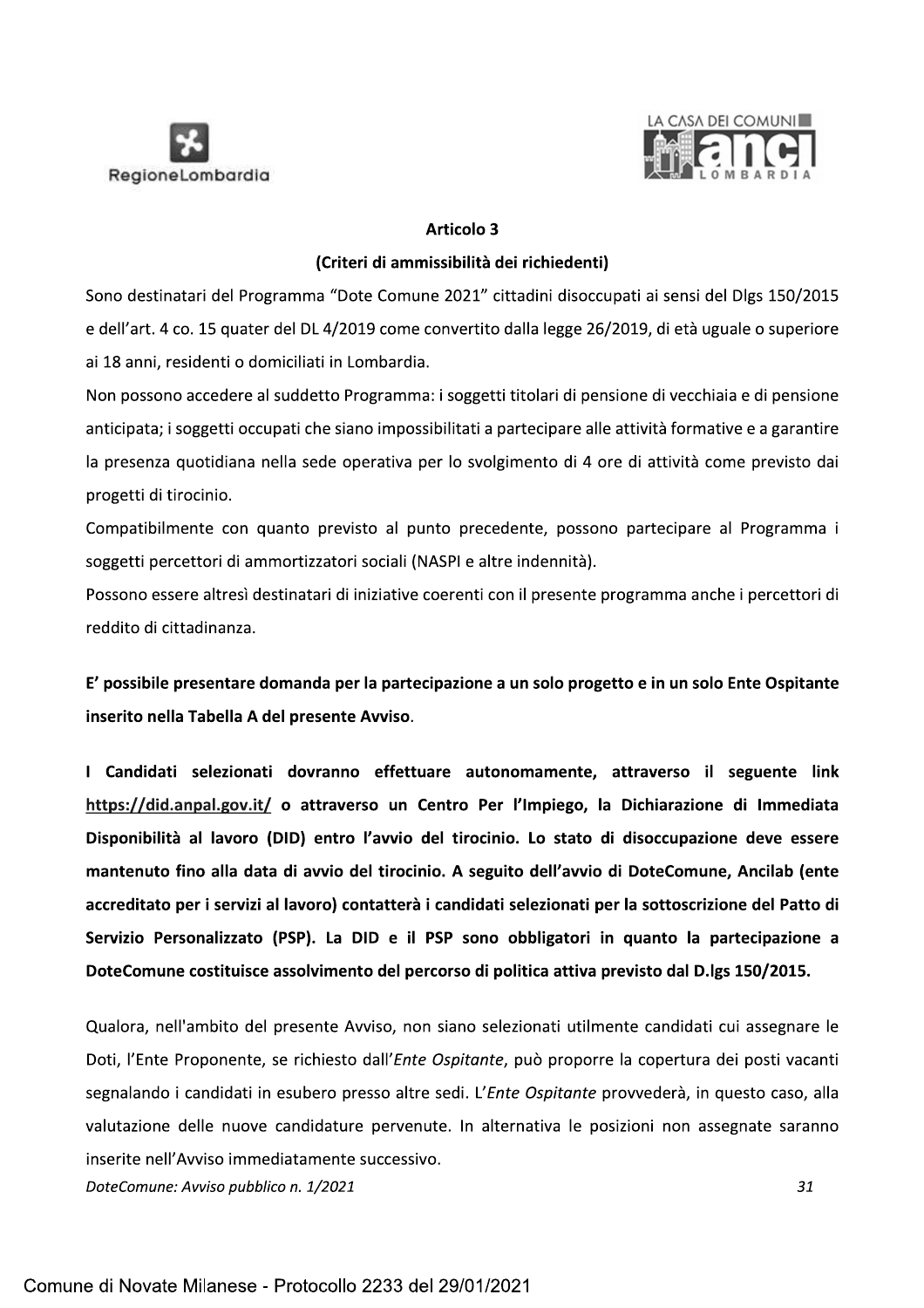



### **Articolo 3**

### (Criteri di ammissibilità dei richiedenti)

Sono destinatari del Programma "Dote Comune 2021" cittadini disoccupati ai sensi del Dlgs 150/2015 e dell'art. 4 co. 15 quater del DL 4/2019 come convertito dalla legge 26/2019, di età uguale o superiore ai 18 anni, residenti o domiciliati in Lombardia.

Non possono accedere al suddetto Programma: i soggetti titolari di pensione di vecchiaia e di pensione anticipata; i soggetti occupati che siano impossibilitati a partecipare alle attività formative e a garantire la presenza quotidiana nella sede operativa per lo svolgimento di 4 ore di attività come previsto dai progetti di tirocinio.

Compatibilmente con quanto previsto al punto precedente, possono partecipare al Programma i soggetti percettori di ammortizzatori sociali (NASPI e altre indennità).

Possono essere altresì destinatari di iniziative coerenti con il presente programma anche i percettori di reddito di cittadinanza.

E' possibile presentare domanda per la partecipazione a un solo progetto e in un solo Ente Ospitante inserito nella Tabella A del presente Avviso.

I Candidati selezionati dovranno effettuare autonomamente, attraverso il seguente link https://did.anpal.gov.it/ o attraverso un Centro Per l'Impiego, la Dichiarazione di Immediata Disponibilità al lavoro (DID) entro l'avvio del tirocinio. Lo stato di disoccupazione deve essere mantenuto fino alla data di avvio del tirocinio. A seguito dell'avvio di DoteComune, Ancilab (ente accreditato per i servizi al lavoro) contatterà i candidati selezionati per la sottoscrizione del Patto di Servizio Personalizzato (PSP). La DID e il PSP sono obbligatori in quanto la partecipazione a DoteComune costituisce assolvimento del percorso di politica attiva previsto dal D.lgs 150/2015.

Qualora, nell'ambito del presente Avviso, non siano selezionati utilmente candidati cui assegnare le Doti, l'Ente Proponente, se richiesto dall'Ente Ospitante, può proporre la copertura dei posti vacanti segnalando i candidati in esubero presso altre sedi. L'Ente Ospitante provvederà, in questo caso, alla valutazione delle nuove candidature pervenute. In alternativa le posizioni non assegnate saranno inserite nell'Avviso immediatamente successivo.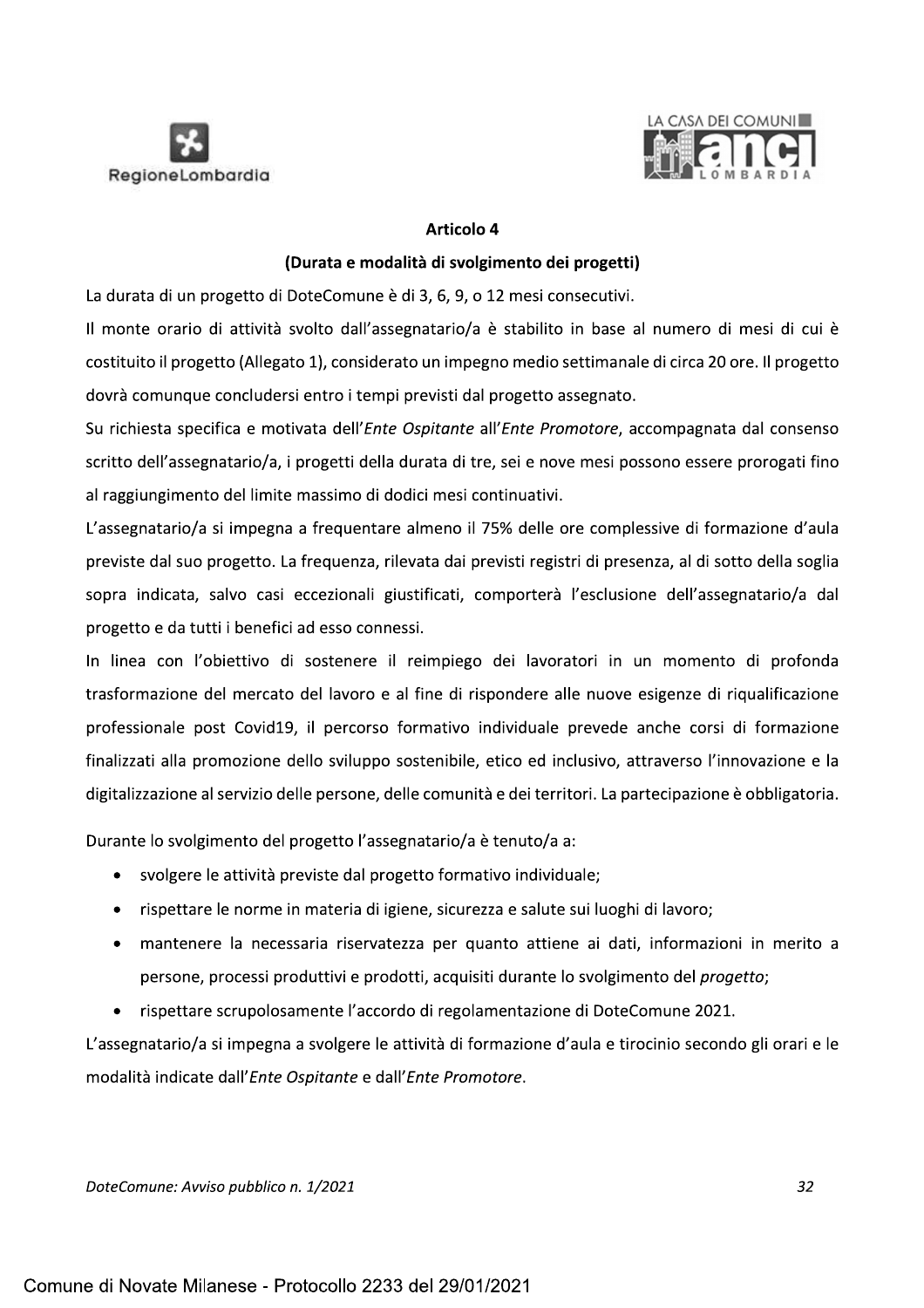



# Articolo 4

# (Durata e modalità di svolgimento dei progetti)

La durata di un progetto di DoteComune è di 3, 6, 9, o 12 mesi consecutivi.

Il monte orario di attività svolto dall'assegnatario/a è stabilito in base al numero di mesi di cui è costituito il progetto (Allegato 1), considerato un impegno medio settimanale di circa 20 ore. Il progetto dovrà comunque concludersi entro i tempi previsti dal progetto assegnato.

Su richiesta specifica e motivata dell'Ente Ospitante all'Ente Promotore, accompagnata dal consenso scritto dell'assegnatario/a, i progetti della durata di tre, sei e nove mesi possono essere prorogati fino al raggiungimento del limite massimo di dodici mesi continuativi.

L'assegnatario/a si impegna a frequentare almeno il 75% delle ore complessive di formazione d'aula previste dal suo progetto. La frequenza, rilevata dai previsti registri di presenza, al di sotto della soglia sopra indicata, salvo casi eccezionali giustificati, comporterà l'esclusione dell'assegnatario/a dal progetto e da tutti i benefici ad esso connessi.

In linea con l'obiettivo di sostenere il reimpiego dei lavoratori in un momento di profonda trasformazione del mercato del lavoro e al fine di rispondere alle nuove esigenze di riqualificazione professionale post Covid19, il percorso formativo individuale prevede anche corsi di formazione finalizzati alla promozione dello sviluppo sostenibile, etico ed inclusivo, attraverso l'innovazione e la digitalizzazione al servizio delle persone, delle comunità e dei territori. La partecipazione è obbligatoria.

Durante lo svolgimento del progetto l'assegnatario/a è tenuto/a a:

- svolgere le attività previste dal progetto formativo individuale;
- rispettare le norme in materia di igiene, sicurezza e salute sui luoghi di lavoro;
- · mantenere la necessaria riservatezza per quanto attiene ai dati, informazioni in merito a persone, processi produttivi e prodotti, acquisiti durante lo svolgimento del *progetto*;
- rispettare scrupolosamente l'accordo di regolamentazione di DoteComune 2021.

L'assegnatario/a si impegna a svolgere le attività di formazione d'aula e tirocinio secondo gli orari e le modalità indicate dall'Ente Ospitante e dall'Ente Promotore.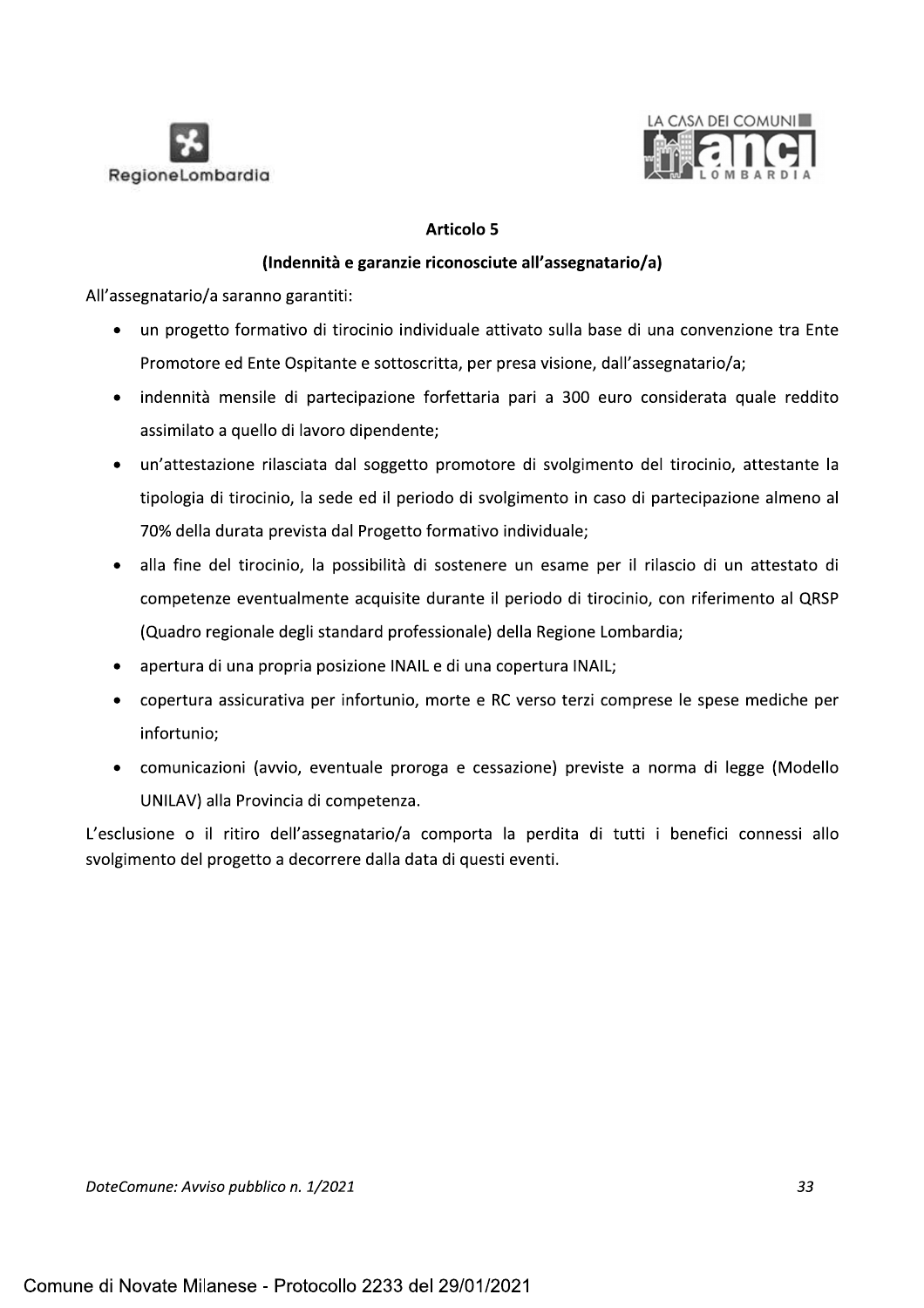



- 
- **Example 19 A CASA DEI COMUNI<br>
RegioneLombardia<br>
(Indennità e garanzie riconosciute all'assegnatario/a)<br>
All'assegnatario/a saranno garantiti:<br>
 un progetto formativo di tirocinio individuale attivato sulla base di una co** 
	- un'attestazione rilasciata dal soggetto promotore di svolgimento del tirocinio, attestante la tipologia di tirocinio, la sede ed il periodo di svolgimento in caso di partecipazione almeno al 70% della durata prevista dal Progetto formativo individuale;
	- alla fine del tirocinio, la possibilità di sostenere un esame per il rilascio di un attestato di competenze eventualmente acquisite durante il periodo di tirocinio, con riferimento al QRSP (Quadro regionale degli standard professionale) della Regione Lombardia;
	- apertura di una propria posizione INAIL e di una copertura INAIL;
	- copertura assicurativa per infortunio, morte e RC verso terzi comprese le spese mediche per infortunio;
	- comunicazioni (avvio, eventuale proroga e cessazione) previste a norma di legge (Modello UNILAV) alla Provincia di competenza.

L'esclusione o il ritiro dell'assegnatario/a comporta la perdita di tutti i benefici connessi allo svolgimento del progetto a decorrere dalla data di questi eventi.

DoteComune: Avviso pubblico n. 1/2021 https://www.astronomega.com/2010/2010 http://www.astronomega.com/2010/20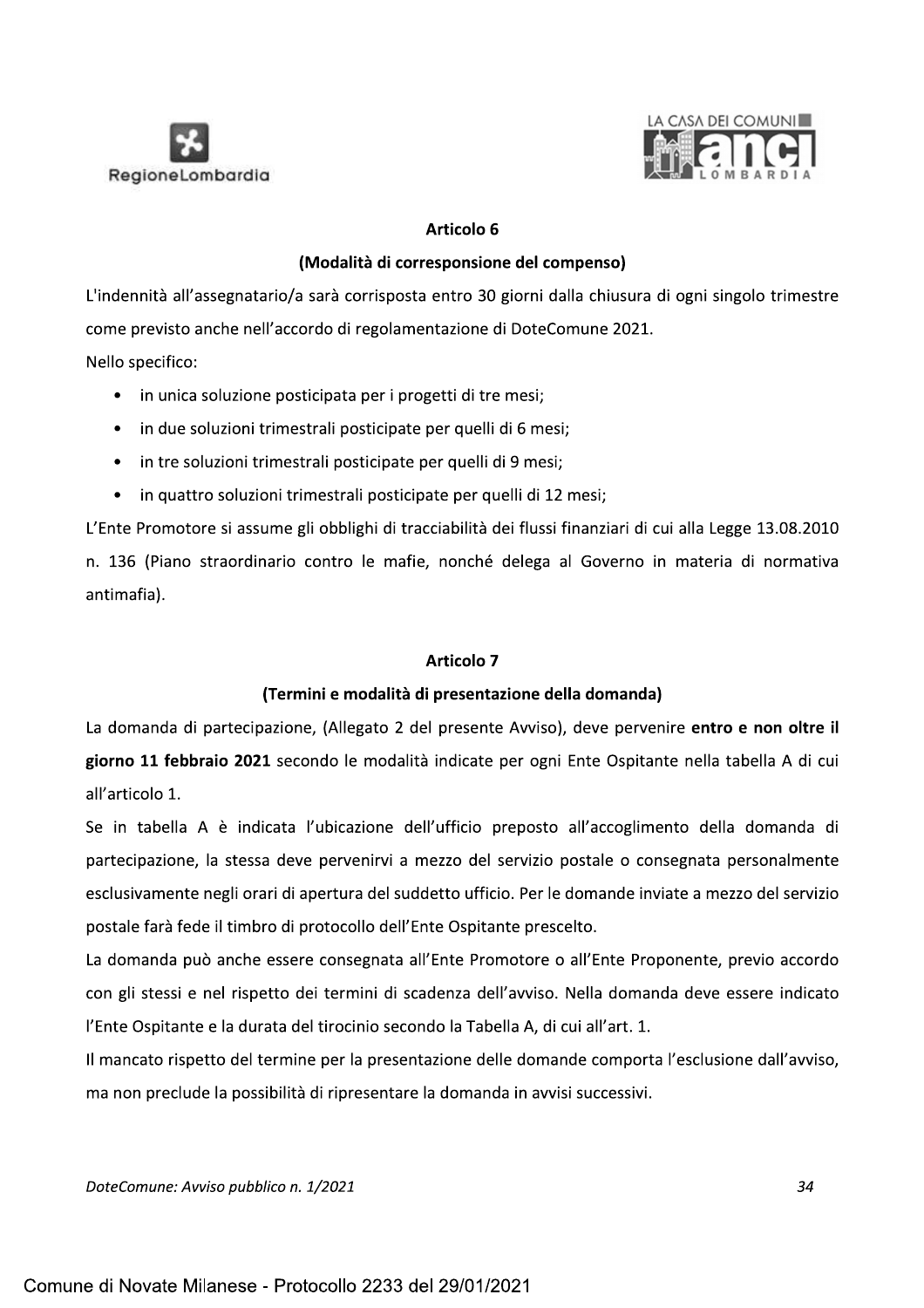



RegioneLombardia<br>
RegioneLombardia<br>
(Modalità di corresponsione del compenso)<br>
L'indennità all'assegnatario/a sarà corrisposta entro 30 giorni dalla chiusura di ogni singolo trimestre<br>
come previsto anche nell'accordo di r

- 
- 
- in tre soluzioni trimestrali posticipate per quelli di 9 mesi;
- in quattro soluzioni trimestrali posticipate per quelli di 12 mesi;

L'Ente Promotore si assume gli obblighi di tracciabilità dei flussi finanziari di cui alla Legge 13.08.2010 n. 136 (Piano straordinario contro le mafie, nonché delega al Governo in materia di normativa

L'Ente Promotore si assume gli obblighi di tracciabilità dei flussi finanziari di cui alla Leg<br>
1. 136 (Piano straordinario contro le mafie, nonché delega al Governo in materia<br>
1. 136 (Piano straordinario contro le mafie,

n. 136 (Piano straordinario contro le mafie, nonché delega al Governo in materia di normativa<br>
antimafia).<br> **Articolo 7**<br> **(Termini e modalità di presentazione della domanda)**<br>
La domanda di partecipazione, (Allegato 2 del

La domanda può anche essere consegnata all'Ente Promotore o all'Ente Proponente, previo accordo con gli stessi e nel rispetto dei termini di scadenza dell'avviso. Nella domanda deve essere indicato l'Ente Ospitante e la durata del tirocinio secondo la Tabella A, di cui all'art. 1.

Il mancato rispetto del termine per la presentazione delle domande comporta l'esclusione dall'avviso, ma non preclude la possibilità di ripresentare la domanda in avvisi successivi.

DoteComune: Avviso pubblico n. 1/2021 **comunitativa e constituito de la constituito de la constituito de la co**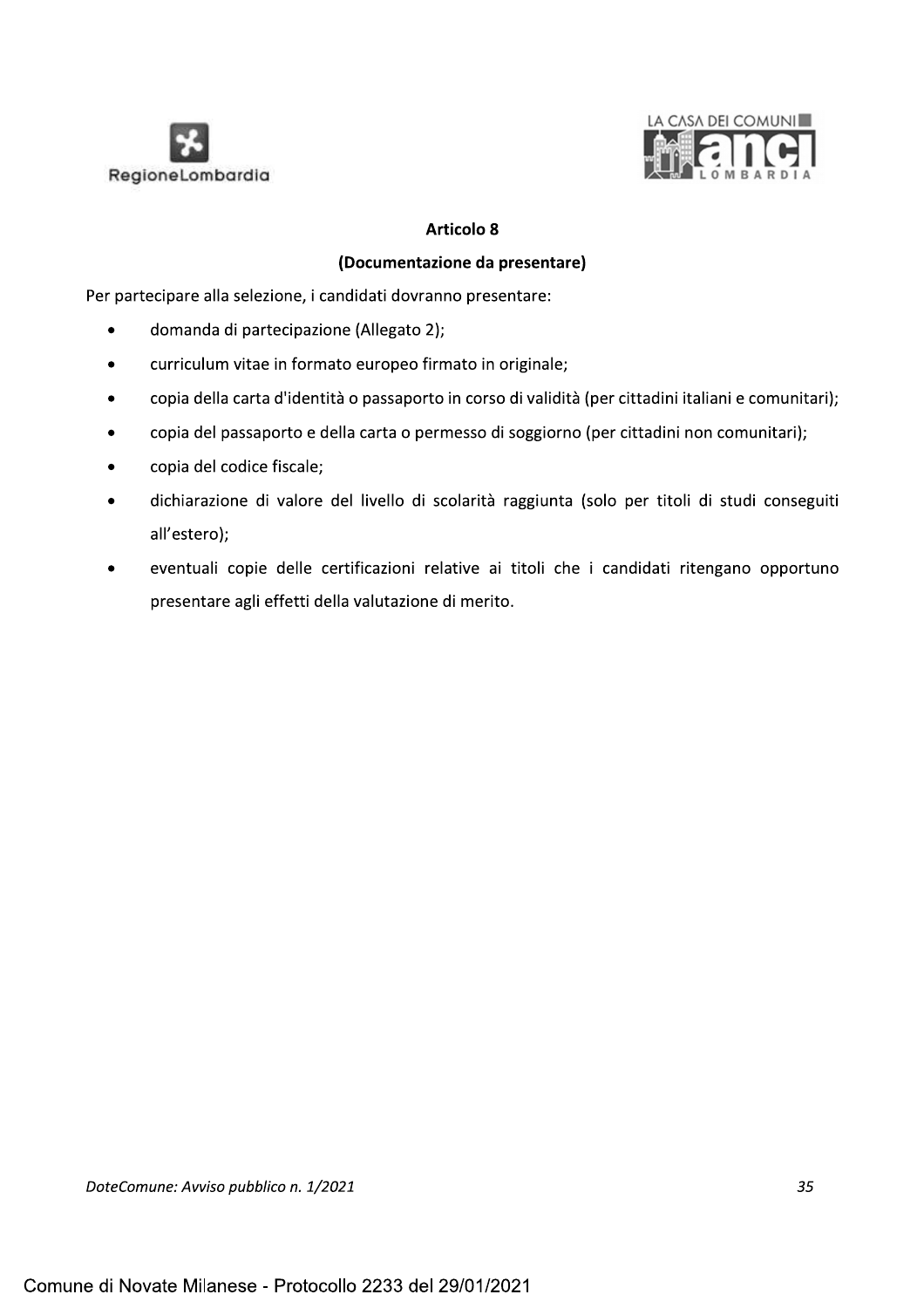



# **Articolo 8**

# (Documentazione da presentare)

Per partecipare alla selezione, i candidati dovranno presentare:

- domanda di partecipazione (Allegato 2);  $\bullet$
- curriculum vitae in formato europeo firmato in originale;  $\bullet$
- copia della carta d'identità o passaporto in corso di validità (per cittadini italiani e comunitari);
- copia del passaporto e della carta o permesso di soggiorno (per cittadini non comunitari);  $\bullet$
- copia del codice fiscale;
- dichiarazione di valore del livello di scolarità raggiunta (solo per titoli di studi conseguiti all'estero);
- eventuali copie delle certificazioni relative ai titoli che i candidati ritengano opportuno  $\bullet$ presentare agli effetti della valutazione di merito.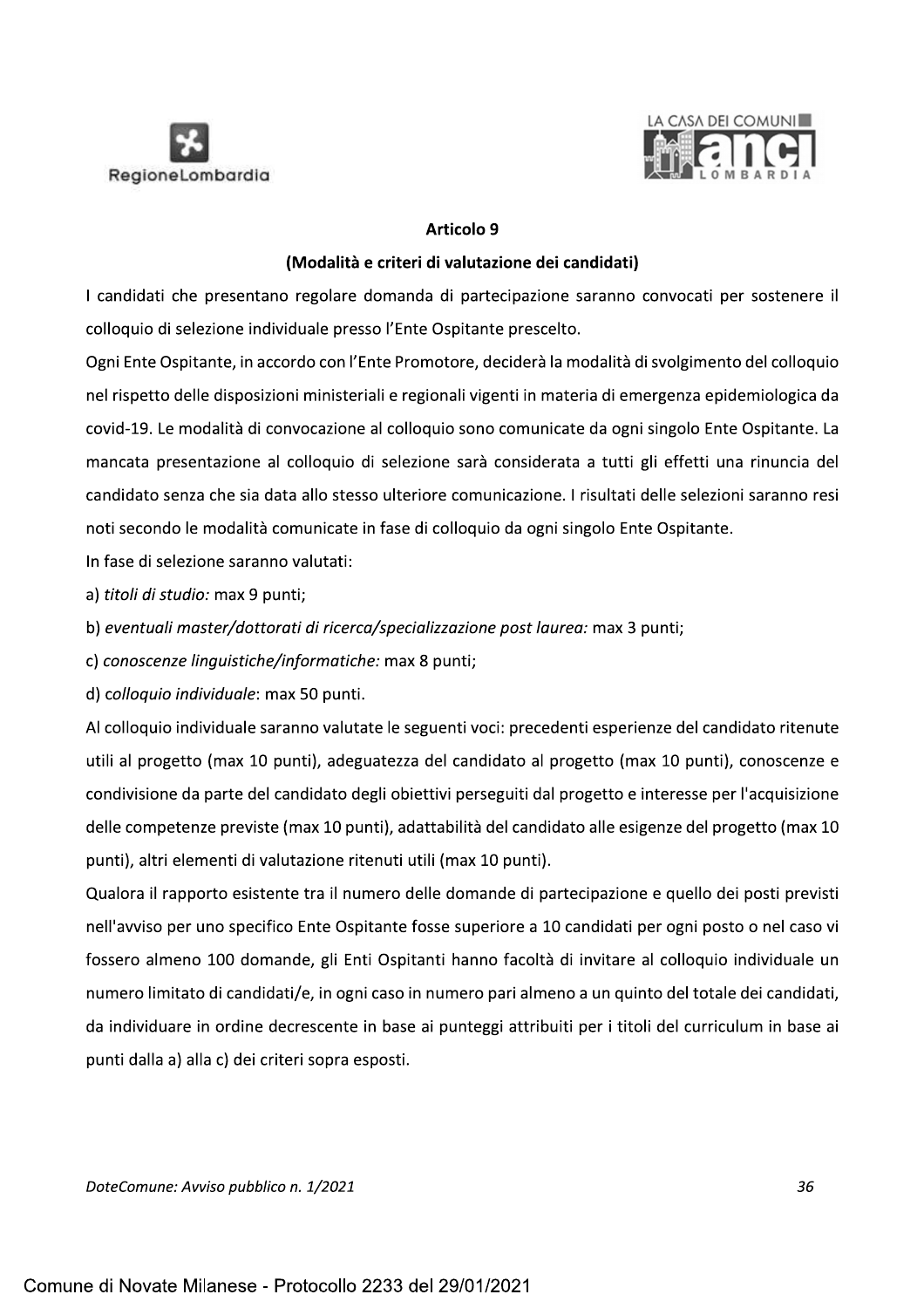



### Articolo 9

# (Modalità e criteri di valutazione dei candidati)

I candidati che presentano regolare domanda di partecipazione saranno convocati per sostenere il colloquio di selezione individuale presso l'Ente Ospitante prescelto.

Ogni Ente Ospitante, in accordo con l'Ente Promotore, deciderà la modalità di svolgimento del colloquio nel rispetto delle disposizioni ministeriali e regionali vigenti in materia di emergenza epidemiologica da covid-19. Le modalità di convocazione al colloquio sono comunicate da ogni singolo Ente Ospitante. La mancata presentazione al colloquio di selezione sarà considerata a tutti gli effetti una rinuncia del candidato senza che sia data allo stesso ulteriore comunicazione. I risultati delle selezioni saranno resi noti secondo le modalità comunicate in fase di colloquio da ogni singolo Ente Ospitante.

In fase di selezione saranno valutati:

a) titoli di studio: max 9 punti;

b) eventuali master/dottorati di ricerca/specializzazione post laurea: max 3 punti;

c) conoscenze linguistiche/informatiche: max 8 punti;

d) colloquio individuale: max 50 punti.

Al colloquio individuale saranno valutate le seguenti voci: precedenti esperienze del candidato ritenute utili al progetto (max 10 punti), adeguatezza del candidato al progetto (max 10 punti), conoscenze e condivisione da parte del candidato degli obiettivi perseguiti dal progetto e interesse per l'acquisizione delle competenze previste (max 10 punti), adattabilità del candidato alle esigenze del progetto (max 10 punti), altri elementi di valutazione ritenuti utili (max 10 punti).

Qualora il rapporto esistente tra il numero delle domande di partecipazione e quello dei posti previsti nell'avviso per uno specifico Ente Ospitante fosse superiore a 10 candidati per ogni posto o nel caso vi fossero almeno 100 domande, gli Enti Ospitanti hanno facoltà di invitare al colloquio individuale un numero limitato di candidati/e, in ogni caso in numero pari almeno a un quinto del totale dei candidati, da individuare in ordine decrescente in base ai punteggi attribuiti per i titoli del curriculum in base ai punti dalla a) alla c) dei criteri sopra esposti.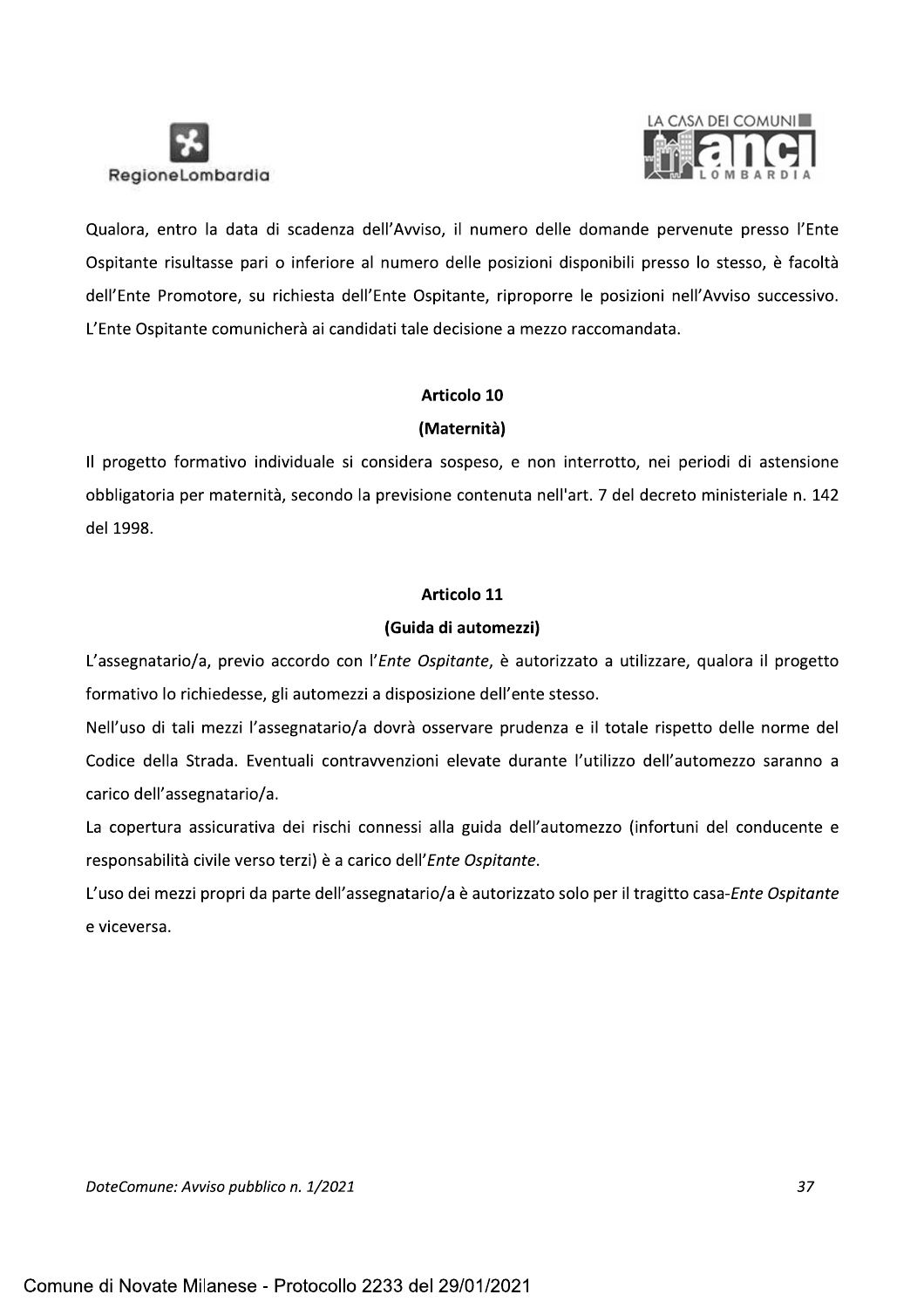



Qualora, entro la data di scadenza dell'Avviso, il numero delle domande pervenute presso l'Ente Ospitante risultasse pari o inferiore al numero delle posizioni disponibili presso lo stesso, è facoltà dell'Ente Promotore, su richiesta dell'Ente Ospitante, riproporre le posizioni nell'Avviso successivo. L'Ente Ospitante comunicherà ai candidati tale decisione a mezzo raccomandata.

# Articolo 10

# (Maternità)

Il progetto formativo individuale si considera sospeso, e non interrotto, nei periodi di astensione obbligatoria per maternità, secondo la previsione contenuta nell'art. 7 del decreto ministeriale n. 142 del 1998.

# Articolo 11

# (Guida di automezzi)

L'assegnatario/a, previo accordo con l'Ente Ospitante, è autorizzato a utilizzare, qualora il progetto formativo lo richiedesse, gli automezzi a disposizione dell'ente stesso.

Nell'uso di tali mezzi l'assegnatario/a dovrà osservare prudenza e il totale rispetto delle norme del Codice della Strada. Eventuali contravvenzioni elevate durante l'utilizzo dell'automezzo saranno a carico dell'assegnatario/a.

La copertura assicurativa dei rischi connessi alla guida dell'automezzo (infortuni del conducente e responsabilità civile verso terzi) è a carico dell'Ente Ospitante.

L'uso dei mezzi propri da parte dell'assegnatario/a è autorizzato solo per il tragitto casa-Ente Ospitante e viceversa.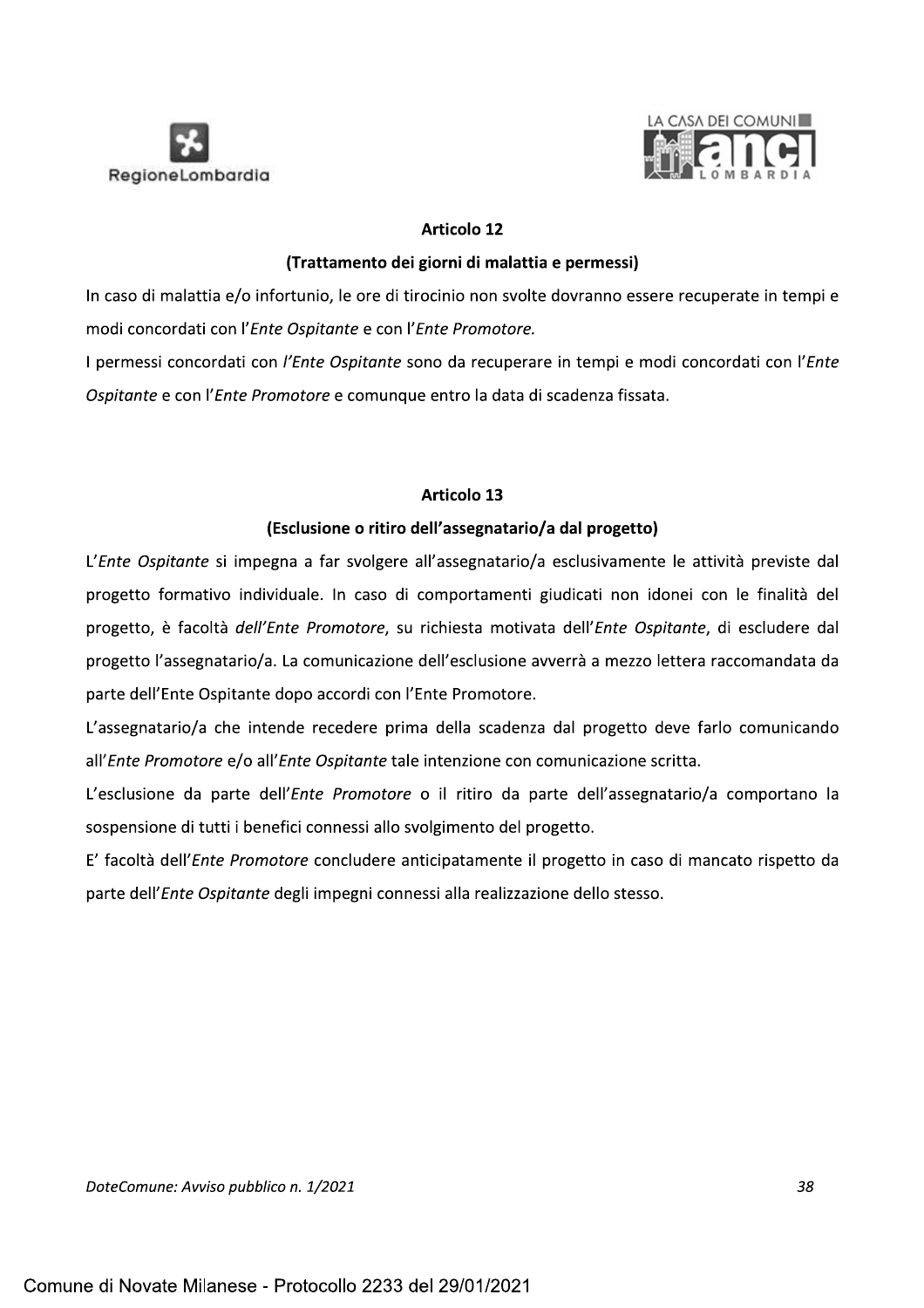



e Ospitante e con l'Ente Promotore.

NegloneLombardia<br>
Articolo 12<br>
(Trattamento dei giorni di malattia e permessi)<br>
In caso di malattia e/o infortunio, le ore di tirocinio non svolte dovranno essere recuperate in tempi e<br>
modi concordati con l'*Ente Ospitant* l permessi concordati con l'*Ente Ospitante* sono da recuperare in tempi e modi concordati con l'*Ente* Ospitante e con l'Ente Promotol

I permessi concordati con *l'Ente Ospitante* e comunque entro la data di scadenza fissata.<br> *Gspitante* e con l'*Ente Promotore* e comunque entro la data di scadenza fissata.<br> **Articolo 13**<br> **CESCUSIONE DESPENSE ENTERTE AC** e Ospitante si impegna a far svolgere all'assegnatario/a esclusivamente le attivita previste dal progetto formativo individuale. In caso di comportamenti giudicati non idonei con le finalità del progetto, e facolta *dell'Ente Promotore*, su richiesta motivata dell'*Ente Ospitante*, di escludere dal progetto l'assegnatario/a. La comunicazione dell'esclusione avverrà a mezzo lettera raccomandata da parte dell'Ente Ospitante dopo accordi con l'Ente Promotore.

L'assegnatario/a che intende recedere prima della scadenza dal progetto deve farlo comunicando all'*Ente Promotore e/o all'Ente Ospitante* tale intenzione con comunicazione scritta.

L'esclusione da parte dell'*Ente Promotore* o il ritiro da parte dell'assegnatario/a comportano la sospensione di tutti i benefici connessi allo svolgimento del progetto.

E' facolta dell'*Ente Promotore* concludere anticipatamente il progetto in caso di mancato rispetto da parte dell'*Ente Ospitante* degli impegni connessi alla realizzazione dello stesso.

DoteComune: Avviso pubblico n. 1/2021 **comunitativa e construir comunitativa e construir comunitativa e construir**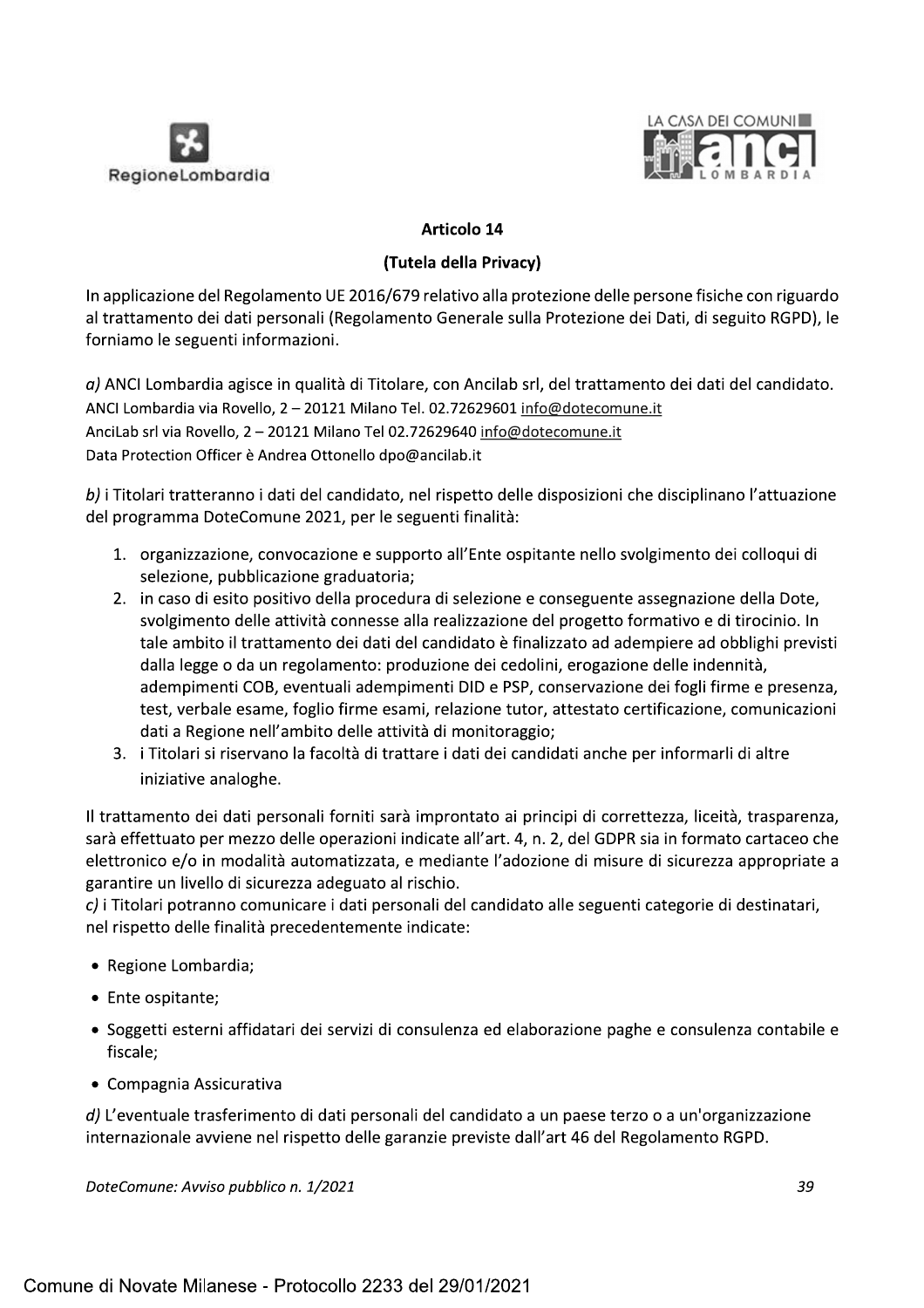



**Example 14 CASA DEI COMUNI<br>
Regione Lombardia<br>
(Tutela della Privacy)<br>
In applicazione del Regolamento UE 2016/679 relativo alla protezione delle persone fisiche con riguardo<br>
al trattamento dei dati personali (Regolament** Data Protection Officer è Andrea Ottonello dpo@ancilab.it

b) i Titolari tratteranno i dati del candidato, nel rispetto delle disposizioni che disciplinano l'attuazione del programma DoteComune 2021, per le seguenti finalità:

- 1. organizzazione, convocazione e supporto all'Ente ospitante nello svolgimento dei colloqui di selezione, pubblicazione graduatoria;
- 2. in caso di esito positivo della procedura di selezione e conseguente assegnazione della Dote, svolgimento delle attività connesse alla realizzazione del progetto formativo e di tirocinio. In tale ambito il trattamento dei dati del candidato è finalizzato ad adempiere ad obblighi previsti dalla legge o da un regolamento: produzione dei cedolini, erogazione delle indennità, adempimenti COB, eventuali adempimenti DID e PSP, conservazione dei fogli firme e presenza, test, verbale esame, foglio firme esami, relazione tutor, attestato certificazione, comunicazioni dati a Regione nell'ambito delle attività di monitoraggio;
- 3. i Titolari si riservano la facoltà di trattare i dati dei candidati anche per informarli di altre iniziative analoghe.

Il trattamento dei dati personali forniti sarà improntato ai principi di correttezza, liceità, trasparenza, sarà effettuato per mezzo delle operazioni indicate all'art. 4, n. 2, del GDPR sia in formato cartaceo che elettronico e/o in modalità automatizzata, e mediante l'adozione di misure di sicurezza appropriate a garantire un livello di sicurezza adeguato al rischio.

c) i Titolari potranno comunicare i dati personali del candidato alle seguenti categorie di destinatari, nel rispetto delle finalità precedentemente indicate:

- Regione Lombardia;
- Ente ospitante:
- Soggetti esterni affidatari dei servizi di consulenza ed elaborazione paghe e consulenza contabile e fiscale;
- Compagnia Assicurativa

 $d$ ) L'eventuale trasferimento di dati personali del candidato a un paese terzo o a un'organizzazione internazionale avviene nel rispetto delle garanzie previste dall'art 46 del Regolamento RGPD.

DoteComune: Avviso pubblico n. 1/2021 **comunitativa e construir comunitativa e construir comunitativa e construir**